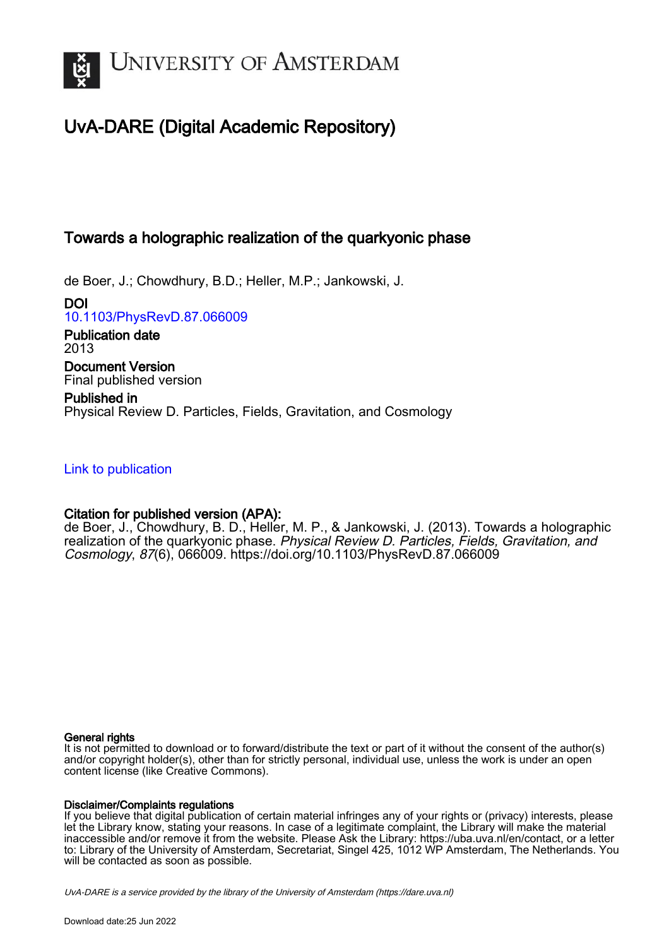

# UvA-DARE (Digital Academic Repository)

## Towards a holographic realization of the quarkyonic phase

de Boer, J.; Chowdhury, B.D.; Heller, M.P.; Jankowski, J.

DOI [10.1103/PhysRevD.87.066009](https://doi.org/10.1103/PhysRevD.87.066009)

Publication date 2013 Document Version Final published version

Published in Physical Review D. Particles, Fields, Gravitation, and Cosmology

[Link to publication](https://dare.uva.nl/personal/pure/en/publications/towards-a-holographic-realization-of-the-quarkyonic-phase(a680bb35-831b-40d3-bfc2-79e3256e1695).html)

## Citation for published version (APA):

de Boer, J., Chowdhury, B. D., Heller, M. P., & Jankowski, J. (2013). Towards a holographic realization of the quarkyonic phase. Physical Review D. Particles, Fields, Gravitation, and Cosmology, 87(6), 066009. <https://doi.org/10.1103/PhysRevD.87.066009>

## General rights

It is not permitted to download or to forward/distribute the text or part of it without the consent of the author(s) and/or copyright holder(s), other than for strictly personal, individual use, unless the work is under an open content license (like Creative Commons).

## Disclaimer/Complaints regulations

If you believe that digital publication of certain material infringes any of your rights or (privacy) interests, please let the Library know, stating your reasons. In case of a legitimate complaint, the Library will make the material inaccessible and/or remove it from the website. Please Ask the Library: https://uba.uva.nl/en/contact, or a letter to: Library of the University of Amsterdam, Secretariat, Singel 425, 1012 WP Amsterdam, The Netherlands. You will be contacted as soon as possible.

UvA-DARE is a service provided by the library of the University of Amsterdam (http*s*://dare.uva.nl)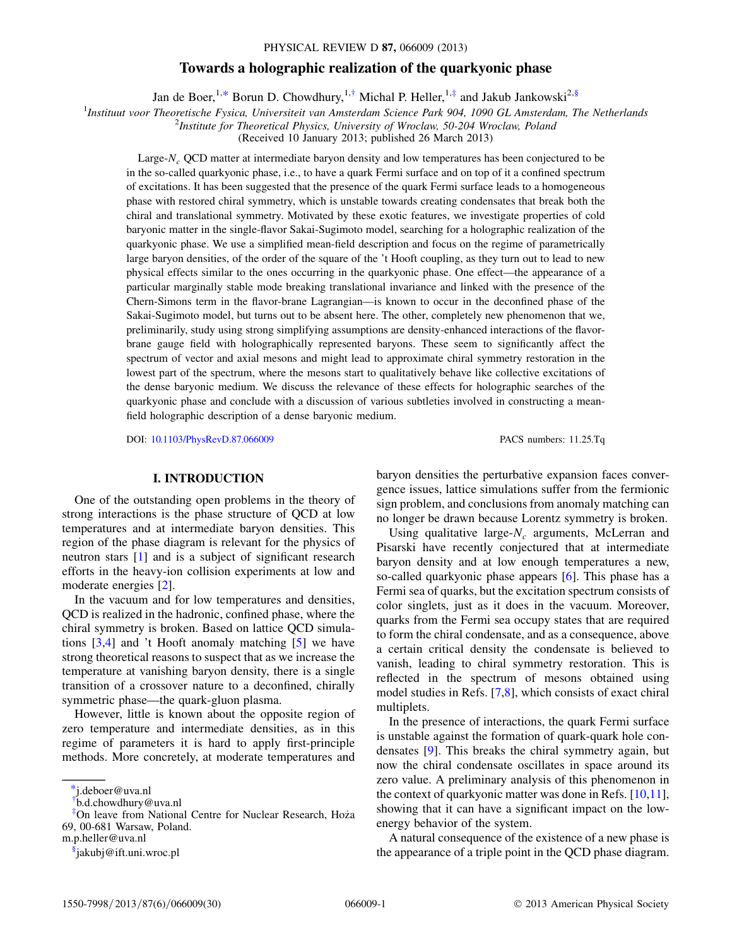## Towards a holographic realization of the quarkyonic phase

Jan de Boer,<sup>1[,\\*](#page-1-0)</sup> Borun D. Chowdhury,<sup>1,[†](#page-1-1)</sup> Michal P. Heller,<sup>1[,‡](#page-1-2)</sup> and Jakub Jankowski<sup>2[,§](#page-1-3)</sup>

<span id="page-1-4"></span><sup>1</sup>Instituut voor Theoretische Fysica, Universiteit van Amsterdam Science Park 904, 1090 GL Amsterdam, The Netherlands<br><sup>2</sup>Instituut <sup>2</sup>Institute for Theoretisel Physics, University of Wroalaw, 50,204 Wroalaw, Poland

<sup>2</sup>Institute for Theoretical Physics, University of Wroclaw, 50-204 Wroclaw, Poland

(Received 10 January 2013; published 26 March 2013)

Large- $N_c$  QCD matter at intermediate baryon density and low temperatures has been conjectured to be in the so-called quarkyonic phase, i.e., to have a quark Fermi surface and on top of it a confined spectrum of excitations. It has been suggested that the presence of the quark Fermi surface leads to a homogeneous phase with restored chiral symmetry, which is unstable towards creating condensates that break both the chiral and translational symmetry. Motivated by these exotic features, we investigate properties of cold baryonic matter in the single-flavor Sakai-Sugimoto model, searching for a holographic realization of the quarkyonic phase. We use a simplified mean-field description and focus on the regime of parametrically large baryon densities, of the order of the square of the 't Hooft coupling, as they turn out to lead to new physical effects similar to the ones occurring in the quarkyonic phase. One effect—the appearance of a particular marginally stable mode breaking translational invariance and linked with the presence of the Chern-Simons term in the flavor-brane Lagrangian—is known to occur in the deconfined phase of the Sakai-Sugimoto model, but turns out to be absent here. The other, completely new phenomenon that we, preliminarily, study using strong simplifying assumptions are density-enhanced interactions of the flavorbrane gauge field with holographically represented baryons. These seem to significantly affect the spectrum of vector and axial mesons and might lead to approximate chiral symmetry restoration in the lowest part of the spectrum, where the mesons start to qualitatively behave like collective excitations of the dense baryonic medium. We discuss the relevance of these effects for holographic searches of the quarkyonic phase and conclude with a discussion of various subtleties involved in constructing a meanfield holographic description of a dense baryonic medium.

DOI: [10.1103/PhysRevD.87.066009](http://dx.doi.org/10.1103/PhysRevD.87.066009) PACS numbers: 11.25.Tq

#### I. INTRODUCTION

One of the outstanding open problems in the theory of strong interactions is the phase structure of QCD at low temperatures and at intermediate baryon densities. This region of the phase diagram is relevant for the physics of neutron stars [\[1](#page-29-0)] and is a subject of significant research efforts in the heavy-ion collision experiments at low and moderate energies [\[2\]](#page-29-1).

In the vacuum and for low temperatures and densities, QCD is realized in the hadronic, confined phase, where the chiral symmetry is broken. Based on lattice QCD simulations [\[3](#page-29-2)[,4](#page-29-3)] and 't Hooft anomaly matching [[5\]](#page-29-4) we have strong theoretical reasons to suspect that as we increase the temperature at vanishing baryon density, there is a single transition of a crossover nature to a deconfined, chirally symmetric phase—the quark-gluon plasma.

However, little is known about the opposite region of zero temperature and intermediate densities, as in this regime of parameters it is hard to apply first-principle methods. More concretely, at moderate temperatures and

baryon densities the perturbative expansion faces convergence issues, lattice simulations suffer from the fermionic sign problem, and conclusions from anomaly matching can no longer be drawn because Lorentz symmetry is broken.

Using qualitative large- $N_c$  arguments, McLerran and Pisarski have recently conjectured that at intermediate baryon density and at low enough temperatures a new, so-called quarkyonic phase appears [\[6\]](#page-29-5). This phase has a Fermi sea of quarks, but the excitation spectrum consists of color singlets, just as it does in the vacuum. Moreover, quarks from the Fermi sea occupy states that are required to form the chiral condensate, and as a consequence, above a certain critical density the condensate is believed to vanish, leading to chiral symmetry restoration. This is reflected in the spectrum of mesons obtained using model studies in Refs. [\[7](#page-29-6)[,8](#page-29-7)], which consists of exact chiral multiplets.

In the presence of interactions, the quark Fermi surface is unstable against the formation of quark-quark hole condensates [[9](#page-29-8)]. This breaks the chiral symmetry again, but now the chiral condensate oscillates in space around its zero value. A preliminary analysis of this phenomenon in the context of quarkyonic matter was done in Refs.  $[10,11]$  $[10,11]$ , showing that it can have a significant impact on the lowenergy behavior of the system.

A natural consequence of the existence of a new phase is the appearance of a triple point in the QCD phase diagram.

<span id="page-1-0"></span>[<sup>\\*</sup>j](#page-1-4).deboer@uva.nl

<span id="page-1-1"></span>[<sup>†</sup>](#page-1-4) b.d.chowdhury@uva.nl

<span id="page-1-2"></span>[<sup>‡</sup>](#page-1-4) On leave from National Centre for Nuclear Research, Hoz˙a 69, 00-681 Warsaw, Poland.

m.p.heller@uva.nl

<span id="page-1-3"></span>[<sup>§</sup>](#page-1-4) jakubj@ift.uni.wroc.pl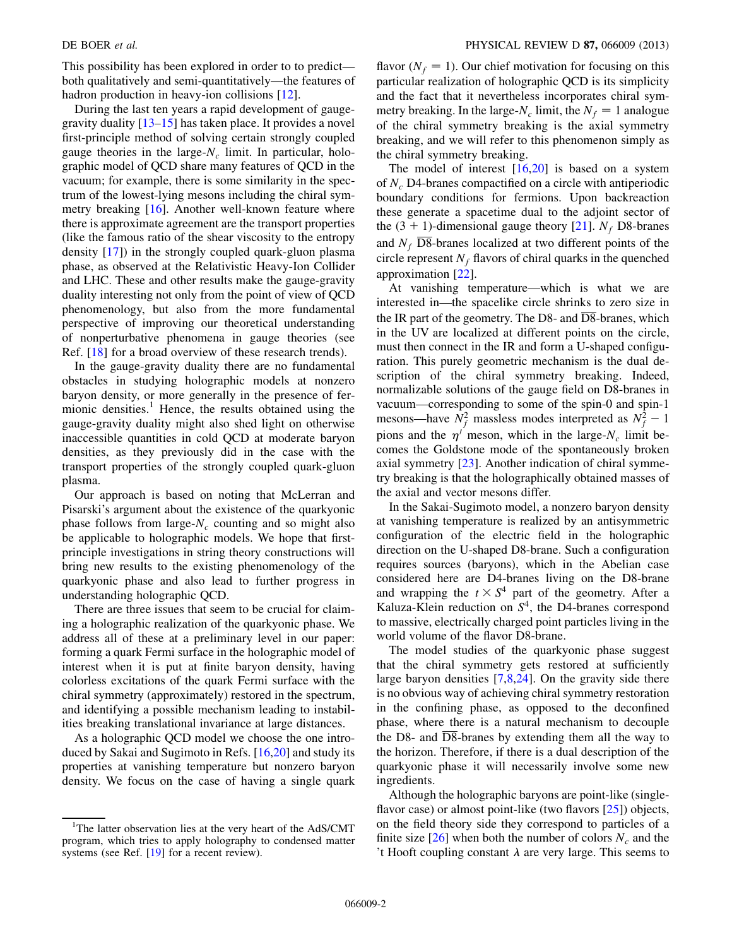This possibility has been explored in order to to predict both qualitatively and semi-quantitatively—the features of hadron production in heavy-ion collisions [\[12\]](#page-29-11).

During the last ten years a rapid development of gaugegravity duality [\[13](#page-29-12)–[15](#page-29-13)] has taken place. It provides a novel first-principle method of solving certain strongly coupled gauge theories in the large- $N_c$  limit. In particular, holographic model of QCD share many features of QCD in the vacuum; for example, there is some similarity in the spectrum of the lowest-lying mesons including the chiral symmetry breaking [\[16](#page-29-14)]. Another well-known feature where there is approximate agreement are the transport properties (like the famous ratio of the shear viscosity to the entropy density [\[17\]](#page-29-15)) in the strongly coupled quark-gluon plasma phase, as observed at the Relativistic Heavy-Ion Collider and LHC. These and other results make the gauge-gravity duality interesting not only from the point of view of QCD phenomenology, but also from the more fundamental perspective of improving our theoretical understanding of nonperturbative phenomena in gauge theories (see Ref. [\[18\]](#page-29-16) for a broad overview of these research trends).

In the gauge-gravity duality there are no fundamental obstacles in studying holographic models at nonzero baryon density, or more generally in the presence of fermionic densities.<sup>1</sup> Hence, the results obtained using the gauge-gravity duality might also shed light on otherwise inaccessible quantities in cold QCD at moderate baryon densities, as they previously did in the case with the transport properties of the strongly coupled quark-gluon plasma.

Our approach is based on noting that McLerran and Pisarski's argument about the existence of the quarkyonic phase follows from large- $N_c$  counting and so might also be applicable to holographic models. We hope that firstprinciple investigations in string theory constructions will bring new results to the existing phenomenology of the quarkyonic phase and also lead to further progress in understanding holographic QCD.

There are three issues that seem to be crucial for claiming a holographic realization of the quarkyonic phase. We address all of these at a preliminary level in our paper: forming a quark Fermi surface in the holographic model of interest when it is put at finite baryon density, having colorless excitations of the quark Fermi surface with the chiral symmetry (approximately) restored in the spectrum, and identifying a possible mechanism leading to instabilities breaking translational invariance at large distances.

As a holographic QCD model we choose the one introduced by Sakai and Sugimoto in Refs. [[16](#page-29-14),[20](#page-29-17)] and study its properties at vanishing temperature but nonzero baryon density. We focus on the case of having a single quark flavor ( $N_f = 1$ ). Our chief motivation for focusing on this particular realization of holographic QCD is its simplicity and the fact that it nevertheless incorporates chiral symmetry breaking. In the large- $N_c$  limit, the  $N_f = 1$  analogue of the chiral symmetry breaking is the axial symmetry breaking, and we will refer to this phenomenon simply as the chiral symmetry breaking.

The model of interest  $[16,20]$  $[16,20]$  $[16,20]$  $[16,20]$  $[16,20]$  is based on a system of  $N_c$  D4-branes compactified on a circle with antiperiodic boundary conditions for fermions. Upon backreaction these generate a spacetime dual to the adjoint sector of the  $(3 + 1)$ -dimensional gauge theory [\[21\]](#page-29-18). N<sub>f</sub> D8-branes and  $N_f$   $\overline{D8}$ -branes localized at two different points of the circle represent  $N_f$  flavors of chiral quarks in the quenched approximation [[22](#page-29-19)].

At vanishing temperature—which is what we are interested in—the spacelike circle shrinks to zero size in the IR part of the geometry. The D8- and  $\overline{D8}$ -branes, which in the UV are localized at different points on the circle, must then connect in the IR and form a U-shaped configuration. This purely geometric mechanism is the dual description of the chiral symmetry breaking. Indeed, normalizable solutions of the gauge field on D8-branes in vacuum—corresponding to some of the spin-0 and spin-1 mesons—have  $N_f^2$  massless modes interpreted as  $N_f^2 - 1$ <br>pions and the  $n'$  mason, which in the large N, limit be pions and the  $\eta'$  meson, which in the large-N<sub>c</sub> limit becomes the Goldstone mode of the spontaneously broken axial symmetry [[23\]](#page-29-20). Another indication of chiral symmetry breaking is that the holographically obtained masses of the axial and vector mesons differ.

In the Sakai-Sugimoto model, a nonzero baryon density at vanishing temperature is realized by an antisymmetric configuration of the electric field in the holographic direction on the U-shaped D8-brane. Such a configuration requires sources (baryons), which in the Abelian case considered here are D4-branes living on the D8-brane and wrapping the  $t \times S^4$  part of the geometry. After a<br>Kaluza-Klein reduction on  $S^4$  the D4-branes correspond Kaluza-Klein reduction on  $S<sup>4</sup>$ , the D4-branes correspond to massive, electrically charged point particles living in the world volume of the flavor D8-brane.

The model studies of the quarkyonic phase suggest that the chiral symmetry gets restored at sufficiently large baryon densities [\[7](#page-29-6)[,8](#page-29-7),[24](#page-29-21)]. On the gravity side there is no obvious way of achieving chiral symmetry restoration in the confining phase, as opposed to the deconfined phase, where there is a natural mechanism to decouple the D8- and  $\overline{D8}$ -branes by extending them all the way to the horizon. Therefore, if there is a dual description of the quarkyonic phase it will necessarily involve some new ingredients.

Although the holographic baryons are point-like (single-flavor case) or almost point-like (two flavors [[25](#page-29-22)]) objects, on the field theory side they correspond to particles of a finite size  $[26]$  $[26]$  $[26]$  when both the number of colors  $N_c$  and the 't Hooft coupling constant  $\lambda$  are very large. This seems to

<sup>&</sup>lt;sup>1</sup>The latter observation lies at the very heart of the AdS/CMT program, which tries to apply holography to condensed matter systems (see Ref. [[19\]](#page-29-24) for a recent review).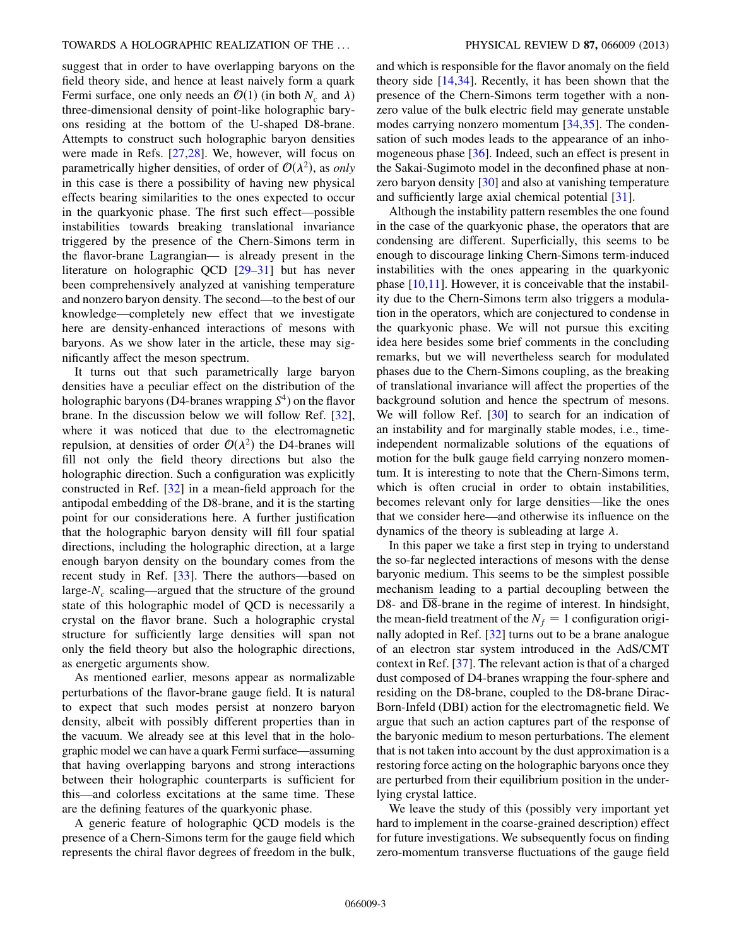suggest that in order to have overlapping baryons on the field theory side, and hence at least naively form a quark Fermi surface, one only needs an  $\mathcal{O}(1)$  (in both  $N_c$  and  $\lambda$ ) three-dimensional density of point-like holographic harvthree-dimensional density of point-like holographic baryons residing at the bottom of the U-shaped D8-brane. Attempts to construct such holographic baryon densities were made in Refs. [\[27,](#page-29-25)[28\]](#page-29-26). We, however, will focus on parametrically higher densities, of order of  $\mathcal{O}(\lambda^2)$ , as *only*<br>in this case is there a possibility of having new physical in this case is there a possibility of having new physical effects bearing similarities to the ones expected to occur in the quarkyonic phase. The first such effect—possible instabilities towards breaking translational invariance triggered by the presence of the Chern-Simons term in the flavor-brane Lagrangian— is already present in the literature on holographic QCD [[29](#page-29-27)[–31\]](#page-29-28) but has never been comprehensively analyzed at vanishing temperature and nonzero baryon density. The second—to the best of our knowledge—completely new effect that we investigate here are density-enhanced interactions of mesons with baryons. As we show later in the article, these may significantly affect the meson spectrum.

It turns out that such parametrically large baryon densities have a peculiar effect on the distribution of the holographic baryons (D4-branes wrapping  $S<sup>4</sup>$ ) on the flavor brane. In the discussion below we will follow Ref. [\[32\]](#page-29-29), where it was noticed that due to the electromagnetic repulsion, at densities of order  $\mathcal{O}(\lambda^2)$  the D4-branes will<br>fill not only the field theory directions but also the fill not only the field theory directions but also the holographic direction. Such a configuration was explicitly constructed in Ref. [\[32\]](#page-29-29) in a mean-field approach for the antipodal embedding of the D8-brane, and it is the starting point for our considerations here. A further justification that the holographic baryon density will fill four spatial directions, including the holographic direction, at a large enough baryon density on the boundary comes from the recent study in Ref. [[33](#page-29-30)]. There the authors—based on large- $N_c$  scaling—argued that the structure of the ground state of this holographic model of QCD is necessarily a crystal on the flavor brane. Such a holographic crystal structure for sufficiently large densities will span not only the field theory but also the holographic directions, as energetic arguments show.

As mentioned earlier, mesons appear as normalizable perturbations of the flavor-brane gauge field. It is natural to expect that such modes persist at nonzero baryon density, albeit with possibly different properties than in the vacuum. We already see at this level that in the holographic model we can have a quark Fermi surface—assuming that having overlapping baryons and strong interactions between their holographic counterparts is sufficient for this—and colorless excitations at the same time. These are the defining features of the quarkyonic phase.

A generic feature of holographic QCD models is the presence of a Chern-Simons term for the gauge field which represents the chiral flavor degrees of freedom in the bulk, and which is responsible for the flavor anomaly on the field theory side [[14](#page-29-31),[34](#page-29-32)]. Recently, it has been shown that the presence of the Chern-Simons term together with a nonzero value of the bulk electric field may generate unstable modes carrying nonzero momentum [\[34](#page-29-32)[,35\]](#page-29-33). The condensation of such modes leads to the appearance of an inhomogeneous phase [\[36\]](#page-29-34). Indeed, such an effect is present in the Sakai-Sugimoto model in the deconfined phase at nonzero baryon density [\[30\]](#page-29-35) and also at vanishing temperature and sufficiently large axial chemical potential [\[31\]](#page-29-28).

Although the instability pattern resembles the one found in the case of the quarkyonic phase, the operators that are condensing are different. Superficially, this seems to be enough to discourage linking Chern-Simons term-induced instabilities with the ones appearing in the quarkyonic phase [\[10,](#page-29-9)[11\]](#page-29-10). However, it is conceivable that the instability due to the Chern-Simons term also triggers a modulation in the operators, which are conjectured to condense in the quarkyonic phase. We will not pursue this exciting idea here besides some brief comments in the concluding remarks, but we will nevertheless search for modulated phases due to the Chern-Simons coupling, as the breaking of translational invariance will affect the properties of the background solution and hence the spectrum of mesons. We will follow Ref. [\[30\]](#page-29-35) to search for an indication of an instability and for marginally stable modes, i.e., timeindependent normalizable solutions of the equations of motion for the bulk gauge field carrying nonzero momentum. It is interesting to note that the Chern-Simons term, which is often crucial in order to obtain instabilities, becomes relevant only for large densities—like the ones that we consider here—and otherwise its influence on the dynamics of the theory is subleading at large  $\lambda$ .

In this paper we take a first step in trying to understand the so-far neglected interactions of mesons with the dense baryonic medium. This seems to be the simplest possible mechanism leading to a partial decoupling between the D8- and  $\overline{D8}$ -brane in the regime of interest. In hindsight, the mean-field treatment of the  $N_f = 1$  configuration originally adopted in Ref. [\[32\]](#page-29-29) turns out to be a brane analogue of an electron star system introduced in the AdS/CMT context in Ref. [[37](#page-29-36)]. The relevant action is that of a charged dust composed of D4-branes wrapping the four-sphere and residing on the D8-brane, coupled to the D8-brane Dirac-Born-Infeld (DBI) action for the electromagnetic field. We argue that such an action captures part of the response of the baryonic medium to meson perturbations. The element that is not taken into account by the dust approximation is a restoring force acting on the holographic baryons once they are perturbed from their equilibrium position in the underlying crystal lattice.

We leave the study of this (possibly very important yet hard to implement in the coarse-grained description) effect for future investigations. We subsequently focus on finding zero-momentum transverse fluctuations of the gauge field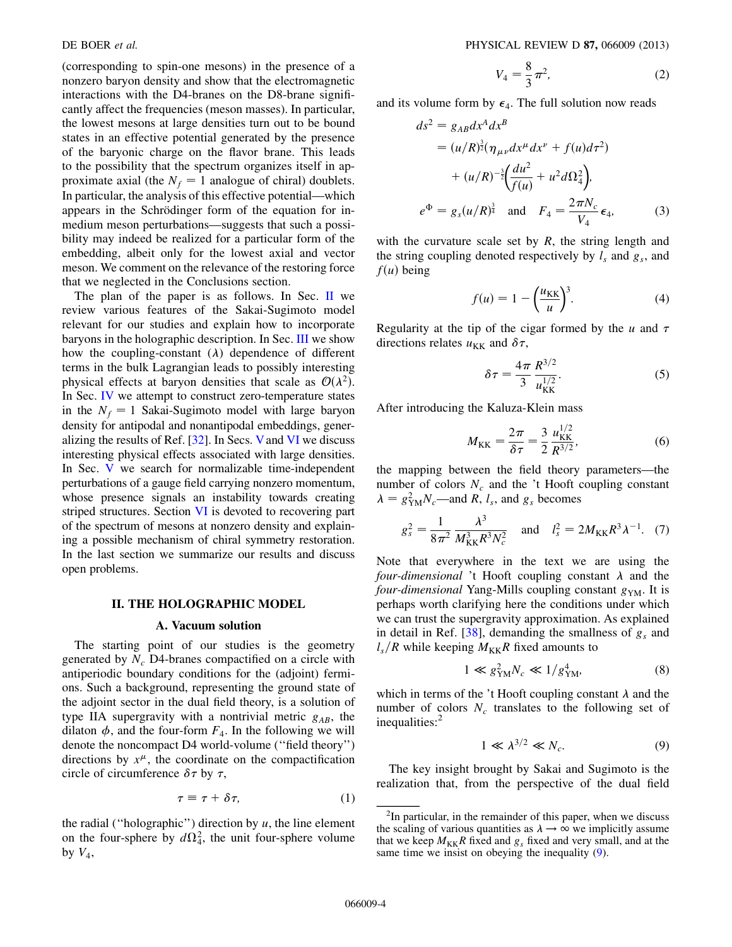(corresponding to spin-one mesons) in the presence of a nonzero baryon density and show that the electromagnetic interactions with the D4-branes on the D8-brane significantly affect the frequencies (meson masses). In particular, the lowest mesons at large densities turn out to be bound states in an effective potential generated by the presence of the baryonic charge on the flavor brane. This leads to the possibility that the spectrum organizes itself in approximate axial (the  $N_f = 1$  analogue of chiral) doublets. In particular, the analysis of this effective potential—which appears in the Schrödinger form of the equation for inmedium meson perturbations—suggests that such a possibility may indeed be realized for a particular form of the embedding, albeit only for the lowest axial and vector meson. We comment on the relevance of the restoring force that we neglected in the Conclusions section.

The plan of the paper is as follows. In Sec. [II](#page-4-0) we review various features of the Sakai-Sugimoto model relevant for our studies and explain how to incorporate baryons in the holographic description. In Sec. [III](#page-8-0) we show how the coupling-constant  $(\lambda)$  dependence of different terms in the bulk Lagrangian leads to possibly interesting physical effects at baryon densities that scale as  $\mathcal{O}(\lambda^2)$ .<br>In Sec. IV we attempt to construct zero-temperature states In Sec. [IV](#page-9-0) we attempt to construct zero-temperature states in the  $N_f = 1$  Sakai-Sugimoto model with large baryon density for antipodal and nonantipodal embeddings, generalizing the results of Ref. [[32\]](#page-29-29). In Secs. [V](#page-14-0)and [VI](#page-17-0) we discuss interesting physical effects associated with large densities. In Sec. [V](#page-14-0) we search for normalizable time-independent perturbations of a gauge field carrying nonzero momentum, whose presence signals an instability towards creating striped structures. Section [VI](#page-17-0) is devoted to recovering part of the spectrum of mesons at nonzero density and explaining a possible mechanism of chiral symmetry restoration. In the last section we summarize our results and discuss open problems.

#### <span id="page-4-0"></span>II. THE HOLOGRAPHIC MODEL

#### A. Vacuum solution

<span id="page-4-2"></span>The starting point of our studies is the geometry generated by  $N_c$  D4-branes compactified on a circle with antiperiodic boundary conditions for the (adjoint) fermions. Such a background, representing the ground state of the adjoint sector in the dual field theory, is a solution of type IIA supergravity with a nontrivial metric  $g_{AB}$ , the dilaton  $\phi$ , and the four-form  $F_4$ . In the following we will denote the noncompact D4 world-volume (''field theory'') directions by  $x^{\mu}$ , the coordinate on the compactification circle of circumference  $\delta \tau$  by  $\tau$ ,

$$
\tau \equiv \tau + \delta \tau, \tag{1}
$$

the radial ("holographic") direction by  $u$ , the line element on the four-sphere by  $d\Omega_4^2$ , the unit four-sphere volume by  $V_4$ ,

$$
V_4 = \frac{8}{3}\pi^2,\tag{2}
$$

and its volume form by  $\epsilon_4$ . The full solution now reads

$$
ds^{2} = g_{AB}dx^{A}dx^{B}
$$
  
=  $(u/R)^{\frac{3}{2}}(\eta_{\mu\nu}dx^{\mu}dx^{\nu} + f(u)d\tau^{2})$   
+  $(u/R)^{-\frac{3}{2}}\left(\frac{du^{2}}{f(u)} + u^{2}d\Omega_{4}^{2}\right),$   
 $e^{\Phi} = g_{s}(u/R)^{\frac{3}{4}}$  and  $F_{4} = \frac{2\pi N_{c}}{V_{4}}\epsilon_{4}$ , (3)

with the curvature scale set by  $R$ , the string length and the string coupling denoted respectively by  $l_s$  and  $g_s$ , and  $f(u)$  being

$$
f(u) = 1 - \left(\frac{u_{KK}}{u}\right)^3. \tag{4}
$$

Regularity at the tip of the cigar formed by the  $u$  and  $\tau$ directions relates  $u_{KK}$  and  $\delta \tau$ ,

$$
\delta \tau = \frac{4\pi}{3} \frac{R^{3/2}}{u_{\text{KK}}^{1/2}}.
$$
 (5)

After introducing the Kaluza-Klein mass

$$
M_{\rm KK} = \frac{2\pi}{\delta \tau} = \frac{3}{2} \frac{u_{\rm KK}^{1/2}}{R^{3/2}},
$$
 (6)

the mapping between the field theory parameters—the number of colors  $N_c$  and the 't Hooft coupling constant  $\lambda = g_{\text{YM}}^2 N_c$ —and  $R, l_s$ , and  $g_s$  becomes

$$
g_s^2 = \frac{1}{8\pi^2} \frac{\lambda^3}{M_{\text{KK}}^3 R^3 N_c^2} \quad \text{and} \quad l_s^2 = 2M_{\text{KK}} R^3 \lambda^{-1}. \tag{7}
$$

Note that everywhere in the text we are using the four-dimensional 't Hooft coupling constant  $\lambda$  and the *four-dimensional* Yang-Mills coupling constant  $g_{YM}$ . It is perhaps worth clarifying here the conditions under which we can trust the supergravity approximation. As explained in detail in Ref. [[38](#page-29-37)], demanding the smallness of  $g_s$  and  $l_s/R$  while keeping  $M_{KK}R$  fixed amounts to

$$
1 \ll g_{\rm YM}^2 N_c \ll 1/g_{\rm YM}^4,\tag{8}
$$

<span id="page-4-1"></span>which in terms of the 't Hooft coupling constant  $\lambda$  and the number of colors  $N_c$  translates to the following set of inequalities: $<sup>2</sup>$ </sup>

$$
1 \ll \lambda^{3/2} \ll N_c. \tag{9}
$$

The key insight brought by Sakai and Sugimoto is the realization that, from the perspective of the dual field

 $2$ In particular, in the remainder of this paper, when we discuss the scaling of various quantities as  $\lambda \to \infty$  we implicitly assume that we keep  $M_{VV}R$  fixed and  $\rho$ , fixed and very small, and at the that we keep  $M_{KK}R$  fixed and  $g_s$  fixed and very small, and at the same time we insist on obeying the inequality  $(9)$  $(9)$ .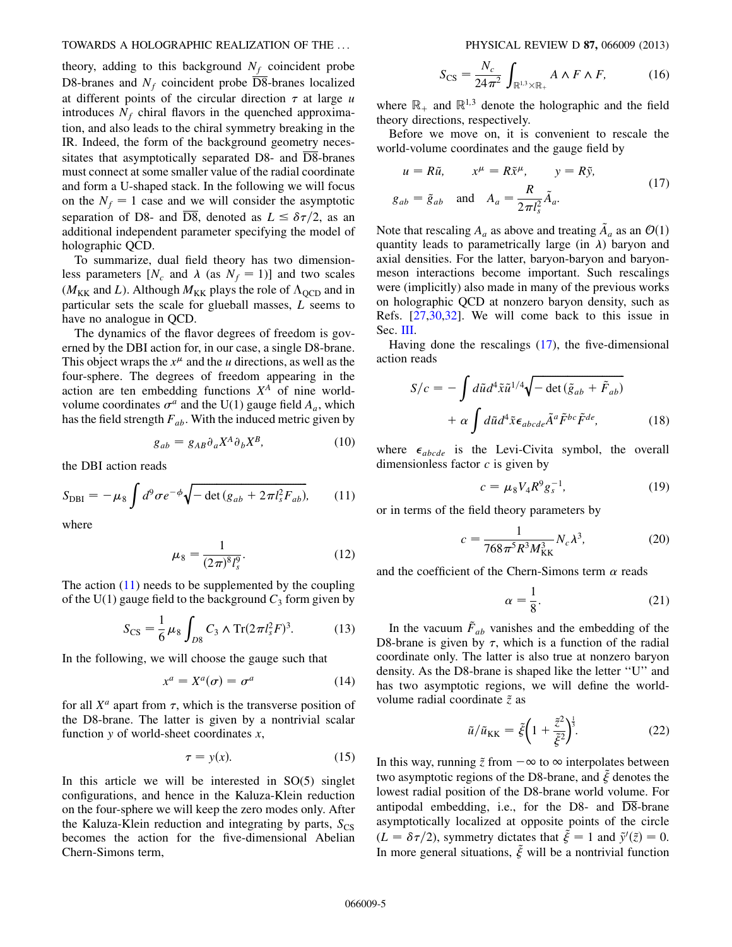#### TOWARDS A HOLOGRAPHIC REALIZATION OF THE ... PHYSICAL REVIEW D 87, 066009 (2013)

theory, adding to this background  $N_f$  coincident probe D8-branes and  $N_f$  coincident probe  $\overline{D8}$ -branes localized at different points of the circular direction  $\tau$  at large u introduces  $N_f$  chiral flavors in the quenched approximation, and also leads to the chiral symmetry breaking in the IR. Indeed, the form of the background geometry necessitates that asymptotically separated D8- and  $\overline{DS}$ -branes must connect at some smaller value of the radial coordinate and form a U-shaped stack. In the following we will focus on the  $N_f = 1$  case and we will consider the asymptotic separation of D8- and  $\overline{D8}$ , denoted as  $L \leq \delta \tau/2$ , as an additional independent parameter specifying the model of holographic QCD.

To summarize, dual field theory has two dimensionless parameters  $[N_c \text{ and } \lambda \text{ (as } N_f = 1)]$  and two scales ( $M_{\text{KK}}$  and L). Although  $M_{\text{KK}}$  plays the role of  $\Lambda_{\text{OCD}}$  and in particular sets the scale for glueball masses, L seems to have no analogue in QCD.

The dynamics of the flavor degrees of freedom is governed by the DBI action for, in our case, a single D8-brane. This object wraps the  $x^{\mu}$  and the *u* directions, as well as the four-sphere. The degrees of freedom appearing in the action are ten embedding functions  $X^A$  of nine worldvolume coordinates  $\sigma^a$  and the U(1) gauge field  $A_a$ , which has the field strength  $F_{ab}$ . With the induced metric given by

$$
g_{ab} = g_{AB} \partial_a X^A \partial_b X^B, \tag{10}
$$

<span id="page-5-0"></span>the DBI action reads

$$
S_{\text{DBI}} = -\mu_8 \int d^9 \sigma e^{-\phi} \sqrt{-\det(g_{ab} + 2\pi l_s^2 F_{ab})},\qquad(11)
$$

where

$$
\mu_8 = \frac{1}{(2\pi)^8 l_s^9}.
$$
 (12)

<span id="page-5-3"></span>The action  $(11)$  needs to be supplemented by the coupling of the U(1) gauge field to the background  $C_3$  form given by

$$
S_{\rm CS} = \frac{1}{6} \mu_8 \int_{D8} C_3 \wedge \text{Tr}(2\pi l_s^2 F)^3. \tag{13}
$$

In the following, we will choose the gauge such that

$$
x^a = X^a(\sigma) = \sigma^a \tag{14}
$$

for all  $X^a$  apart from  $\tau$ , which is the transverse position of the D8-brane. The latter is given by a nontrivial scalar function y of world-sheet coordinates  $x$ ,

$$
\tau = y(x). \tag{15}
$$

In this article we will be interested in  $SO(5)$  singlet configurations, and hence in the Kaluza-Klein reduction on the four-sphere we will keep the zero modes only. After the Kaluza-Klein reduction and integrating by parts,  $S_{CS}$ becomes the action for the five-dimensional Abelian Chern-Simons term,

$$
S_{\text{CS}} = \frac{N_c}{24\pi^2} \int_{\mathbb{R}^{1,3} \times \mathbb{R}_+} A \wedge F \wedge F, \tag{16}
$$

where  $\mathbb{R}_+$  and  $\mathbb{R}^{1,3}$  denote the holographic and the field theory directions, respectively.

<span id="page-5-1"></span>Before we move on, it is convenient to rescale the world-volume coordinates and the gauge field by

$$
u = R\tilde{u}, \qquad x^{\mu} = R\tilde{x}^{\mu}, \qquad y = R\tilde{y},
$$
  
\n
$$
g_{ab} = \tilde{g}_{ab} \quad \text{and} \quad A_a = \frac{R}{2\pi l_s^2} \tilde{A}_a.
$$
\n(17)

Note that rescaling  $A_a$  as above and treating  $\tilde{A}_a$  as an  $\mathcal{O}(1)$ quantity leads to parametrically large (in  $\lambda$ ) baryon and axial densities. For the latter, baryon-baryon and baryonmeson interactions become important. Such rescalings were (implicitly) also made in many of the previous works on holographic QCD at nonzero baryon density, such as Refs. [\[27](#page-29-25)[,30,](#page-29-35)[32\]](#page-29-29). We will come back to this issue in Sec. [III](#page-8-0).

<span id="page-5-2"></span>Having done the rescalings ([17](#page-5-1)), the five-dimensional action reads

$$
S/c = -\int d\tilde{u}d^4\tilde{x}\tilde{u}^{1/4}\sqrt{-\det(\tilde{g}_{ab} + \tilde{F}_{ab})} + \alpha \int d\tilde{u}d^4\tilde{x}\epsilon_{abcde}\tilde{A}^a\tilde{F}^{bc}\tilde{F}^{de},
$$
 (18)

where  $\epsilon_{abcde}$  is the Levi-Civita symbol, the overall dimensionless factor  $c$  is given by

$$
c = \mu_8 V_4 R^9 g_s^{-1}, \tag{19}
$$

or in terms of the field theory parameters by

$$
c = \frac{1}{768\pi^5 R^3 M_{\text{KK}}^3} N_c \lambda^3,
$$
 (20)

and the coefficient of the Chern-Simons term  $\alpha$  reads

$$
\alpha = \frac{1}{8}.\tag{21}
$$

In the vacuum  $\tilde{F}_{ab}$  vanishes and the embedding of the D8-brane is given by  $\tau$ , which is a function of the radial coordinate only. The latter is also true at nonzero baryon density. As the D8-brane is shaped like the letter ''U'' and has two asymptotic regions, we will define the worldvolume radial coordinate  $\tilde{z}$  as

$$
\tilde{u}/\tilde{u}_{KK} = \tilde{\xi} \left( 1 + \frac{\tilde{z}^2}{\tilde{\xi}^2} \right)^{\frac{1}{3}}.
$$
 (22)

In this way, running  $\tilde{z}$  from  $-\infty$  to  $\infty$  interpolates between two asymptotic regions of the D8-brane, and  $\tilde{\xi}$  denotes the lowest radial position of the D8-brane world volume. For antipodal embedding, i.e., for the D8- and  $\overline{D8}$ -brane asymptotically localized at opposite points of the circle ( $L = \delta \tau/2$ ), symmetry dictates that  $\tilde{\xi} = 1$  and  $\tilde{y}'(\tilde{z}) = 0$ .<br>In more general situations,  $\tilde{\xi}$  will be a pontrivial function In more general situations,  $\tilde{\xi}$  will be a nontrivial function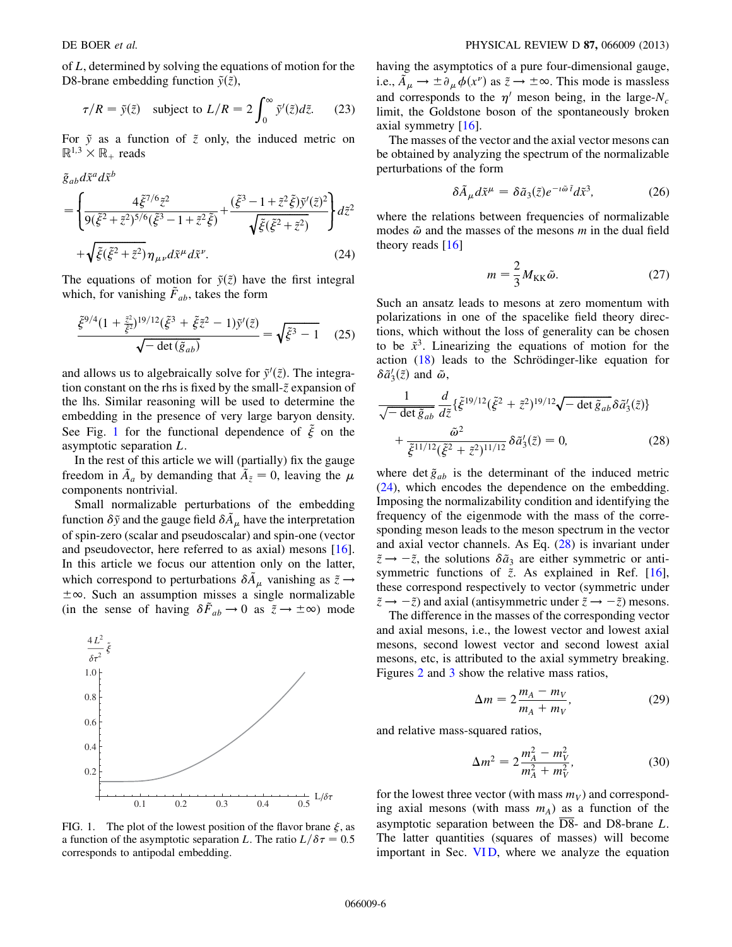<span id="page-6-6"></span>of L, determined by solving the equations of motion for the D8-brane embedding function  $\tilde{v}(\tilde{z})$ ,

$$
\tau/R = \tilde{y}(\tilde{z}) \quad \text{subject to } L/R = 2 \int_0^\infty \tilde{y}'(\tilde{z}) d\tilde{z}.
$$
 (23)

For  $\tilde{y}$  as a function of  $\tilde{z}$  only, the induced metric on  $\mathbb{R}^{1,3} \times \mathbb{R}_+$  reads

<span id="page-6-1"></span>
$$
\tilde{g}_{ab}d\tilde{x}^{a}d\tilde{x}^{b}
$$
\n
$$
= \left\{ \frac{4\tilde{\xi}^{7/6}\tilde{z}^{2}}{9(\tilde{\xi}^{2} + \tilde{z}^{2})^{5/6}(\tilde{\xi}^{3} - 1 + \tilde{z}^{2}\tilde{\xi})} + \frac{(\tilde{\xi}^{3} - 1 + \tilde{z}^{2}\tilde{\xi})\tilde{y}'(\tilde{z})^{2}}{\sqrt{\tilde{\xi}(\tilde{\xi}^{2} + \tilde{z}^{2})}} \right\} d\tilde{z}^{2}
$$
\n
$$
+ \sqrt{\tilde{\xi}(\tilde{\xi}^{2} + \tilde{z}^{2})} \eta_{\mu\nu} d\tilde{x}^{\mu} d\tilde{x}^{\nu}.
$$
\n(24)

The equations of motion for  $\tilde{y}(\tilde{z})$  have the first integral which, for vanishing  $\tilde{F}_{ab}$ , takes the form

$$
\frac{\tilde{\xi}^{9/4}(1+\frac{\tilde{z}^2}{\tilde{\xi}^2})^{19/12}(\tilde{\xi}^3+\tilde{\xi}\tilde{z}^2-1)\tilde{y}'(\tilde{z})}{\sqrt{-\det(\tilde{g}_{ab})}}=\sqrt{\tilde{\xi}^3-1}
$$
 (25)

and allows us to algebraically solve for  $\tilde{y}'(\tilde{z})$ . The integration constant on the rhs is fixed by the small- $\tilde{z}$  expansion of tion constant on the rhs is fixed by the small- $\tilde{z}$  expansion of the lhs. Similar reasoning will be used to determine the embedding in the presence of very large baryon density. See Fig. [1](#page-6-0) for the functional dependence of  $\tilde{\xi}$  on the asymptotic separation L.

In the rest of this article we will (partially) fix the gauge freedom in  $A_a$  by demanding that  $A_{\tilde{z}} = 0$ , leaving the  $\mu$ components nontrivial.

Small normalizable perturbations of the embedding function  $\delta \tilde{y}$  and the gauge field  $\delta \tilde{A}_{\mu}$  have the interpretation of spin-zero (scalar and pseudoscalar) and spin-one (vector and pseudovector, here referred to as axial) mesons [\[16\]](#page-29-14). In this article we focus our attention only on the latter, which correspond to perturbations  $\delta \tilde{A}_{\mu}$  vanishing as  $\tilde{z} \rightarrow$  $\pm \infty$ . Such an assumption misses a single normalizable (in the sense of having  $\delta \tilde{F}_{ab} \rightarrow 0$  as  $\tilde{z} \rightarrow \pm \infty$ ) mode

<span id="page-6-0"></span>

having the asymptotics of a pure four-dimensional gauge, i.e.,  $A_{\mu} \rightarrow \pm \partial_{\mu} \phi(x^{\nu})$  as  $\tilde{z} \rightarrow \pm \infty$ . This mode is massless and corresponds to the  $\eta'$  meson being, in the large-N<sub>c</sub> limit, the Goldstone boson of the spontaneously broken axial symmetry [[16](#page-29-14)].

<span id="page-6-4"></span>The masses of the vector and the axial vector mesons can be obtained by analyzing the spectrum of the normalizable perturbations of the form

$$
\delta \tilde{A}_{\mu} d\tilde{x}^{\mu} = \delta \tilde{a}_3(\tilde{z}) e^{-i\tilde{\omega}\tilde{t}} d\tilde{x}^3, \tag{26}
$$

<span id="page-6-7"></span>where the relations between frequencies of normalizable modes  $\tilde{\omega}$  and the masses of the mesons m in the dual field theory reads  $[16]$ 

$$
m = \frac{2}{3} M_{\text{KK}} \tilde{\omega}.
$$
 (27)

Such an ansatz leads to mesons at zero momentum with polarizations in one of the spacelike field theory directions, which without the loss of generality can be chosen to be  $\tilde{x}^3$ . Linearizing the equations of motion for the action  $(18)$  $(18)$  $(18)$  leads to the Schrödinger-like equation for  $\delta \tilde{a}'_3(\tilde{z})$  and  $\tilde{\omega}$ ,

<span id="page-6-2"></span>
$$
\frac{1}{\sqrt{-\det \tilde{g}_{ab}}} \frac{d}{d\tilde{z}} \{ \tilde{\xi}^{19/12} (\tilde{\xi}^2 + \tilde{z}^2)^{19/12} \sqrt{-\det \tilde{g}_{ab}} \delta \tilde{a}'_3(\tilde{z}) \} + \frac{\tilde{\omega}^2}{\tilde{\xi}^{11/12} (\tilde{\xi}^2 + \tilde{z}^2)^{11/12}} \delta \tilde{a}'_3(\tilde{z}) = 0,
$$
\n(28)

where det  $\tilde{g}_{ab}$  is the determinant of the induced metric [\(24\)](#page-6-1), which encodes the dependence on the embedding. Imposing the normalizability condition and identifying the frequency of the eigenmode with the mass of the corresponding meson leads to the meson spectrum in the vector and axial vector channels. As Eq. [\(28\)](#page-6-2) is invariant under  $\tilde{z} \rightarrow -\tilde{z}$ , the solutions  $\delta \tilde{a}_3$  are either symmetric or antisymmetric functions of  $\zeta$ . As explained in Ref. [[16\]](#page-29-14), these correspond respectively to vector (symmetric under  $\tilde{z} \rightarrow -\tilde{z}$ ) and axial (antisymmetric under  $\tilde{z} \rightarrow -\tilde{z}$ ) mesons.

The difference in the masses of the corresponding vector and axial mesons, i.e., the lowest vector and lowest axial mesons, second lowest vector and second lowest axial mesons, etc, is attributed to the axial symmetry breaking. Figures [2](#page-7-0) and [3](#page-7-1) show the relative mass ratios,

$$
\Delta m = 2 \frac{m_A - m_V}{m_A + m_V},\tag{29}
$$

<span id="page-6-5"></span><span id="page-6-3"></span>and relative mass-squared ratios,

$$
\Delta m^2 = 2 \frac{m_A^2 - m_V^2}{m_A^2 + m_V^2},\tag{30}
$$

for the lowest three vector (with mass  $m_V$ ) and corresponding axial mesons (with mass  $m_A$ ) as a function of the asymptotic separation between the  $\overline{D8}$ - and D8-brane L. The latter quantities (squares of masses) will become important in Sec. VID, where we analyze the equation

FIG. 1. The plot of the lowest position of the flavor brane  $\xi$ , as a function of the asymptotic separation L. The ratio  $L/\delta \tau = 0.5$ corresponds to antipodal embedding.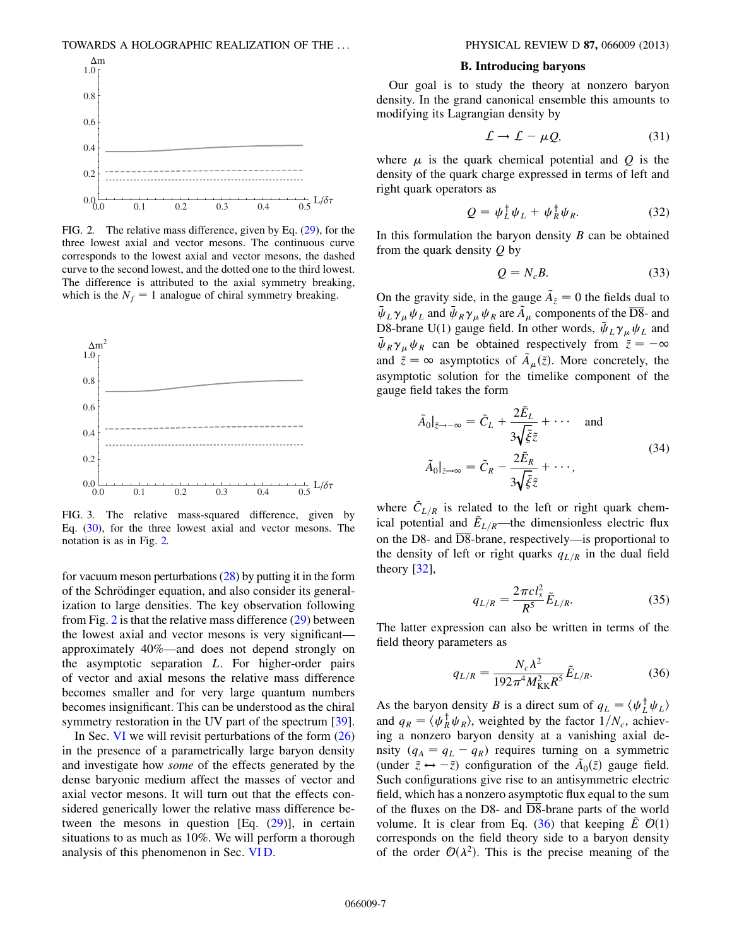<span id="page-7-0"></span>

FIG. 2. The relative mass difference, given by Eq. ([29](#page-6-3)), for the three lowest axial and vector mesons. The continuous curve corresponds to the lowest axial and vector mesons, the dashed curve to the second lowest, and the dotted one to the third lowest. The difference is attributed to the axial symmetry breaking, which is the  $N_f = 1$  analogue of chiral symmetry breaking.

<span id="page-7-1"></span>

FIG. 3. The relative mass-squared difference, given by Eq. ([30](#page-6-5)), for the three lowest axial and vector mesons. The notation is as in Fig. [2.](#page-7-0)

for vacuum meson perturbations [\(28](#page-6-2)) by putting it in the form of the Schrödinger equation, and also consider its generalization to large densities. The key observation following from Fig. [2](#page-7-0) is that the relative mass difference [\(29\)](#page-6-3) between the lowest axial and vector mesons is very significant approximately 40%—and does not depend strongly on the asymptotic separation  $L$ . For higher-order pairs of vector and axial mesons the relative mass difference becomes smaller and for very large quantum numbers becomes insignificant. This can be understood as the chiral symmetry restoration in the UV part of the spectrum [[39\]](#page-29-38).

In Sec. [VI](#page-17-0) we will revisit perturbations of the form  $(26)$ in the presence of a parametrically large baryon density and investigate how some of the effects generated by the dense baryonic medium affect the masses of vector and axial vector mesons. It will turn out that the effects considered generically lower the relative mass difference between the mesons in question  $[Eq. (29)]$  $[Eq. (29)]$  $[Eq. (29)]$ , in certain situations to as much as 10%. We will perform a thorough analysis of this phenomenon in Sec. [VI D](#page-20-0).

#### B. Introducing baryons

Our goal is to study the theory at nonzero baryon density. In the grand canonical ensemble this amounts to modifying its Lagrangian density by

$$
\mathcal{L} \to \mathcal{L} - \mu \mathcal{Q},\tag{31}
$$

<span id="page-7-3"></span>where  $\mu$  is the quark chemical potential and Q is the density of the quark charge expressed in terms of left and right quark operators as

$$
Q = \psi_L^{\dagger} \psi_L + \psi_R^{\dagger} \psi_R. \tag{32}
$$

In this formulation the baryon density  $B$  can be obtained from the quark density Q by

$$
Q = N_c B. \tag{33}
$$

On the gravity side, in the gauge  $\tilde{A}_{\tilde{z}} = 0$  the fields dual to  $\bar{\psi}_L \gamma_\mu \psi_L$  and  $\bar{\psi}_R \gamma_\mu \psi_R$  are  $\bar{A}_\mu$  components of the  $\bar{D8}$ - and D8-brane U(1) gauge field. In other words,  $\bar{\psi}_L \gamma_\mu \psi_L$  and  $\bar{\psi}_R \gamma_\mu \psi_R$  can be obtained respectively from  $\tilde{z} = -\infty$ and  $\tilde{z} = \infty$  asymptotics of  $\tilde{A}_{\mu}(\tilde{z})$ . More concretely, the asymptotic solution for the timelike component of the gauge field takes the form

$$
\tilde{A}_0|_{\tilde{z}\to-\infty} = \tilde{C}_L + \frac{2\tilde{E}_L}{3\sqrt{\tilde{\xi}}\tilde{z}} + \cdots \quad \text{and}
$$
\n
$$
\tilde{A}_0|_{\tilde{z}\to\infty} = \tilde{C}_R - \frac{2\tilde{E}_R}{3\sqrt{\tilde{\xi}}\tilde{z}} + \cdots,
$$
\n(34)

where  $\tilde{C}_{L/R}$  is related to the left or right quark chemical potential and  $\tilde{E}_{L/R}$ —the dimensionless electric flux on the D8- and  $\overline{D8}$ -brane, respectively—is proportional to the density of left or right quarks  $q_{L/R}$  in the dual field theory [\[32\]](#page-29-29),

$$
q_{L/R} = \frac{2\pi c l_s^2}{R^5} \tilde{E}_{L/R}.
$$
 (35)

<span id="page-7-2"></span>The latter expression can also be written in terms of the field theory parameters as

$$
q_{L/R} = \frac{N_c \lambda^2}{192 \pi^4 M_{\text{KK}}^2 R^5} \tilde{E}_{L/R}.
$$
 (36)

As the baryon density B is a direct sum of  $q_L = \langle \psi_L^{\dagger} \psi_L \rangle$ <br>and  $q = \langle \psi_L^{\dagger} \psi_L \rangle$  weighted by the factor  $1/N$  achievand  $q_R = \langle \psi_R^{\dagger} \psi_R \rangle$ , weighted by the factor  $1/N_c$ , achiev-<br>ing a nonzero baryon density at a vanishing axial deing a nonzero baryon density at a vanishing axial density  $(q_A = q_L - q_R)$  requires turning on a symmetric (under  $\tilde{z} \leftrightarrow -\tilde{z}$ ) configuration of the  $\tilde{A}_0(\tilde{z})$  gauge field. Such configurations give rise to an antisymmetric electric field, which has a nonzero asymptotic flux equal to the sum of the fluxes on the D8- and  $\overline{D8}$ -brane parts of the world volume. It is clear from Eq. [\(36\)](#page-7-2) that keeping  $\tilde{E}~ \mathcal{O}(1)$ corresponds on the field theory side to a baryon density of the order  $O(\lambda^2)$ . This is the precise meaning of the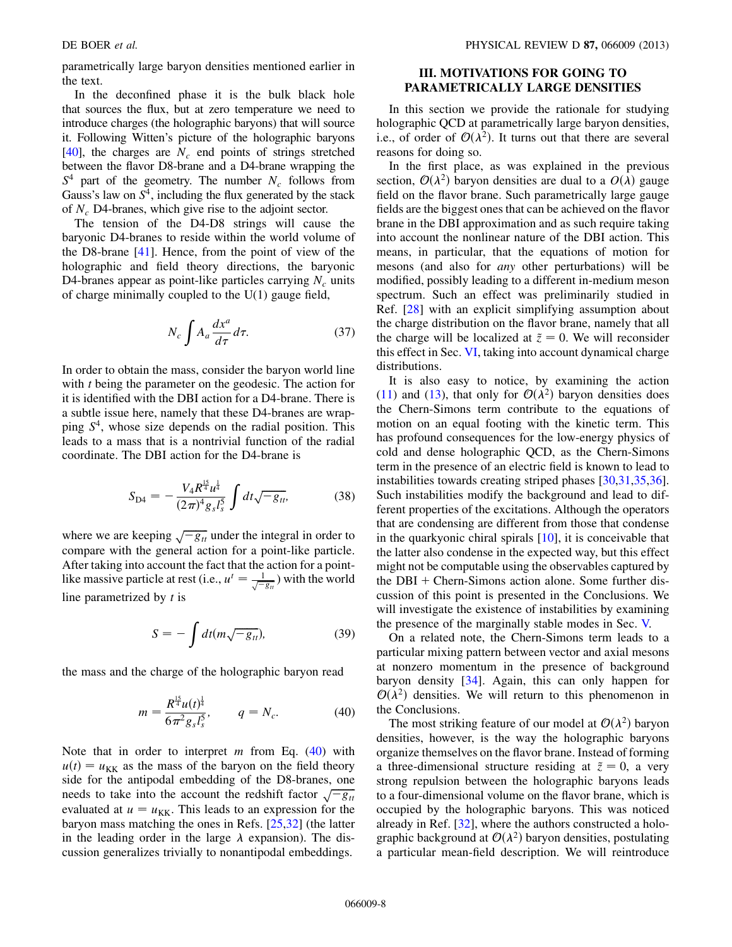parametrically large baryon densities mentioned earlier in the text.

In the deconfined phase it is the bulk black hole that sources the flux, but at zero temperature we need to introduce charges (the holographic baryons) that will source it. Following Witten's picture of the holographic baryons [\[40](#page-29-39)], the charges are  $N_c$  end points of strings stretched between the flavor D8-brane and a D4-brane wrapping the  $S<sup>4</sup>$  part of the geometry. The number  $N_c$  follows from Gauss's law on  $S<sup>4</sup>$ , including the flux generated by the stack of  $N_c$  D4-branes, which give rise to the adjoint sector.

The tension of the D4-D8 strings will cause the baryonic D4-branes to reside within the world volume of the D8-brane [\[41\]](#page-29-40). Hence, from the point of view of the holographic and field theory directions, the baryonic D4-branes appear as point-like particles carrying  $N_c$  units of charge minimally coupled to the U(1) gauge field,

$$
N_c \int A_a \frac{dx^a}{d\tau} d\tau. \tag{37}
$$

In order to obtain the mass, consider the baryon world line with t being the parameter on the geodesic. The action for it is identified with the DBI action for a D4-brane. There is a subtle issue here, namely that these D4-branes are wrapping  $S<sup>4</sup>$ , whose size depends on the radial position. This leads to a mass that is a nontrivial function of the radial coordinate. The DBI action for the D4-brane is

$$
S_{\text{D4}} = -\frac{V_4 R^{\frac{15}{4}} u^{\frac{1}{4}}}{(2\pi)^4 g_s l_s^5} \int dt \sqrt{-g_{tt}} \tag{38}
$$

where we are keeping  $\sqrt{-g_{tt}}$  under the integral in order to compare with the general action for a point-like particle. compare with the general action for a point-like particle. After taking into account the fact that the action for a pointlike massive particle at rest (i.e.,  $u^t = \frac{1}{\sqrt{-g_u}}$ ) with the world line parametrized by  $t$  is

$$
S = -\int dt (m\sqrt{-g_{tt}}), \tag{39}
$$

<span id="page-8-1"></span>the mass and the charge of the holographic baryon read

$$
m = \frac{R^{\frac{15}{4}}u(t)^{\frac{1}{4}}}{6\pi^2 g_s l_s^5}, \qquad q = N_c.
$$
 (40)

Note that in order to interpret  $m$  from Eq. ([40](#page-8-1)) with  $u(t) = u_{KK}$  as the mass of the baryon on the field theory side for the antipodal embedding of the D8-branes, one needs to take into the account the redshift factor  $\sqrt{-g_{tt}}$ <br>evaluated at  $y = y_{\text{rms}}$ . This leads to an expression for the evaluated at  $u = u_{KK}$ . This leads to an expression for the baryon mass matching the ones in Refs. [\[25](#page-29-22)[,32\]](#page-29-29) (the latter in the leading order in the large  $\lambda$  expansion). The discussion generalizes trivially to nonantipodal embeddings.

## <span id="page-8-0"></span>III. MOTIVATIONS FOR GOING TO PARAMETRICALLY LARGE DENSITIES

In this section we provide the rationale for studying holographic QCD at parametrically large baryon densities, i.e., of order of  $\mathcal{O}(\lambda^2)$ . It turns out that there are several reasons for doing so reasons for doing so.

In the first place, as was explained in the previous section,  $\mathcal{O}(\lambda^2)$  baryon densities are dual to a  $\mathcal{O}(\lambda)$  gauge<br>field on the flavor brane. Such parametrically large gauge field on the flavor brane. Such parametrically large gauge fields are the biggest ones that can be achieved on the flavor brane in the DBI approximation and as such require taking into account the nonlinear nature of the DBI action. This means, in particular, that the equations of motion for mesons (and also for any other perturbations) will be modified, possibly leading to a different in-medium meson spectrum. Such an effect was preliminarily studied in Ref. [[28](#page-29-26)] with an explicit simplifying assumption about the charge distribution on the flavor brane, namely that all the charge will be localized at  $\tilde{z} = 0$ . We will reconsider this effect in Sec. [VI,](#page-17-0) taking into account dynamical charge distributions.

It is also easy to notice, by examining the action [\(11\)](#page-5-0) and ([13](#page-5-3)), that only for  $\mathcal{O}(\lambda^2)$  baryon densities does<br>the Chern-Simons term contribute to the equations of the Chern-Simons term contribute to the equations of motion on an equal footing with the kinetic term. This has profound consequences for the low-energy physics of cold and dense holographic QCD, as the Chern-Simons term in the presence of an electric field is known to lead to instabilities towards creating striped phases [\[30](#page-29-35)[,31](#page-29-28)[,35,](#page-29-33)[36\]](#page-29-34). Such instabilities modify the background and lead to different properties of the excitations. Although the operators that are condensing are different from those that condense in the quarkyonic chiral spirals  $[10]$  $[10]$  $[10]$ , it is conceivable that the latter also condense in the expected way, but this effect might not be computable using the observables captured by the  $DBI + Chern-Simons$  action alone. Some further discussion of this point is presented in the Conclusions. We will investigate the existence of instabilities by examining the presence of the marginally stable modes in Sec. [V.](#page-14-0)

On a related note, the Chern-Simons term leads to a particular mixing pattern between vector and axial mesons at nonzero momentum in the presence of background baryon density [\[34\]](#page-29-32). Again, this can only happen for  $\mathcal{O}(\lambda^2)$  densities. We will return to this phenomenon in the Conclusions the Conclusions.

The most striking feature of our model at  $\mathcal{O}(\lambda^2)$  baryon<br>nsities however is the way the holographic baryons densities, however, is the way the holographic baryons organize themselves on the flavor brane. Instead of forming a three-dimensional structure residing at  $\tilde{z} = 0$ , a very strong repulsion between the holographic baryons leads to a four-dimensional volume on the flavor brane, which is occupied by the holographic baryons. This was noticed already in Ref. [\[32\]](#page-29-29), where the authors constructed a holographic background at  $\mathcal{O}(\lambda^2)$  baryon densities, postulating<br>a particular mean-field description. We will reintroduce a particular mean-field description. We will reintroduce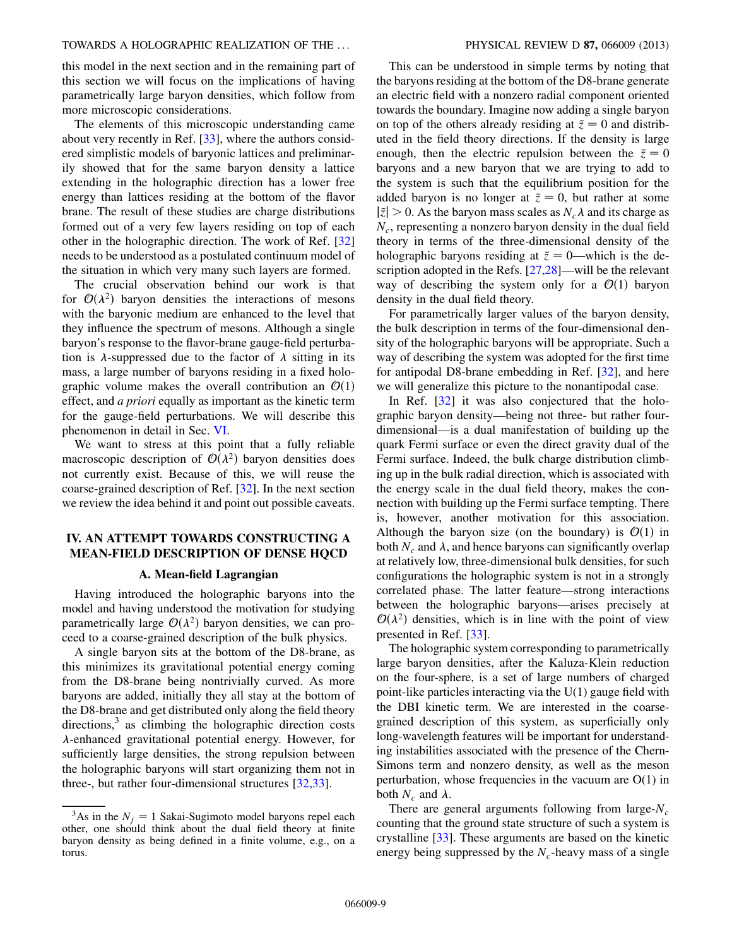this model in the next section and in the remaining part of this section we will focus on the implications of having parametrically large baryon densities, which follow from more microscopic considerations.

The elements of this microscopic understanding came about very recently in Ref. [\[33](#page-29-30)], where the authors considered simplistic models of baryonic lattices and preliminarily showed that for the same baryon density a lattice extending in the holographic direction has a lower free energy than lattices residing at the bottom of the flavor brane. The result of these studies are charge distributions formed out of a very few layers residing on top of each other in the holographic direction. The work of Ref. [\[32\]](#page-29-29) needs to be understood as a postulated continuum model of the situation in which very many such layers are formed.

The crucial observation behind our work is that for  $\mathcal{O}(\lambda^2)$  baryon densities the interactions of mesons<br>with the baryonic medium are enhanced to the level that with the baryonic medium are enhanced to the level that they influence the spectrum of mesons. Although a single baryon's response to the flavor-brane gauge-field perturbation is  $\lambda$ -suppressed due to the factor of  $\lambda$  sitting in its mass, a large number of baryons residing in a fixed holographic volume makes the overall contribution an  $\mathcal{O}(1)$ effect, and *a priori* equally as important as the kinetic term for the gauge-field perturbations. We will describe this phenomenon in detail in Sec. [VI.](#page-17-0)

We want to stress at this point that a fully reliable macroscopic description of  $\mathcal{O}(\lambda^2)$  baryon densities does<br>not currently exist. Because of this, we will reuse the not currently exist. Because of this, we will reuse the coarse-grained description of Ref. [[32](#page-29-29)]. In the next section we review the idea behind it and point out possible caveats.

## <span id="page-9-0"></span>IV. AN ATTEMPT TOWARDS CONSTRUCTING A MEAN-FIELD DESCRIPTION OF DENSE HQCD

#### A. Mean-field Lagrangian

Having introduced the holographic baryons into the model and having understood the motivation for studying parametrically large  $\mathcal{O}(\lambda^2)$  baryon densities, we can pro-<br>ceed to a coarse-grained description of the bulk physics ceed to a coarse-grained description of the bulk physics.

A single baryon sits at the bottom of the D8-brane, as this minimizes its gravitational potential energy coming from the D8-brane being nontrivially curved. As more baryons are added, initially they all stay at the bottom of the D8-brane and get distributed only along the field theory  $directions<sup>3</sup>$  as climbing the holographic direction costs --enhanced gravitational potential energy. However, for sufficiently large densities, the strong repulsion between the holographic baryons will start organizing them not in three-, but rather four-dimensional structures [\[32](#page-29-29)[,33\]](#page-29-30).

This can be understood in simple terms by noting that the baryons residing at the bottom of the D8-brane generate an electric field with a nonzero radial component oriented towards the boundary. Imagine now adding a single baryon on top of the others already residing at  $\tilde{z} = 0$  and distributed in the field theory directions. If the density is large enough, then the electric repulsion between the  $\tilde{z} = 0$ baryons and a new baryon that we are trying to add to the system is such that the equilibrium position for the added baryon is no longer at  $\tilde{z} = 0$ , but rather at some  $|\tilde{z}| > 0$ . As the baryon mass scales as  $N_c \lambda$  and its charge as  $N_c$  representing a nonzero baryon density in the dual field  $N_c$ , representing a nonzero baryon density in the dual field theory in terms of the three-dimensional density of the holographic baryons residing at  $\tilde{z} = 0$ —which is the description adopted in the Refs. [[27](#page-29-25)[,28](#page-29-26)]—will be the relevant way of describing the system only for a  $\mathcal{O}(1)$  baryon density in the dual field theory.

For parametrically larger values of the baryon density, the bulk description in terms of the four-dimensional density of the holographic baryons will be appropriate. Such a way of describing the system was adopted for the first time for antipodal D8-brane embedding in Ref. [\[32\]](#page-29-29), and here we will generalize this picture to the nonantipodal case.

In Ref. [[32](#page-29-29)] it was also conjectured that the holographic baryon density—being not three- but rather fourdimensional—is a dual manifestation of building up the quark Fermi surface or even the direct gravity dual of the Fermi surface. Indeed, the bulk charge distribution climbing up in the bulk radial direction, which is associated with the energy scale in the dual field theory, makes the connection with building up the Fermi surface tempting. There is, however, another motivation for this association. Although the baryon size (on the boundary) is  $\mathcal{O}(1)$  in both  $N_c$  and  $\lambda$ , and hence baryons can significantly overlap at relatively low, three-dimensional bulk densities, for such configurations the holographic system is not in a strongly correlated phase. The latter feature—strong interactions between the holographic baryons—arises precisely at  $\mathcal{O}(\lambda^2)$  densities, which is in line with the point of view presented in Ref. [[33](#page-29-30)].

The holographic system corresponding to parametrically large baryon densities, after the Kaluza-Klein reduction on the four-sphere, is a set of large numbers of charged point-like particles interacting via the U(1) gauge field with the DBI kinetic term. We are interested in the coarsegrained description of this system, as superficially only long-wavelength features will be important for understanding instabilities associated with the presence of the Chern-Simons term and nonzero density, as well as the meson perturbation, whose frequencies in the vacuum are  $O(1)$  in both  $N_c$  and  $\lambda$ .

There are general arguments following from large- $N_c$ counting that the ground state structure of such a system is crystalline [\[33\]](#page-29-30). These arguments are based on the kinetic energy being suppressed by the  $N_c$ -heavy mass of a single

<sup>&</sup>lt;sup>3</sup>As in the  $N_f = 1$  Sakai-Sugimoto model baryons repel each her, one should think about the dual field theory at finite other, one should think about the dual field theory at finite baryon density as being defined in a finite volume, e.g., on a torus.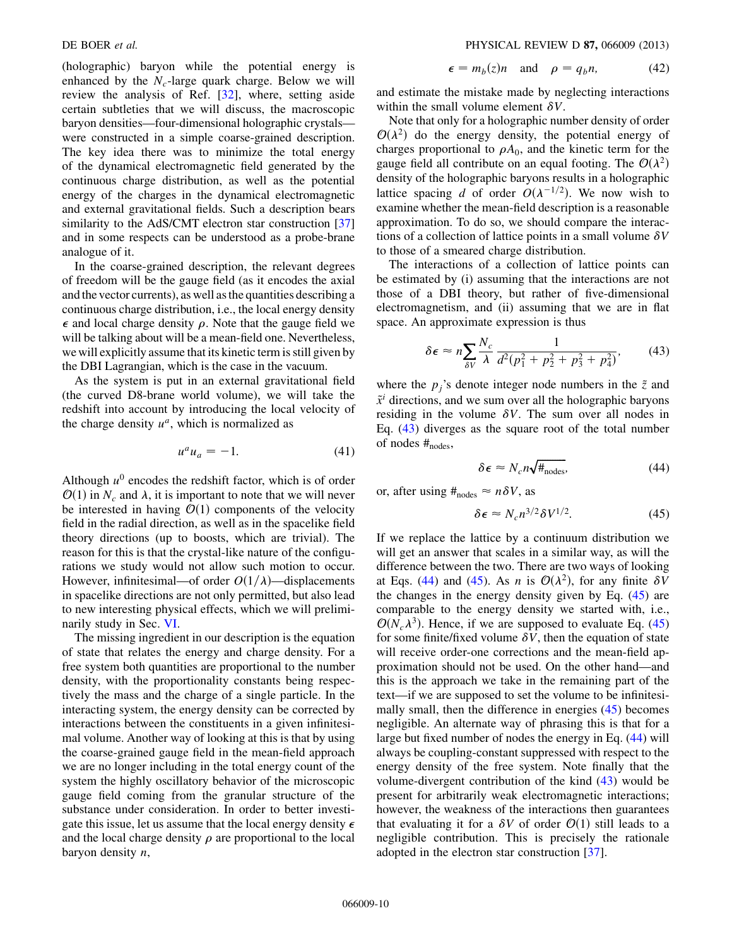(holographic) baryon while the potential energy is enhanced by the  $N_c$ -large quark charge. Below we will review the analysis of Ref. [\[32\]](#page-29-29), where, setting aside certain subtleties that we will discuss, the macroscopic baryon densities—four-dimensional holographic crystals were constructed in a simple coarse-grained description. The key idea there was to minimize the total energy of the dynamical electromagnetic field generated by the continuous charge distribution, as well as the potential energy of the charges in the dynamical electromagnetic and external gravitational fields. Such a description bears similarity to the AdS/CMT electron star construction [\[37\]](#page-29-36) and in some respects can be understood as a probe-brane analogue of it.

In the coarse-grained description, the relevant degrees of freedom will be the gauge field (as it encodes the axial and the vector currents), as well as the quantities describing a continuous charge distribution, i.e., the local energy density  $\epsilon$  and local charge density  $\rho$ . Note that the gauge field we will be talking about will be a mean-field one. Nevertheless, we will explicitly assume that its kinetic term is still given by the DBI Lagrangian, which is the case in the vacuum.

As the system is put in an external gravitational field (the curved D8-brane world volume), we will take the redshift into account by introducing the local velocity of the charge density  $u^a$ , which is normalized as

$$
u^a u_a = -1.\t\t(41)
$$

<span id="page-10-4"></span>Although  $u^0$  encodes the redshift factor, which is of order  $\mathcal{O}(1)$  in  $N_c$  and  $\lambda$ , it is important to note that we will never<br>be interested in having  $\mathcal{O}(1)$  components of the velocity be interested in having  $\mathcal{O}(1)$  components of the velocity field in the radial direction, as well as in the spacelike field theory directions (up to boosts, which are trivial). The reason for this is that the crystal-like nature of the configurations we study would not allow such motion to occur. However, infinitesimal—of order  $O(1/\lambda)$ —displacements<br>in spacelike directions are not only permitted but also lead in spacelike directions are not only permitted, but also lead to new interesting physical effects, which we will preliminarily study in Sec. [VI](#page-17-0).

The missing ingredient in our description is the equation of state that relates the energy and charge density. For a free system both quantities are proportional to the number density, with the proportionality constants being respectively the mass and the charge of a single particle. In the interacting system, the energy density can be corrected by interactions between the constituents in a given infinitesimal volume. Another way of looking at this is that by using the coarse-grained gauge field in the mean-field approach we are no longer including in the total energy count of the system the highly oscillatory behavior of the microscopic gauge field coming from the granular structure of the substance under consideration. In order to better investigate this issue, let us assume that the local energy density  $\epsilon$ and the local charge density  $\rho$  are proportional to the local baryon density  $n$ ,

$$
\epsilon = m_b(z)n \quad \text{and} \quad \rho = q_b n,\tag{42}
$$

<span id="page-10-3"></span>and estimate the mistake made by neglecting interactions within the small volume element  $\delta V$ .

Note that only for a holographic number density of order  $\mathcal{O}(\lambda^2)$  do the energy density, the potential energy of<br>charges proportional to  $\alpha A_0$  and the kinetic term for the charges proportional to  $\rho A_0$ , and the kinetic term for the gauge field all contribute on an equal footing. The  $\mathcal{O}(\lambda^2)$ <br>density of the holographic baryons results in a holographic density of the holographic baryons results in a holographic lattice spacing d of order  $O(\lambda^{-1/2})$ . We now wish to examine whether the mean-field description is a reasonable examine whether the mean-field description is a reasonable approximation. To do so, we should compare the interactions of a collection of lattice points in a small volume  $\delta V$ to those of a smeared charge distribution.

The interactions of a collection of lattice points can be estimated by (i) assuming that the interactions are not those of a DBI theory, but rather of five-dimensional electromagnetism, and (ii) assuming that we are in flat space. An approximate expression is thus

<span id="page-10-0"></span>
$$
\delta \epsilon \approx n \sum_{\delta V} \frac{N_c}{\lambda} \frac{1}{d^2 (p_1^2 + p_2^2 + p_3^2 + p_4^2)},\tag{43}
$$

where the  $p_j$ 's denote integer node numbers in the  $\tilde{z}$  and  $\tilde{x}^i$  directions, and we sum over all the holographic baryons residing in the volume  $\delta V$ . The sum over all nodes in Eq. ([43](#page-10-0)) diverges as the square root of the total number of nodes  $#_{nodes}$ ,

$$
\delta \epsilon \approx N_c n \sqrt{\#_{\text{nodes}}},\tag{44}
$$

<span id="page-10-2"></span><span id="page-10-1"></span>or, after using  $#_{nodes} \approx n\delta V$ , as

$$
\delta \epsilon \approx N_c n^{3/2} \delta V^{1/2}.
$$
 (45)

If we replace the lattice by a continuum distribution we will get an answer that scales in a similar way, as will the difference between the two. There are two ways of looking at Eqs. ([44](#page-10-1)) and [\(45\)](#page-10-2). As *n* is  $\mathcal{O}(\lambda^2)$ , for any finite  $\delta V$ <br>the changes in the energy density given by Eq. (45) are the changes in the energy density given by Eq. [\(45\)](#page-10-2) are comparable to the energy density we started with, i.e.,  $\mathcal{O}(N_c\lambda^3)$ . Hence, if we are supposed to evaluate Eq. [\(45\)](#page-10-2) for some finite/fixed volume  $\delta V$  then the equation of state for some finite/fixed volume  $\delta V$ , then the equation of state will receive order-one corrections and the mean-field approximation should not be used. On the other hand—and this is the approach we take in the remaining part of the text—if we are supposed to set the volume to be infinitesimally small, then the difference in energies [\(45\)](#page-10-2) becomes negligible. An alternate way of phrasing this is that for a large but fixed number of nodes the energy in Eq. [\(44\)](#page-10-1) will always be coupling-constant suppressed with respect to the energy density of the free system. Note finally that the volume-divergent contribution of the kind ([43](#page-10-0)) would be present for arbitrarily weak electromagnetic interactions; however, the weakness of the interactions then guarantees that evaluating it for a  $\delta V$  of order  $\mathcal{O}(1)$  still leads to a negligible contribution. This is precisely the rationale adopted in the electron star construction [[37](#page-29-36)].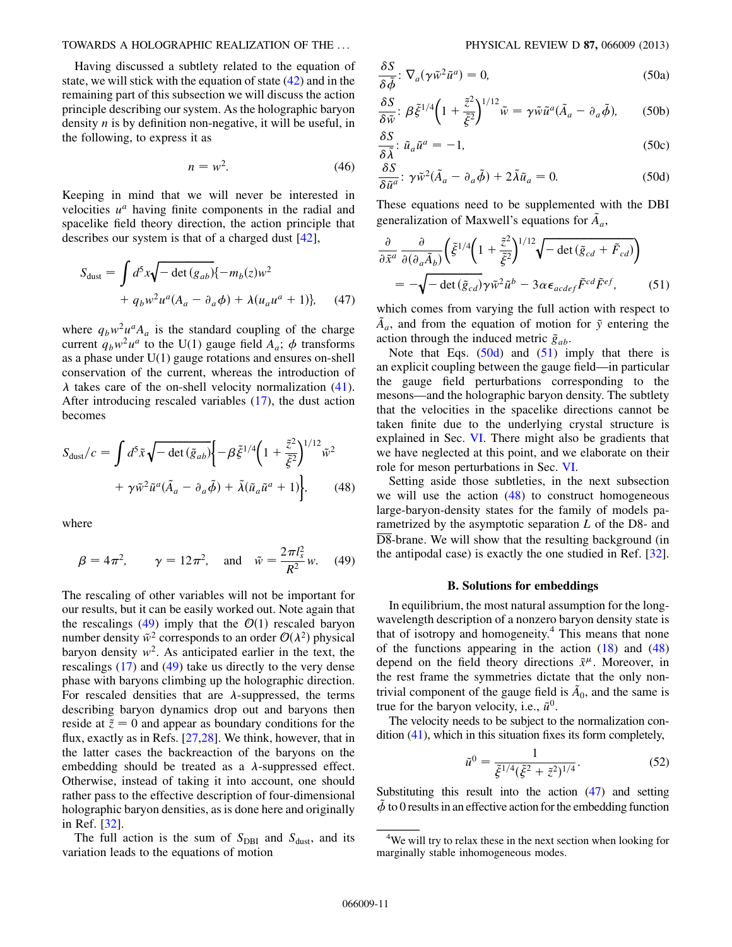#### TOWARDS A HOLOGRAPHIC REALIZATION OF THE ... PHYSICAL REVIEW D 87, 066009 (2013)

Having discussed a subtlety related to the equation of state, we will stick with the equation of state [\(42\)](#page-10-3) and in the remaining part of this subsection we will discuss the action principle describing our system. As the holographic baryon density  $n$  is by definition non-negative, it will be useful, in the following, to express it as

$$
n = w^2. \tag{46}
$$

<span id="page-11-4"></span>Keeping in mind that we will never be interested in velocities  $u^a$  having finite components in the radial and spacelike field theory direction, the action principle that describes our system is that of a charged dust [\[42\]](#page-29-41),

$$
S_{\text{dust}} = \int d^5x \sqrt{-\det(g_{ab})} \{-m_b(z)w^2 + q_b w^2 u^a (A_a - \partial_a \phi) + \lambda (u_a u^a + 1) \}, \quad (47)
$$

where  $q_b w^2 u^a A_a$  is the standard coupling of the charge current  $q_b w^2 u^a$  to the U(1) gauge field  $A_a$ ;  $\phi$  transforms as a phase under U(1) gauge rotations and ensures on-shell conservation of the current, whereas the introduction of  $\lambda$  takes care of the on-shell velocity normalization [\(41\)](#page-10-4). After introducing rescaled variables [\(17\)](#page-5-1), the dust action becomes

<span id="page-11-3"></span>
$$
S_{\text{dust}}/c = \int d^5 \tilde{x} \sqrt{-\det(\tilde{g}_{ab})} \Biggl\{ -\beta \tilde{\xi}^{1/4} \Biggl( 1 + \frac{\tilde{z}^2}{\tilde{\xi}^2} \Biggr)^{1/12} \tilde{w}^2 + \gamma \tilde{w}^2 \tilde{u}^a (\tilde{A}_a - \partial_a \tilde{\phi}) + \tilde{\lambda} (\tilde{u}_a \tilde{u}^a + 1) \Biggr\}, \qquad (48)
$$

<span id="page-11-0"></span>where

$$
\beta = 4\pi^2
$$
,  $\gamma = 12\pi^2$ , and  $\tilde{w} = \frac{2\pi l_s^2}{R^2} w$ . (49)

The rescaling of other variables will not be important for our results, but it can be easily worked out. Note again that the rescalings [\(49\)](#page-11-0) imply that the  $\mathcal{O}(1)$  rescaled baryon number density  $\tilde{w}^2$  corresponds to an order  $\mathcal{O}(\lambda^2)$  physical<br>baryon density  $w^2$ . As anticipated earlier in the text, the baryon density  $w^2$ . As anticipated earlier in the text, the rescalings [\(17\)](#page-5-1) and [\(49\)](#page-11-0) take us directly to the very dense phase with baryons climbing up the holographic direction. For rescaled densities that are  $\lambda$ -suppressed, the terms describing baryon dynamics drop out and baryons then reside at  $\tilde{z} = 0$  and appear as boundary conditions for the flux, exactly as in Refs. [\[27](#page-29-25)[,28\]](#page-29-26). We think, however, that in the latter cases the backreaction of the baryons on the embedding should be treated as a  $\lambda$ -suppressed effect. Otherwise, instead of taking it into account, one should rather pass to the effective description of four-dimensional holographic baryon densities, as is done here and originally in Ref. [\[32\]](#page-29-29).

The full action is the sum of  $S_{DBI}$  and  $S_{dust}$ , and its variation leads to the equations of motion

<span id="page-11-1"></span>
$$
\frac{\delta S}{\delta \tilde{\phi}} \colon \nabla_a (\gamma \tilde{w}^2 \tilde{u}^a) = 0, \tag{50a}
$$

$$
\frac{\delta S}{\delta \tilde{w}} \colon \beta \tilde{\xi}^{1/4} \left( 1 + \frac{\tilde{z}^2}{\tilde{\xi}^2} \right)^{1/12} \tilde{w} = \gamma \tilde{w} \tilde{u}^a (\tilde{A}_a - \partial_a \tilde{\phi}), \qquad (50b)
$$

$$
\frac{\delta S}{\delta \tilde{\lambda}} \colon \tilde{u}_a \tilde{u}^a = -1,\tag{50c}
$$

$$
\frac{\delta S}{\delta \tilde{u}^a} \colon \gamma \tilde{w}^2 (\tilde{A}_a - \partial_a \tilde{\phi}) + 2 \tilde{\lambda} \tilde{u}_a = 0.
$$
 (50d)

These equations need to be supplemented with the DBI generalization of Maxwell's equations for  $\tilde{A}_a$ ,

<span id="page-11-2"></span>
$$
\frac{\partial}{\partial \tilde{x}^a} \frac{\partial}{\partial (\partial_a \tilde{A}_b)} \left( \tilde{\xi}^{1/4} \left( 1 + \frac{\tilde{z}^2}{\tilde{\xi}^2} \right)^{1/12} \sqrt{-\det(\tilde{g}_{cd} + \tilde{F}_{cd})} \right)
$$
  
= 
$$
-\sqrt{-\det(\tilde{g}_{cd}) \gamma \tilde{w}^2 \tilde{u}^b - 3 \alpha \epsilon_{acdef} \tilde{F}^{cd} \tilde{F}^{ef}},
$$
(51)

which comes from varying the full action with respect to  $A_{\alpha}$ , and from the equation of motion for  $\tilde{y}$  entering the action through the induced metric  $\tilde{g}_{ab}$ .

Note that Eqs.  $(50d)$  and  $(51)$  $(51)$  $(51)$  imply that there is an explicit coupling between the gauge field—in particular the gauge field perturbations corresponding to the mesons—and the holographic baryon density. The subtlety that the velocities in the spacelike directions cannot be taken finite due to the underlying crystal structure is explained in Sec. [VI](#page-17-0). There might also be gradients that we have neglected at this point, and we elaborate on their role for meson perturbations in Sec. [VI](#page-17-0).

Setting aside those subtleties, in the next subsection we will use the action  $(48)$  $(48)$  $(48)$  to construct homogeneous large-baryon-density states for the family of models parametrized by the asymptotic separation  $L$  of the D8- and  $\overline{D8}$ -brane. We will show that the resulting background (in the antipodal case) is exactly the one studied in Ref. [[32\]](#page-29-29).

#### B. Solutions for embeddings

<span id="page-11-5"></span>In equilibrium, the most natural assumption for the longwavelength description of a nonzero baryon density state is that of isotropy and homogeneity. $4$  This means that none of the functions appearing in the action  $(18)$  and  $(48)$ depend on the field theory directions  $\tilde{x}^{\mu}$ . Moreover, in the rest frame the symmetries dictate that the only nontrivial component of the gauge field is  $\tilde{A}_0$ , and the same is true for the baryon velocity, i.e.,  $\tilde{u}^0$ .

The velocity needs to be subject to the normalization condition [\(41](#page-10-4)), which in this situation fixes its form completely,

$$
\tilde{u}^0 = \frac{1}{\tilde{\xi}^{1/4} (\tilde{\xi}^2 + \tilde{z}^2)^{1/4}}.
$$
\n(52)

Substituting this result into the action ([47\)](#page-11-4) and setting  $\ddot{\phi}$  to 0 results in an effective action for the embedding function

<sup>&</sup>lt;sup>4</sup>We will try to relax these in the next section when looking for marginally stable inhomogeneous modes.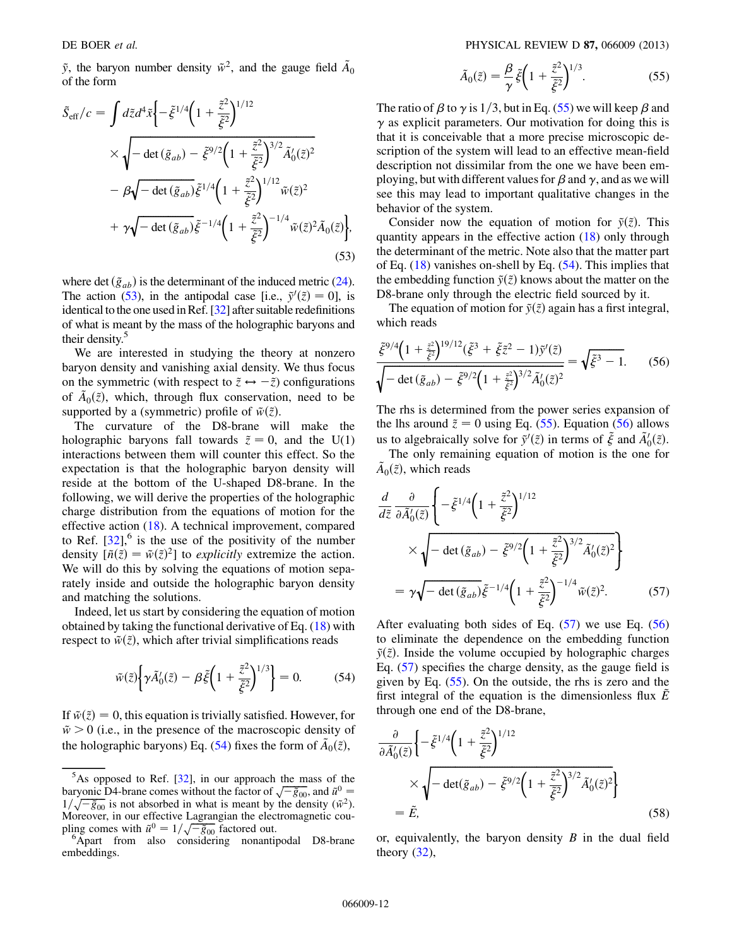$\tilde{y}$ , the baryon number density  $\tilde{w}^2$ , and the gauge field  $\tilde{A}_0$ of the form

<span id="page-12-0"></span>
$$
\tilde{S}_{\text{eff}}/c = \int d\tilde{z}d^4\tilde{x} \Biggl\{ -\tilde{\xi}^{1/4} \Biggl( 1 + \frac{\tilde{z}^2}{\tilde{\xi}^2} \Biggr)^{1/12} \Biggr\} \times \sqrt{-\det(\tilde{g}_{ab}) - \tilde{\xi}^{9/2} \Biggl( 1 + \frac{\tilde{z}^2}{\tilde{\xi}^2} \Biggr)^{3/2} \tilde{A}'_0(\tilde{z})^2} \n- \beta \sqrt{-\det(\tilde{g}_{ab})} \tilde{\xi}^{1/4} \Biggl( 1 + \frac{\tilde{z}^2}{\tilde{\xi}^2} \Biggr)^{1/12} \tilde{w}(\tilde{z})^2 \n+ \gamma \sqrt{-\det(\tilde{g}_{ab})} \tilde{\xi}^{-1/4} \Biggl( 1 + \frac{\tilde{z}^2}{\tilde{\xi}^2} \Biggr)^{-1/4} \tilde{w}(\tilde{z})^2 \tilde{A}_0(\tilde{z}) \Biggr\rbrace, \tag{53}
$$

where det  $(\tilde{g}_{ab})$  is the determinant of the induced metric [\(24](#page-6-1)). The action ([53\)](#page-12-0), in the antipodal case [i.e.,  $\tilde{y}'(\tilde{z}) = 0$ ], is identical to the one used in Ref. [32] after suitable redefinitions identical to the one usedin Ref. [\[32](#page-29-29)] after suitable redefinitions of what is meant by the mass of the holographic baryons and their density.<sup>5</sup>

We are interested in studying the theory at nonzero baryon density and vanishing axial density. We thus focus on the symmetric (with respect to  $\tilde{z} \leftrightarrow -\tilde{z}$ ) configurations of  $A_0(\tilde{z})$ , which, through flux conservation, need to be supported by a (symmetric) profile of  $\tilde{w}(\tilde{z})$ .

The curvature of the D8-brane will make the holographic baryons fall towards  $\tilde{z} = 0$ , and the U(1) interactions between them will counter this effect. So the expectation is that the holographic baryon density will reside at the bottom of the U-shaped D8-brane. In the following, we will derive the properties of the holographic charge distribution from the equations of motion for the effective action [\(18\)](#page-5-2). A technical improvement, compared to Ref.  $[32]$  $[32]$  $[32]$ , <sup>6</sup> is the use of the positivity of the number density  $[\tilde{n}(\tilde{z}) = \tilde{w}(\tilde{z})^2]$  to *explicitly* extremize the action.<br>We will do this by solving the equations of motion sena-We will do this by solving the equations of motion separately inside and outside the holographic baryon density and matching the solutions.

<span id="page-12-1"></span>Indeed, let us start by considering the equation of motion obtained by taking the functional derivative of Eq. ([18](#page-5-2)) with respect to  $\tilde{w}(\tilde{z})$ , which after trivial simplifications reads

$$
\tilde{w}(\tilde{z})\bigg\{\gamma\tilde{A}_0'(\tilde{z}) - \beta\tilde{\xi}\bigg(1 + \frac{\tilde{z}^2}{\tilde{\xi}^2}\bigg)^{1/3}\bigg\} = 0. \tag{54}
$$

If  $\tilde{w}(\tilde{z})=0$ , this equation is trivially satisfied. However, for  $\tilde{w} > 0$  (i.e., in the presence of the macroscopic density of the holographic baryons) Eq. ([54](#page-12-1)) fixes the form of  $\tilde{A}_0(\tilde{z})$ ,

$$
\tilde{A}_0(\tilde{z}) = \frac{\beta}{\gamma} \tilde{\xi} \left( 1 + \frac{\tilde{z}^2}{\tilde{\xi}^2} \right)^{1/3}.
$$
\n(55)

<span id="page-12-2"></span>The ratio of  $\beta$  to  $\gamma$  is 1/3, but in Eq. [\(55\)](#page-12-2) we will keep  $\beta$  and  $\gamma$  as explicit parameters. Our motivation for doing this is that it is conceivable that a more precise microscopic description of the system will lead to an effective mean-field description not dissimilar from the one we have been employing, but with different values for  $\beta$  and  $\gamma$ , and as we will see this may lead to important qualitative changes in the behavior of the system.

Consider now the equation of motion for  $\tilde{y}(\tilde{z})$ . This quantity appears in the effective action [\(18\)](#page-5-2) only through the determinant of the metric. Note also that the matter part of Eq.  $(18)$  vanishes on-shell by Eq.  $(54)$  $(54)$  $(54)$ . This implies that the embedding function  $\tilde{y}(\tilde{z})$  knows about the matter on the D8-brane only through the electric field sourced by it.

The equation of motion for  $\tilde{y}(\tilde{z})$  again has a first integral, which reads

<span id="page-12-3"></span>
$$
\frac{\tilde{\xi}^{9/4} \left(1 + \frac{\tilde{z}^2}{\tilde{\xi}^2}\right)^{19/12} (\tilde{\xi}^3 + \tilde{\xi}\tilde{z}^2 - 1)\tilde{y}'(\tilde{z})}{\sqrt{-\det(\tilde{g}_{ab}) - \tilde{\xi}^{9/2} \left(1 + \frac{\tilde{z}^2}{\tilde{\xi}^2}\right)^{3/2} \tilde{A}'_0(\tilde{z})^2}} = \sqrt{\tilde{\xi}^3 - 1}.
$$
 (56)

The rhs is determined from the power series expansion of the lhs around  $\tilde{z} = 0$  using Eq. ([55](#page-12-2)). Equation ([56](#page-12-3)) allows us to algebraically solve for  $\tilde{y}'(\tilde{z})$  in terms of  $\tilde{\xi}$  and  $\tilde{A}'_0(\tilde{z})$ .<br>The only remaining equation of motion is the one for

<span id="page-12-4"></span>The only remaining equation of motion is the one for  $A_0(\tilde{z})$ , which reads

$$
\frac{d}{d\tilde{z}} \frac{\partial}{\partial \tilde{A}'_0(\tilde{z})} \left\{ -\tilde{\xi}^{1/4} \left( 1 + \frac{\tilde{z}^2}{\tilde{\xi}^2} \right)^{1/12} \times \sqrt{-\det(\tilde{g}_{ab}) - \tilde{\xi}^{9/2} \left( 1 + \frac{\tilde{z}^2}{\tilde{\xi}^2} \right)^{3/2} \tilde{A}'_0(\tilde{z})^2} \right\}
$$
\n
$$
= \gamma \sqrt{-\det(\tilde{g}_{ab})} \tilde{\xi}^{-1/4} \left( 1 + \frac{\tilde{z}^2}{\tilde{\xi}^2} \right)^{-1/4} \tilde{w}(\tilde{z})^2.
$$
\n(57)

After evaluating both sides of Eq.  $(57)$  $(57)$  $(57)$  we use Eq.  $(56)$ to eliminate the dependence on the embedding function  $\tilde{y}(\tilde{z})$ . Inside the volume occupied by holographic charges Eq. ([57](#page-12-4)) specifies the charge density, as the gauge field is given by Eq.  $(55)$ . On the outside, the rhs is zero and the first integral of the equation is the dimensionless flux  $E^$ through one end of the D8-brane,

$$
\frac{\partial}{\partial \tilde{A}'_0(\tilde{z})} \left\{ -\tilde{\xi}^{1/4} \left( 1 + \frac{\tilde{z}^2}{\tilde{\xi}^2} \right)^{1/12} \right\}
$$
\n
$$
\times \sqrt{-\det(\tilde{g}_{ab}) - \tilde{\xi}^{9/2} \left( 1 + \frac{\tilde{z}^2}{\tilde{\xi}^2} \right)^{3/2} \tilde{A}'_0(\tilde{z})^2 \right\}
$$
\n
$$
= \tilde{E}, \tag{58}
$$

or, equivalently, the baryon density  $B$  in the dual field theory  $(32)$ ,

 $5$ As opposed to Ref. [[32](#page-29-29)], in our approach the mass of the baryonic D4-brane comes without the factor of  $\sqrt{-\tilde{g}_{00}}$ , and  $\tilde{u}^0 =$ <br> $1/\sqrt{-\tilde{g}_{00}}$  is not absorbed in what is meant by the density  $(\tilde{w}^2)$  $1/\sqrt{-\tilde{g}_{00}}$  is not absorbed in what is meant by the density ( $\tilde{w}^2$ ).<br>Moreover, in our effective Lagrangian the electromagnetic cou-Moreover, in our effective Lagrangian the electromagnetic coupling comes with  $\tilde{u}^0 = 1/\sqrt{\frac{g}{g}}_{00}$  factored out.<br><sup>6</sup> Apart from also considering nonantiing

<sup>&</sup>lt;sup>6</sup>Apart from also considering nonantipodal D8-brane embeddings.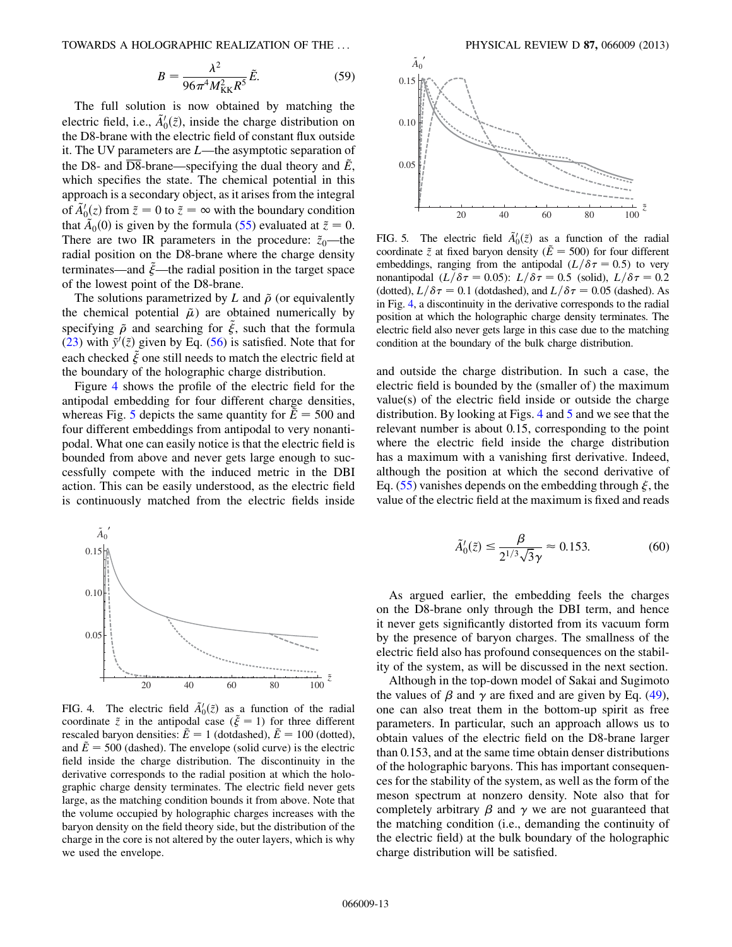TOWARDS A HOLOGRAPHIC REALIZATION OF THE ... PHYSICAL REVIEW D 87, 066009 (2013)

$$
B = \frac{\lambda^2}{96\pi^4 M_{\text{KK}}^2 R^5} \tilde{E}.
$$
 (59)

The full solution is now obtained by matching the electric field, i.e.,  $\tilde{A}'_0(\tilde{z})$ , inside the charge distribution on the D8-brane with the electric field of constant flux outside the D8-brane with the electric field of constant flux outside it. The UV parameters are  $L$ —the asymptotic separation of the D8- and  $\overline{D8}$ -brane—specifying the dual theory and  $\tilde{E}$ , which specifies the state. The chemical potential in this approach is a secondary object, as it arises from the integral of  $\tilde{A}'_0(z)$  from  $\tilde{z} = 0$  to  $\tilde{z} = \infty$  with the boundary condition<br>that  $\tilde{A}_1(0)$  is given by the formula (55) evaluated at  $\tilde{z} = 0$ that  $\tilde{A}_0(0)$  is given by the formula [\(55\)](#page-12-2) evaluated at  $\tilde{z}=0$ . There are two IR parameters in the procedure:  $\tilde{z}_0$ —the radial position on the D8-brane where the charge density terminates—and  $\tilde{\xi}$ —the radial position in the target space of the lowest point of the D8-brane.

The solutions parametrized by L and  $\tilde{\rho}$  (or equivalently the chemical potential  $\tilde{\mu}$ ) are obtained numerically by specifying  $\tilde{\rho}$  and searching for  $\tilde{\xi}$ , such that the formula [\(23\)](#page-6-6) with  $\tilde{y}'(\tilde{z})$  given by Eq. [\(56\)](#page-12-3) is satisfied. Note that for each checked  $\zeta$  one still needs to match the electric field at the boundary of the holographic charge distribution.

Figure [4](#page-13-0) shows the profile of the electric field for the antipodal embedding for four different charge densities, whereas Fig. [5](#page-13-1) depicts the same quantity for  $\tilde{E} = 500$  and four different embeddings from antipodal to very nonantipodal. What one can easily notice is that the electric field is bounded from above and never gets large enough to successfully compete with the induced metric in the DBI action. This can be easily understood, as the electric field is continuously matched from the electric fields inside

<span id="page-13-0"></span>

FIG. 4. The electric field  $\tilde{A}'_0(\tilde{z})$  as a function of the radial coordinate  $\tilde{z}$  in the antipodal case  $(\tilde{\xi} = 1)$  for three different coordinate  $\tilde{z}$  in the antipodal case  $(\tilde{\xi} = 1)$  for three different rescaled baryon densities:  $\tilde{E} = 1$  (dotdashed),  $\tilde{E} = 100$  (dotted), and  $\tilde{E} = 500$  (dashed). The envelope (solid curve) is the electric field inside the charge distribution. The discontinuity in the derivative corresponds to the radial position at which the holographic charge density terminates. The electric field never gets large, as the matching condition bounds it from above. Note that the volume occupied by holographic charges increases with the baryon density on the field theory side, but the distribution of the charge in the core is not altered by the outer layers, which is why we used the envelope.

<span id="page-13-1"></span>

FIG. 5. The electric field  $\tilde{A}'_0(\tilde{z})$  as a function of the radial coordinate  $\tilde{z}$  at fixed baryon density ( $\tilde{F} = 500$ ) for four different coordinate  $\tilde{z}$  at fixed baryon density ( $\tilde{E} = 500$ ) for four different embeddings, ranging from the antipodal  $(L/\delta \tau = 0.5)$  to very nonantipodal  $(L/\delta \tau = 0.05)$ :  $L/\delta \tau = 0.5$  (solid),  $L/\delta \tau = 0.2$ (dotted),  $L/\delta \tau = 0.1$  (dotdashed), and  $L/\delta \tau = 0.05$  (dashed). As in Fig. [4](#page-13-0), a discontinuity in the derivative corresponds to the radial position at which the holographic charge density terminates. The electric field also never gets large in this case due to the matching condition at the boundary of the bulk charge distribution.

and outside the charge distribution. In such a case, the electric field is bounded by the (smaller of ) the maximum value(s) of the electric field inside or outside the charge distribution. By looking at Figs. [4](#page-13-0) and [5](#page-13-1) and we see that the relevant number is about 0.15, corresponding to the point where the electric field inside the charge distribution has a maximum with a vanishing first derivative. Indeed, although the position at which the second derivative of Eq. ([55](#page-12-2)) vanishes depends on the embedding through  $\xi$ , the value of the electric field at the maximum is fixed and reads

<span id="page-13-2"></span>
$$
\tilde{A}'_0(\tilde{z}) \le \frac{\beta}{2^{1/3}\sqrt{3}\gamma} \approx 0.153. \tag{60}
$$

As argued earlier, the embedding feels the charges on the D8-brane only through the DBI term, and hence it never gets significantly distorted from its vacuum form by the presence of baryon charges. The smallness of the electric field also has profound consequences on the stability of the system, as will be discussed in the next section.

Although in the top-down model of Sakai and Sugimoto the values of  $\beta$  and  $\gamma$  are fixed and are given by Eq. ([49\)](#page-11-0), one can also treat them in the bottom-up spirit as free parameters. In particular, such an approach allows us to obtain values of the electric field on the D8-brane larger than 0.153, and at the same time obtain denser distributions of the holographic baryons. This has important consequences for the stability of the system, as well as the form of the meson spectrum at nonzero density. Note also that for completely arbitrary  $\beta$  and  $\gamma$  we are not guaranteed that the matching condition (i.e., demanding the continuity of the electric field) at the bulk boundary of the holographic charge distribution will be satisfied.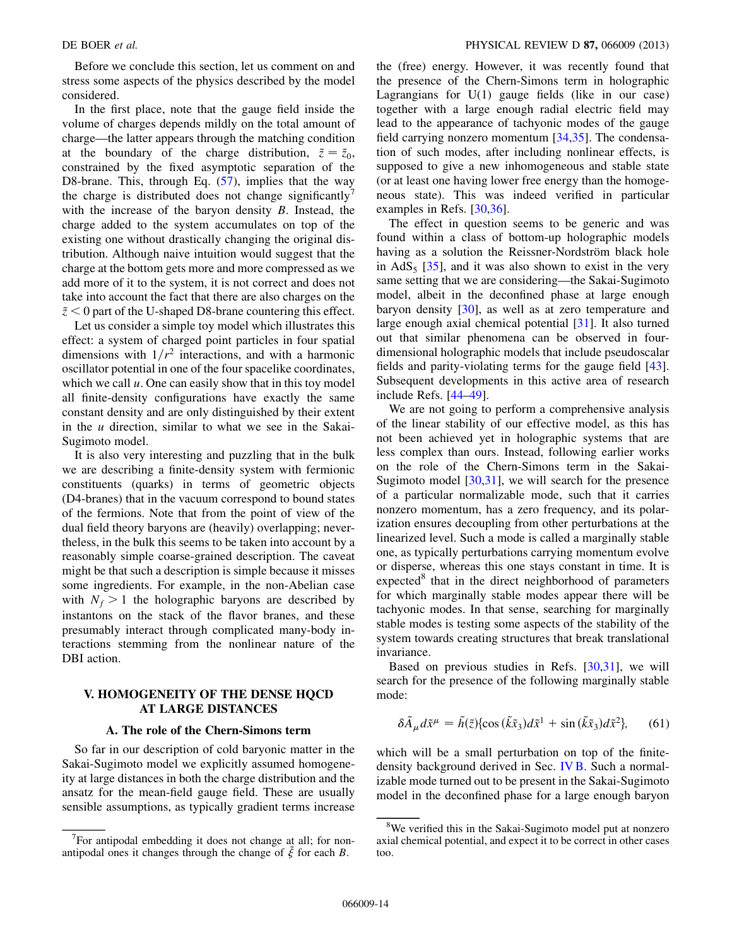Before we conclude this section, let us comment on and stress some aspects of the physics described by the model considered.

In the first place, note that the gauge field inside the volume of charges depends mildly on the total amount of charge—the latter appears through the matching condition at the boundary of the charge distribution,  $\tilde{z} = \tilde{z}_0$ , constrained by the fixed asymptotic separation of the D8-brane. This, through Eq.  $(57)$  $(57)$  $(57)$ , implies that the way the charge is distributed does not change significantly<sup> $\prime$ </sup> with the increase of the baryon density *B*. Instead, the charge added to the system accumulates on top of the existing one without drastically changing the original distribution. Although naive intuition would suggest that the charge at the bottom gets more and more compressed as we add more of it to the system, it is not correct and does not take into account the fact that there are also charges on the  $\tilde{z}$  < 0 part of the U-shaped D8-brane countering this effect.

Let us consider a simple toy model which illustrates this effect: a system of charged point particles in four spatial dimensions with  $1/r^2$  interactions, and with a harmonic oscillator potential in one of the four spacelike coordinates, which we call  $u$ . One can easily show that in this toy model all finite-density configurations have exactly the same constant density and are only distinguished by their extent in the  $u$  direction, similar to what we see in the Sakai-Sugimoto model.

It is also very interesting and puzzling that in the bulk we are describing a finite-density system with fermionic constituents (quarks) in terms of geometric objects (D4-branes) that in the vacuum correspond to bound states of the fermions. Note that from the point of view of the dual field theory baryons are (heavily) overlapping; nevertheless, in the bulk this seems to be taken into account by a reasonably simple coarse-grained description. The caveat might be that such a description is simple because it misses some ingredients. For example, in the non-Abelian case with  $N_f > 1$  the holographic baryons are described by instantons on the stack of the flavor branes, and these presumably interact through complicated many-body interactions stemming from the nonlinear nature of the DBI action.

#### <span id="page-14-0"></span>V. HOMOGENEITY OF THE DENSE HQCD AT LARGE DISTANCES

#### A. The role of the Chern-Simons term

So far in our description of cold baryonic matter in the Sakai-Sugimoto model we explicitly assumed homogeneity at large distances in both the charge distribution and the ansatz for the mean-field gauge field. These are usually sensible assumptions, as typically gradient terms increase the (free) energy. However, it was recently found that the presence of the Chern-Simons term in holographic Lagrangians for  $U(1)$  gauge fields (like in our case) together with a large enough radial electric field may lead to the appearance of tachyonic modes of the gauge field carrying nonzero momentum [[34](#page-29-32),[35](#page-29-33)]. The condensation of such modes, after including nonlinear effects, is supposed to give a new inhomogeneous and stable state (or at least one having lower free energy than the homogeneous state). This was indeed verified in particular examples in Refs. [[30](#page-29-35)[,36\]](#page-29-34).

The effect in question seems to be generic and was found within a class of bottom-up holographic models having as a solution the Reissner-Nordström black hole in  $AdS<sub>5</sub>$  [[35](#page-29-33)], and it was also shown to exist in the very same setting that we are considering—the Sakai-Sugimoto model, albeit in the deconfined phase at large enough baryon density [\[30\]](#page-29-35), as well as at zero temperature and large enough axial chemical potential [[31](#page-29-28)]. It also turned out that similar phenomena can be observed in fourdimensional holographic models that include pseudoscalar fields and parity-violating terms for the gauge field [[43\]](#page-29-42). Subsequent developments in this active area of research include Refs. [\[44–](#page-29-43)[49](#page-29-44)].

We are not going to perform a comprehensive analysis of the linear stability of our effective model, as this has not been achieved yet in holographic systems that are less complex than ours. Instead, following earlier works on the role of the Chern-Simons term in the Sakai-Sugimoto model  $[30,31]$  $[30,31]$ , we will search for the presence of a particular normalizable mode, such that it carries nonzero momentum, has a zero frequency, and its polarization ensures decoupling from other perturbations at the linearized level. Such a mode is called a marginally stable one, as typically perturbations carrying momentum evolve or disperse, whereas this one stays constant in time. It is expected $^8$  that in the direct neighborhood of parameters for which marginally stable modes appear there will be tachyonic modes. In that sense, searching for marginally stable modes is testing some aspects of the stability of the system towards creating structures that break translational invariance.

Based on previous studies in Refs. [[30,](#page-29-35)[31](#page-29-28)], we will search for the presence of the following marginally stable mode:

<span id="page-14-1"></span>
$$
\delta \tilde{A}_{\mu} d\tilde{x}^{\mu} = \tilde{h}(\tilde{z}) \{ \cos (\tilde{k}\tilde{x}_3) d\tilde{x}^1 + \sin (\tilde{k}\tilde{x}_3) d\tilde{x}^2 \}, \qquad (61)
$$

which will be a small perturbation on top of the finitedensity background derived in Sec. [IV B](#page-11-5). Such a normalizable mode turned out to be present in the Sakai-Sugimoto model in the deconfined phase for a large enough baryon

 $7$  For antipodal embedding it does not change at all; for nonantipodal ones it changes through the change of  $\zeta$  for each B.

<sup>&</sup>lt;sup>8</sup>We verified this in the Sakai-Sugimoto model put at nonzero axial chemical potential, and expect it to be correct in other cases too.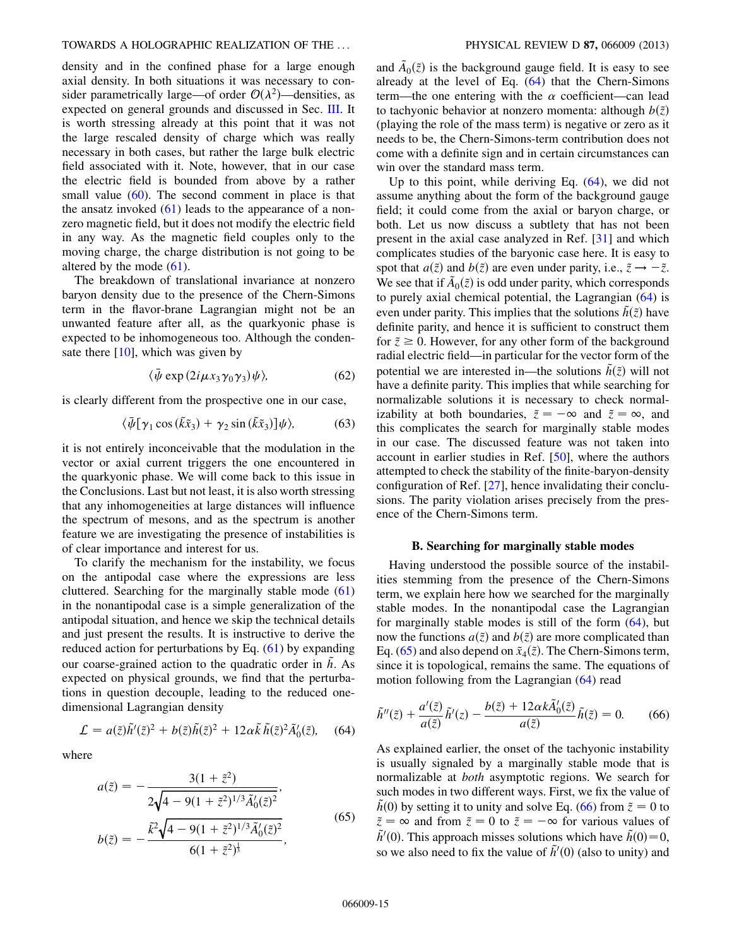density and in the confined phase for a large enough axial density. In both situations it was necessary to consider parametrically large—of order  $\mathcal{O}(\lambda^2)$ —densities, as<br>expected on general grounds and discussed in Sec. III. It expected on general grounds and discussed in Sec. [III](#page-8-0). It is worth stressing already at this point that it was not the large rescaled density of charge which was really necessary in both cases, but rather the large bulk electric field associated with it. Note, however, that in our case the electric field is bounded from above by a rather small value [\(60\)](#page-13-2). The second comment in place is that the ansatz invoked  $(61)$  $(61)$  $(61)$  leads to the appearance of a nonzero magnetic field, but it does not modify the electric field in any way. As the magnetic field couples only to the moving charge, the charge distribution is not going to be altered by the mode ([61](#page-14-1)).

The breakdown of translational invariance at nonzero baryon density due to the presence of the Chern-Simons term in the flavor-brane Lagrangian might not be an unwanted feature after all, as the quarkyonic phase is expected to be inhomogeneous too. Although the condensate there  $[10]$  $[10]$  $[10]$ , which was given by

$$
\langle \bar{\psi} \exp(2i\mu x_3 \gamma_0 \gamma_3) \psi \rangle, \tag{62}
$$

is clearly different from the prospective one in our case,

$$
\langle \bar{\psi} [\gamma_1 \cos(\tilde{k}\tilde{x}_3) + \gamma_2 \sin(\tilde{k}\tilde{x}_3)] \psi \rangle, \tag{63}
$$

it is not entirely inconceivable that the modulation in the vector or axial current triggers the one encountered in the quarkyonic phase. We will come back to this issue in the Conclusions. Last but not least, it is also worth stressing that any inhomogeneities at large distances will influence the spectrum of mesons, and as the spectrum is another feature we are investigating the presence of instabilities is of clear importance and interest for us.

To clarify the mechanism for the instability, we focus on the antipodal case where the expressions are less cluttered. Searching for the marginally stable mode [\(61\)](#page-14-1) in the nonantipodal case is a simple generalization of the antipodal situation, and hence we skip the technical details and just present the results. It is instructive to derive the reduced action for perturbations by Eq. [\(61\)](#page-14-1) by expanding our coarse-grained action to the quadratic order in  $\tilde{h}$ . As expected on physical grounds, we find that the perturbations in question decouple, leading to the reduced onedimensional Lagrangian density

<span id="page-15-0"></span>
$$
\mathcal{L} = a(\tilde{z})\tilde{h}'(\tilde{z})^2 + b(\tilde{z})\tilde{h}(\tilde{z})^2 + 12\alpha\tilde{k}\,\tilde{h}(\tilde{z})^2\tilde{A}'_0(\tilde{z}), \quad (64)
$$

<span id="page-15-1"></span>where

$$
a(\tilde{z}) = -\frac{3(1+\tilde{z}^2)}{2\sqrt{4-9(1+\tilde{z}^2)^{1/3}\tilde{A}'_0(\tilde{z})^2}},
$$
  

$$
b(\tilde{z}) = -\frac{\tilde{k}^2\sqrt{4-9(1+\tilde{z}^2)^{1/3}\tilde{A}'_0(\tilde{z})^2}}{6(1+\tilde{z}^2)^{\frac{1}{3}}},
$$
(65)

and  $\tilde{A}_0(\tilde{z})$  is the background gauge field. It is easy to see already at the level of Eq. [\(64\)](#page-15-0) that the Chern-Simons term—the one entering with the  $\alpha$  coefficient—can lead to tachyonic behavior at nonzero momenta: although  $b(\tilde{z})$ (playing the role of the mass term) is negative or zero as it needs to be, the Chern-Simons-term contribution does not come with a definite sign and in certain circumstances can win over the standard mass term.

Up to this point, while deriving Eq. ([64](#page-15-0)), we did not assume anything about the form of the background gauge field; it could come from the axial or baryon charge, or both. Let us now discuss a subtlety that has not been present in the axial case analyzed in Ref. [[31](#page-29-28)] and which complicates studies of the baryonic case here. It is easy to spot that  $a(\tilde{z})$  and  $b(\tilde{z})$  are even under parity, i.e.,  $\tilde{z} \rightarrow -\tilde{z}$ . We see that if  $\tilde{A}_0(\tilde{z})$  is odd under parity, which corresponds to purely axial chemical potential, the Lagrangian ([64](#page-15-0)) is even under parity. This implies that the solutions  $\hat{h}(\tilde{z})$  have definite parity, and hence it is sufficient to construct them for  $\tilde{z} \geq 0$ . However, for any other form of the background radial electric field—in particular for the vector form of the radial electric field—in particular for the vector form of the potential we are interested in—the solutions  $\tilde{h}(\tilde{z})$  will not have a definite parity. This implies that while searching for normalizable solutions it is necessary to check normalizability at both boundaries,  $\tilde{z} = -\infty$  and  $\tilde{z} = \infty$ , and this complicates the search for marginally stable modes in our case. The discussed feature was not taken into account in earlier studies in Ref. [\[50\]](#page-29-45), where the authors attempted to check the stability of the finite-baryon-density configuration of Ref. [\[27\]](#page-29-25), hence invalidating their conclusions. The parity violation arises precisely from the presence of the Chern-Simons term.

#### B. Searching for marginally stable modes

Having understood the possible source of the instabilities stemming from the presence of the Chern-Simons term, we explain here how we searched for the marginally stable modes. In the nonantipodal case the Lagrangian for marginally stable modes is still of the form  $(64)$ , but now the functions  $a(\tilde{z})$  and  $b(\tilde{z})$  are more complicated than Eq. ([65](#page-15-1)) and also depend on  $\tilde{x}_4(\tilde{z})$ . The Chern-Simons term, since it is topological, remains the same. The equations of motion following from the Lagrangian ([64](#page-15-0)) read

<span id="page-15-2"></span>
$$
\tilde{h}''(\tilde{z}) + \frac{a'(\tilde{z})}{a(\tilde{z})}\tilde{h}'(z) - \frac{b(\tilde{z}) + 12\alpha k \tilde{A}'_0(\tilde{z})}{a(\tilde{z})}\tilde{h}(\tilde{z}) = 0.
$$
 (66)

As explained earlier, the onset of the tachyonic instability is usually signaled by a marginally stable mode that is normalizable at both asymptotic regions. We search for such modes in two different ways. First, we fix the value of  $h(0)$  by setting it to unity and solve Eq. [\(66\)](#page-15-2) from  $\tilde{z} = 0$  to  $\tilde{z} = \infty$  and from  $\tilde{z} = 0$  to  $\tilde{z} = -\infty$  for various values of  $\tilde{h}'(0)$ . This approach misses solutions which have  $\tilde{h}(0) = 0$ ,<br>so we also need to fix the value of  $\tilde{h}'(0)$  (also to unity) and so we also need to fix the value of  $\tilde{h}'(0)$  (also to unity) and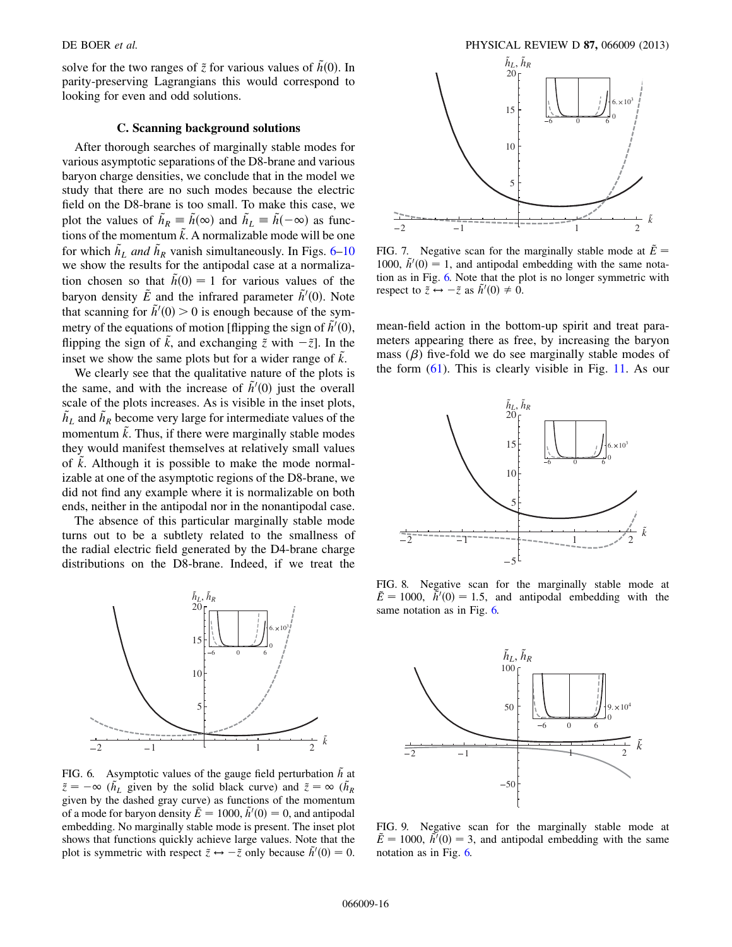solve for the two ranges of  $\tilde{z}$  for various values of  $\tilde{h}(0)$ . In parity-preserving Lagrangians this would correspond to looking for even and odd solutions.

#### C. Scanning background solutions

After thorough searches of marginally stable modes for various asymptotic separations of the D8-brane and various baryon charge densities, we conclude that in the model we study that there are no such modes because the electric field on the D8-brane is too small. To make this case, we plot the values of  $\tilde{h}_R = \tilde{h}(\infty)$  and  $\tilde{h}_L = \tilde{h}(-\infty)$  as func-<br>tions of the momentum  $\tilde{k}$ . A pormalizable mode will be one tions of the momentum  $\tilde{k}$ . A normalizable mode will be one for which  $\tilde{h}_L$  and  $\tilde{h}_R$  vanish simultaneously. In Figs. [6](#page-16-0)–[10](#page-17-1) we show the results for the antipodal case at a normalization chosen so that  $h(0) = 1$  for various values of the baryon density  $\tilde{E}$  and the infrared parameter  $\tilde{h}'(0)$ . Note<br>that scanning for  $\tilde{h}'(0) > 0$  is enough because of the symthat scanning for  $\tilde{h}'(0) > 0$  is enough because of the sym-<br>matry of the equations of motion [flipping the sign of  $\tilde{h}'(0)$ ] metry of the equations of motion [flipping the sign of  $\tilde{h}'(0)$ ,<br>flipping the sign of  $\tilde{k}$ , and exchanging  $\tilde{z}$  with  $-\tilde{z}$ ]. In the flipping the sign of  $\tilde{k}$ , and exchanging  $\tilde{z}$  with  $-\tilde{z}$ ]. In the<br>inset we show the same plots but for a wider range of  $\tilde{k}$ inset we show the same plots but for a wider range of  $\tilde{k}$ .

We clearly see that the qualitative nature of the plots is the same, and with the increase of  $\tilde{h}'(0)$  just the overall<br>scale of the plots increases. As is visible in the inset plots scale of the plots increases. As is visible in the inset plots,  $\tilde{h}_L$  and  $\tilde{h}_R$  become very large for intermediate values of the momentum  $\tilde{k}$ . Thus, if there were marginally stable modes they would manifest themselves at relatively small values of  $\tilde{k}$ . Although it is possible to make the mode normalizable at one of the asymptotic regions of the D8-brane, we did not find any example where it is normalizable on both ends, neither in the antipodal nor in the nonantipodal case.

The absence of this particular marginally stable mode turns out to be a subtlety related to the smallness of the radial electric field generated by the D4-brane charge distributions on the D8-brane. Indeed, if we treat the

<span id="page-16-0"></span>

FIG. 6. Asymptotic values of the gauge field perturbation  $\tilde{h}$  at  $\tilde{z} = -\infty$  ( $\tilde{h}_L$  given by the solid black curve) and  $\tilde{z} = \infty$  ( $\tilde{h}_R$ <br>given by the dashed gray curve) as functions of the momentum given by the dashed gray curve) as functions of the momentum For a mode for baryon density  $\tilde{E} = 1000$ ,  $\tilde{h}'(0) = 0$ , and antipodal of a mode for baryon density  $\tilde{E} = 1000$ ,  $\tilde{h}'(0) = 0$ , and antipodal embedding. No marginally stable mode is present. The inset plot shows that functions quickly achieve large values. Note that the plot is symmetric with respect  $\tilde{z} \leftrightarrow -\tilde{z}$  only because  $\tilde{h}'(0) = 0$ .



FIG. 7. Negative scan for the marginally stable mode at  $\tilde{E}$  = 1000,  $\hat{h}'(0) = 1$ , and antipodal embedding with the same nota-<br>tion as in Fig. 6. Note that the plot is no longer symmetric with tion as in Fig. [6.](#page-16-0) Note that the plot is no longer symmetric with respect to  $\tilde{z} \leftrightarrow -\tilde{z}$  as  $\tilde{h}'(0) \neq 0$ .

mean-field action in the bottom-up spirit and treat parameters appearing there as free, by increasing the baryon mass  $(\beta)$  five-fold we do see marginally stable modes of the form [\(61\)](#page-14-1). This is clearly visible in Fig. [11.](#page-17-2) As our



FIG. 8. Negative scan for the marginally stable mode at  $\tilde{E} = 1000$ ,  $\tilde{h}'(0) = 1.5$ , and antipodal embedding with the same notation as in Fig. [6.](#page-16-0)



FIG. 9. Negative scan for the marginally stable mode at  $\tilde{E} = 1000$ ,  $\tilde{h}'(0) = 3$ , and antipodal embedding with the same<br>notation as in Fig. 6. notation as in Fig. [6.](#page-16-0)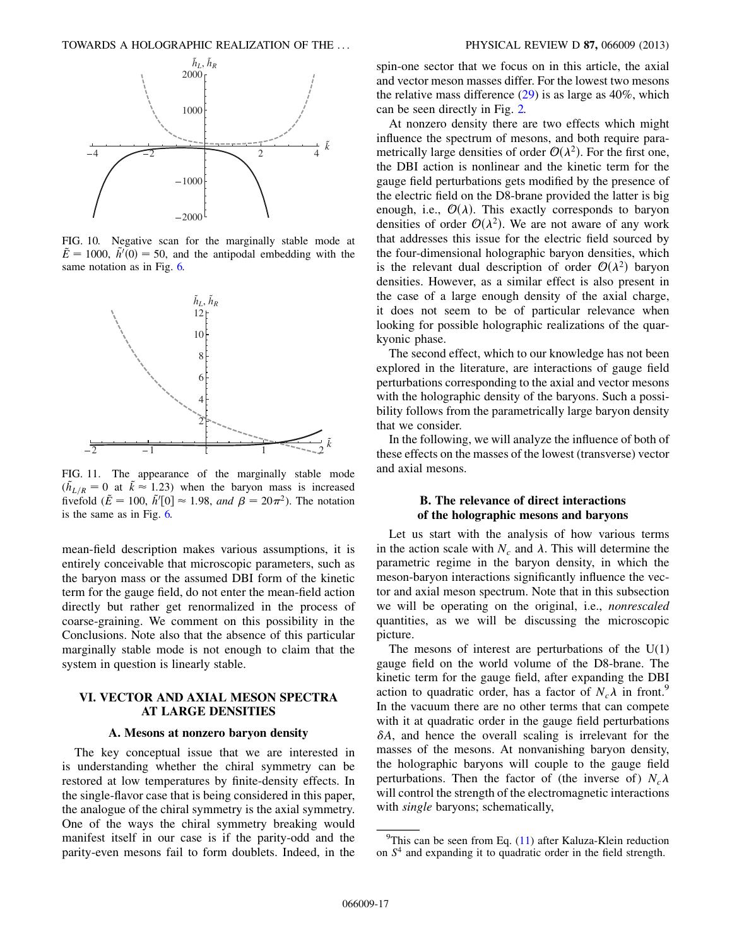<span id="page-17-1"></span>

FIG. 10. Negative scan for the marginally stable mode at  $\vec{E} = 1000$ ,  $\vec{h}'(0) = 50$ , and the antipodal embedding with the same notation as in Fig. 6. same notation as in Fig. [6.](#page-16-0)

<span id="page-17-2"></span>

FIG. 11. The appearance of the marginally stable mode  $(h_{L/R} = 0 \text{ at } k \approx 1.23)$  when the baryon mass is increased<br> $f_{Wd}$  fold  $(\tilde{F} - 100 \tilde{F}^{T} \Omega)$  when the baryon mass is increased fivefold  $(\tilde{E} = 100, \tilde{h}^{\prime}[0] \approx 1.98,$  and  $\beta = 20\pi^2$ ). The notation<br>is the same as in Fig. 6 is the same as in Fig. [6.](#page-16-0)

mean-field description makes various assumptions, it is entirely conceivable that microscopic parameters, such as the baryon mass or the assumed DBI form of the kinetic term for the gauge field, do not enter the mean-field action directly but rather get renormalized in the process of coarse-graining. We comment on this possibility in the Conclusions. Note also that the absence of this particular marginally stable mode is not enough to claim that the system in question is linearly stable.

## <span id="page-17-0"></span>VI. VECTOR AND AXIAL MESON SPECTRA AT LARGE DENSITIES

#### A. Mesons at nonzero baryon density

The key conceptual issue that we are interested in is understanding whether the chiral symmetry can be restored at low temperatures by finite-density effects. In the single-flavor case that is being considered in this paper, the analogue of the chiral symmetry is the axial symmetry. One of the ways the chiral symmetry breaking would manifest itself in our case is if the parity-odd and the parity-even mesons fail to form doublets. Indeed, in the spin-one sector that we focus on in this article, the axial and vector meson masses differ. For the lowest two mesons the relative mass difference  $(29)$  $(29)$  $(29)$  is as large as  $40\%$ , which can be seen directly in Fig. [2.](#page-7-0)

At nonzero density there are two effects which might influence the spectrum of mesons, and both require parametrically large densities of order  $\mathcal{O}(\lambda^2)$ . For the first one,<br>the DBI action is nonlinear and the kinetic term for the the DBI action is nonlinear and the kinetic term for the gauge field perturbations gets modified by the presence of the electric field on the D8-brane provided the latter is big enough, i.e.,  $\mathcal{O}(\lambda)$ . This exactly corresponds to baryon<br>densities of order  $\mathcal{O}(\lambda^2)$ . We are not aware of any work densities of order  $\mathcal{O}(\lambda^2)$ . We are not aware of any work<br>that addresses this issue for the electric field sourced by that addresses this issue for the electric field sourced by the four-dimensional holographic baryon densities, which is the relevant dual description of order  $O(\lambda^2)$  baryon<br>densities However as a similar effect is also present in densities. However, as a similar effect is also present in the case of a large enough density of the axial charge, it does not seem to be of particular relevance when looking for possible holographic realizations of the quarkyonic phase.

The second effect, which to our knowledge has not been explored in the literature, are interactions of gauge field perturbations corresponding to the axial and vector mesons with the holographic density of the baryons. Such a possibility follows from the parametrically large baryon density that we consider.

In the following, we will analyze the influence of both of these effects on the masses of the lowest (transverse) vector and axial mesons.

#### B. The relevance of direct interactions of the holographic mesons and baryons

Let us start with the analysis of how various terms in the action scale with  $N_c$  and  $\lambda$ . This will determine the parametric regime in the baryon density, in which the meson-baryon interactions significantly influence the vector and axial meson spectrum. Note that in this subsection we will be operating on the original, i.e., nonrescaled quantities, as we will be discussing the microscopic picture.

The mesons of interest are perturbations of the  $U(1)$ gauge field on the world volume of the D8-brane. The kinetic term for the gauge field, after expanding the DBI action to quadratic order, has a factor of  $N_c \lambda$  in front.<sup>9</sup> In the vacuum there are no other terms that can compete with it at quadratic order in the gauge field perturbations  $\delta A$ , and hence the overall scaling is irrelevant for the masses of the mesons. At nonvanishing baryon density, the holographic baryons will couple to the gauge field perturbations. Then the factor of (the inverse of)  $N_c \lambda$ will control the strength of the electromagnetic interactions with single baryons; schematically,

 $^{9}$ This can be seen from Eq. [\(11\)](#page-5-0) after Kaluza-Klein reduction on  $S<sup>4</sup>$  and expanding it to quadratic order in the field strength.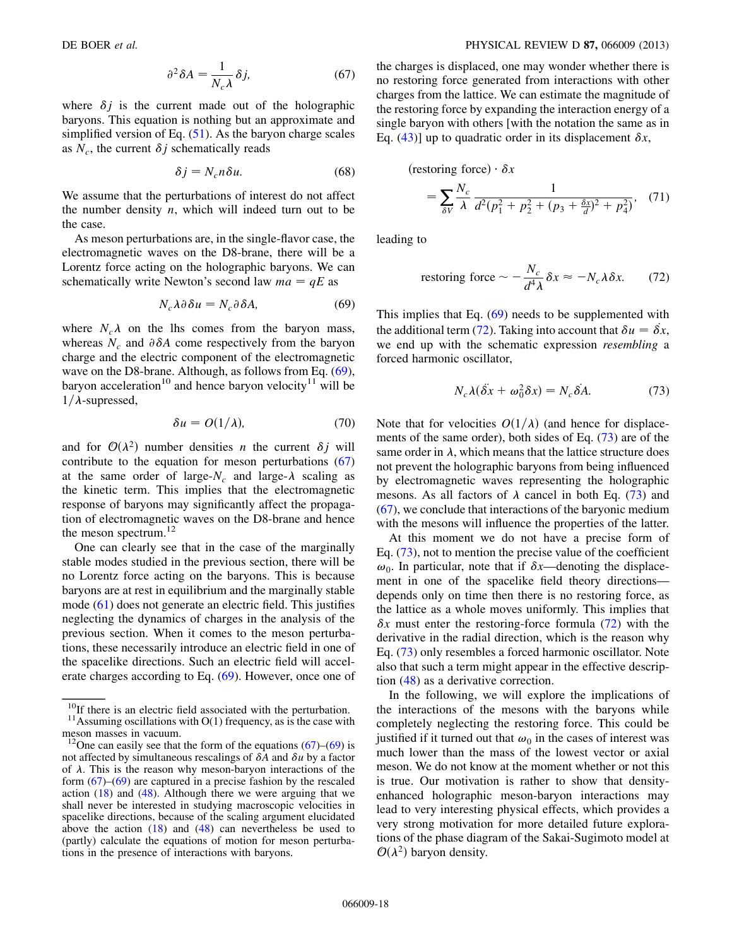$$
\partial^2 \delta A = \frac{1}{N_c \lambda} \delta j,\tag{67}
$$

<span id="page-18-1"></span>where  $\delta j$  is the current made out of the holographic baryons. This equation is nothing but an approximate and simplified version of Eq.  $(51)$ . As the baryon charge scales as  $N_c$ , the current  $\delta j$  schematically reads

$$
\delta j = N_c n \delta u. \tag{68}
$$

We assume that the perturbations of interest do not affect the number density  $n$ , which will indeed turn out to be the case.

As meson perturbations are, in the single-flavor case, the electromagnetic waves on the D8-brane, there will be a Lorentz force acting on the holographic baryons. We can schematically write Newton's second law  $ma = qE$  as

$$
N_c \lambda \partial \delta u = N_c \partial \delta A, \tag{69}
$$

<span id="page-18-0"></span>where  $N_c \lambda$  on the lhs comes from the baryon mass, whereas  $N_c$  and  $\partial \delta A$  come respectively from the baryon charge and the electric component of the electromagnetic wave on the D8-brane. Although, as follows from Eq. ([69\)](#page-18-0), baryon acceleration<sup>10</sup> and hence baryon velocity<sup>11</sup> will be  $1/\lambda$ -supressed,

$$
\delta u = O(1/\lambda),\tag{70}
$$

and for  $\mathcal{O}(\lambda^2)$  number densities *n* the current  $\delta j$  will<br>contribute to the equation for meson perturbations (67) contribute to the equation for meson perturbations [\(67\)](#page-18-1) at the same order of large- $N_c$  and large- $\lambda$  scaling as the kinetic term. This implies that the electromagnetic response of baryons may significantly affect the propagation of electromagnetic waves on the D8-brane and hence the meson spectrum. $^{12}$ 

One can clearly see that in the case of the marginally stable modes studied in the previous section, there will be no Lorentz force acting on the baryons. This is because baryons are at rest in equilibrium and the marginally stable mode [\(61\)](#page-14-1) does not generate an electric field. This justifies neglecting the dynamics of charges in the analysis of the previous section. When it comes to the meson perturbations, these necessarily introduce an electric field in one of the spacelike directions. Such an electric field will accelerate charges according to Eq. ([69](#page-18-0)). However, once one of the charges is displaced, one may wonder whether there is no restoring force generated from interactions with other charges from the lattice. We can estimate the magnitude of the restoring force by expanding the interaction energy of a single baryon with others [with the notation the same as in Eq. ([43](#page-10-0))] up to quadratic order in its displacement  $\delta x$ ,

(restoring force)  $\cdot \delta x$ 

$$
= \sum_{\delta V} \frac{N_c}{\lambda} \frac{1}{d^2 (p_1^2 + p_2^2 + (p_3 + \frac{\delta x}{d})^2 + p_4^2)},
$$
 (71)

<span id="page-18-2"></span>leading to

restoring force 
$$
\sim -\frac{N_c}{d^4 \lambda} \delta x \approx -N_c \lambda \delta x.
$$
 (72)

<span id="page-18-3"></span>This implies that Eq. [\(69\)](#page-18-0) needs to be supplemented with the additional term ([72](#page-18-2)). Taking into account that  $\delta u = \delta x$ , we end up with the schematic expression resembling a forced harmonic oscillator,

$$
N_c \lambda (\dot{\delta x} + \omega_0^2 \delta x) = N_c \dot{\delta A}.
$$
 (73)

Note that for velocities  $O(1/\lambda)$  (and hence for displace-<br>ments of the same order) both sides of Eq. (73) are of the ments of the same order), both sides of Eq. [\(73\)](#page-18-3) are of the same order in  $\lambda$ , which means that the lattice structure does not prevent the holographic baryons from being influenced by electromagnetic waves representing the holographic mesons. As all factors of  $\lambda$  cancel in both Eq. ([73](#page-18-3)) and [\(67\)](#page-18-1), we conclude that interactions of the baryonic medium with the mesons will influence the properties of the latter.

At this moment we do not have a precise form of Eq. [\(73\)](#page-18-3), not to mention the precise value of the coefficient  $\omega_0$ . In particular, note that if  $\delta x$ —denoting the displacement in one of the spacelike field theory directions depends only on time then there is no restoring force, as the lattice as a whole moves uniformly. This implies that  $\delta x$  must enter the restoring-force formula ([72](#page-18-2)) with the derivative in the radial direction, which is the reason why Eq. [\(73\)](#page-18-3) only resembles a forced harmonic oscillator. Note also that such a term might appear in the effective description ([48](#page-11-3)) as a derivative correction.

In the following, we will explore the implications of the interactions of the mesons with the baryons while completely neglecting the restoring force. This could be justified if it turned out that  $\omega_0$  in the cases of interest was much lower than the mass of the lowest vector or axial meson. We do not know at the moment whether or not this is true. Our motivation is rather to show that densityenhanced holographic meson-baryon interactions may lead to very interesting physical effects, which provides a very strong motivation for more detailed future explorations of the phase diagram of the Sakai-Sugimoto model at  $\mathcal{O}(\lambda^2)$  baryon density.

<sup>&</sup>lt;sup>10</sup>If there is an electric field associated with the perturbation. <sup>11</sup>Assuming oscillations with O(1) frequency, as is the case with meson masses in vacuum.

<sup>&</sup>lt;sup>12</sup>One can easily see that the form of the equations  $(67)$ – $(69)$  $(69)$  $(69)$  is not affected by simultaneous rescalings of  $\delta \bar{A}$  and  $\delta u$  by a factor of  $\lambda$ . This is the reason why meson-baryon interactions of the form [\(67\)](#page-18-1)–([69](#page-18-0)) are captured in a precise fashion by the rescaled action  $(18)$  $(18)$  $(18)$  and  $(48)$  $(48)$  $(48)$ . Although there we were arguing that we shall never be interested in studying macroscopic velocities in spacelike directions, because of the scaling argument elucidated above the action  $(18)$  and  $(48)$  can nevertheless be used to (partly) calculate the equations of motion for meson perturbations in the presence of interactions with baryons.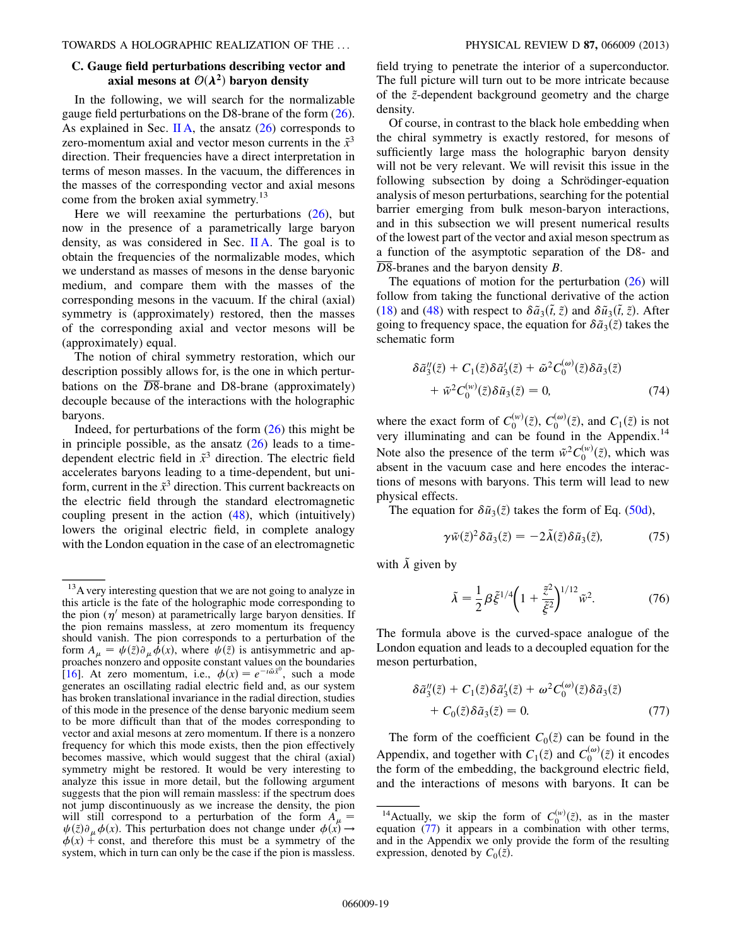#### C. Gauge field perturbations describing vector and axial mesons at  $\mathcal{O}(\lambda^2)$  baryon density

In the following, we will search for the normalizable gauge field perturbations on the D8-brane of the form ([26\)](#page-6-4). As explained in Sec. [II A,](#page-4-2) the ansatz  $(26)$  corresponds to zero-momentum axial and vector meson currents in the  $\tilde{x}^3$ direction. Their frequencies have a direct interpretation in terms of meson masses. In the vacuum, the differences in the masses of the corresponding vector and axial mesons come from the broken axial symmetry.<sup>13</sup>

Here we will reexamine the perturbations  $(26)$ , but now in the presence of a parametrically large baryon density, as was considered in Sec. [II A.](#page-4-2) The goal is to obtain the frequencies of the normalizable modes, which we understand as masses of mesons in the dense baryonic medium, and compare them with the masses of the corresponding mesons in the vacuum. If the chiral (axial) symmetry is (approximately) restored, then the masses of the corresponding axial and vector mesons will be (approximately) equal.

The notion of chiral symmetry restoration, which our description possibly allows for, is the one in which perturbations on the  $\overline{D8}$ -brane and D8-brane (approximately) decouple because of the interactions with the holographic baryons.

Indeed, for perturbations of the form  $(26)$  $(26)$  this might be in principle possible, as the ansatz  $(26)$  leads to a timedependent electric field in  $\tilde{x}^3$  direction. The electric field accelerates baryons leading to a time-dependent, but uniform, current in the  $\tilde{x}^3$  direction. This current backreacts on the electric field through the standard electromagnetic coupling present in the action ([48](#page-11-3)), which (intuitively) lowers the original electric field, in complete analogy with the London equation in the case of an electromagnetic field trying to penetrate the interior of a superconductor. The full picture will turn out to be more intricate because of the  $\tilde{z}$ -dependent background geometry and the charge density.

Of course, in contrast to the black hole embedding when the chiral symmetry is exactly restored, for mesons of sufficiently large mass the holographic baryon density will not be very relevant. We will revisit this issue in the following subsection by doing a Schrödinger-equation analysis of meson perturbations, searching for the potential barrier emerging from bulk meson-baryon interactions, and in this subsection we will present numerical results of the lowest part of the vector and axial meson spectrum as a function of the asymptotic separation of the D8- and D8-branes and the baryon density B.

The equations of motion for the perturbation  $(26)$  will follow from taking the functional derivative of the action [\(18\)](#page-5-2) and [\(48\)](#page-11-3) with respect to  $\delta \tilde{a}_{3}(\tilde{t}, \tilde{z})$  and  $\delta \tilde{u}_{3}(\tilde{t}, \tilde{z})$ . After going to frequency space, the equation for  $\delta \tilde{a}_{3}(\tilde{z})$  takes the schematic form

$$
\delta \tilde{a}_3''(\tilde{z}) + C_1(\tilde{z}) \delta \tilde{a}_3'(\tilde{z}) + \tilde{\omega}^2 C_0^{(\omega)}(\tilde{z}) \delta \tilde{a}_3(\tilde{z}) \n+ \tilde{w}^2 C_0^{(\omega)}(\tilde{z}) \delta \tilde{u}_3(\tilde{z}) = 0,
$$
\n(74)

where the exact form of  $C_0^{(w)}(\tilde{z})$ ,  $C_0^{(\omega)}(\tilde{z})$ , and  $C_1(\tilde{z})$  is not very illuminating and can be found in the Appendix.<sup>14</sup> Note also the presence of the term  $\tilde{w}^2 C_0^{(w)}(\tilde{z})$ , which was absent in the vacuum case and here encodes the interacabsent in the vacuum case and here encodes the interactions of mesons with baryons. This term will lead to new physical effects.

The equation for  $\delta \tilde{u}_3(\tilde{z})$  takes the form of Eq. [\(50d](#page-11-1)),

$$
\gamma \tilde{w}(\tilde{z})^2 \delta \tilde{a}_3(\tilde{z}) = -2 \tilde{\lambda}(\tilde{z}) \delta \tilde{u}_3(\tilde{z}), \qquad (75)
$$

with  $\tilde{\lambda}$  given by

$$
\tilde{\lambda} = \frac{1}{2} \beta \tilde{\xi}^{1/4} \left( 1 + \frac{\tilde{z}^2}{\tilde{\xi}^2} \right)^{1/12} \tilde{w}^2. \tag{76}
$$

<span id="page-19-0"></span>The formula above is the curved-space analogue of the London equation and leads to a decoupled equation for the meson perturbation,

$$
\delta \tilde{a}_3''(\tilde{z}) + C_1(\tilde{z}) \delta \tilde{a}_3'(\tilde{z}) + \omega^2 C_0^{(\omega)}(\tilde{z}) \delta \tilde{a}_3(\tilde{z}) + C_0(\tilde{z}) \delta \tilde{a}_3(\tilde{z}) = 0.
$$
\n(77)

The form of the coefficient  $C_0(\tilde{z})$  can be found in the Appendix, and together with  $C_1(\tilde{z})$  and  $C_0^{(\omega)}(\tilde{z})$  it encodes<br>the form of the embedding the background electric field the form of the embedding, the background electric field, and the interactions of mesons with baryons. It can be

<sup>&</sup>lt;sup>13</sup>A very interesting question that we are not going to analyze in this article is the fate of the holographic mode corresponding to the pion  $(\eta'$  meson) at parametrically large baryon densities. If the pion remains massless, at zero momentum its frequency should vanish. The pion corresponds to a perturbation of the form  $A_{\mu} = \psi(\tilde{z})\partial_{\mu}\tilde{\phi}(x)$ , where  $\psi(\tilde{z})$  is antisymmetric and ap-proaches nonzero and opposite constant values on the boundaries [\[16\]](#page-29-14). At zero momentum, i.e.,  $\phi(x) = e^{-i\tilde{\omega}x^0}$ , such a mode generates an oscillating radial electric field and, as our system generates an oscillating radial electric field and, as our system has broken translational invariance in the radial direction, studies of this mode in the presence of the dense baryonic medium seem to be more difficult than that of the modes corresponding to vector and axial mesons at zero momentum. If there is a nonzero frequency for which this mode exists, then the pion effectively becomes massive, which would suggest that the chiral (axial) symmetry might be restored. It would be very interesting to analyze this issue in more detail, but the following argument suggests that the pion will remain massless: if the spectrum does not jump discontinuously as we increase the density, the pion will still correspond to a perturbation of the form  $A_{\mu}$  = will still correspond to a perturbation of the form  $A_{\mu} = \psi(\tilde{z})\partial_{\mu}\phi(x)$ . This perturbation does not change under  $\phi(x) \rightarrow \phi(x) + \text{const.}$  and therefore this must be a symmetry of the  $\phi(x)$  f const, and therefore this must be a symmetry of the system, which in turn can only be the case if the pion is massless.

<sup>&</sup>lt;sup>14</sup> Actually, we skip the form of  $C_0^{(w)}(\tilde{z})$ , as in the master equation ([77](#page-19-0)) it appears in a combination with other terms, and in the Appendix we only provide the form of the resulting expression, denoted by  $C_0(\tilde{z})$ .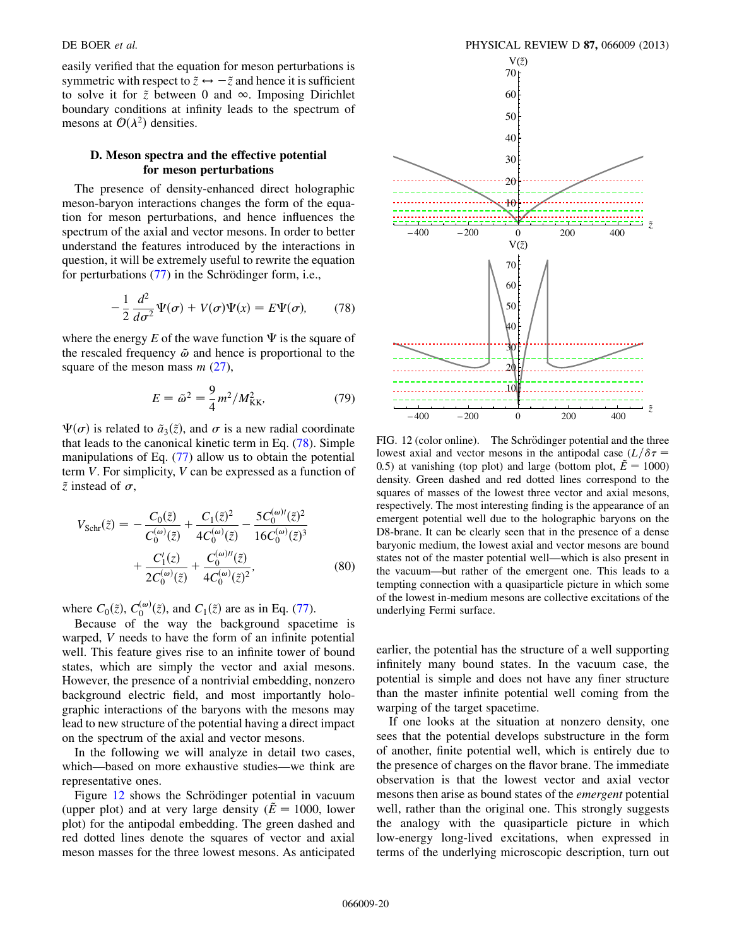easily verified that the equation for meson perturbations is symmetric with respect to  $\tilde{z} \leftrightarrow -\tilde{z}$  and hence it is sufficient to solve it for  $\zeta$  between 0 and  $\infty$ . Imposing Dirichlet boundary conditions at infinity leads to the spectrum of mesons at  $\mathcal{O}(\lambda^2)$  densities.

## <span id="page-20-0"></span>D. Meson spectra and the effective potential for meson perturbations

The presence of density-enhanced direct holographic meson-baryon interactions changes the form of the equation for meson perturbations, and hence influences the spectrum of the axial and vector mesons. In order to better understand the features introduced by the interactions in question, it will be extremely useful to rewrite the equation for perturbations  $(77)$  $(77)$  in the Schrödinger form, i.e.,

<span id="page-20-1"></span>
$$
-\frac{1}{2}\frac{d^2}{d\sigma^2}\Psi(\sigma) + V(\sigma)\Psi(x) = E\Psi(\sigma),\qquad(78)
$$

where the energy E of the wave function  $\Psi$  is the square of the rescaled frequency  $\tilde{\omega}$  and hence is proportional to the square of the meson mass  $m(27)$  $m(27)$  $m(27)$ ,

$$
E = \tilde{\omega}^2 = \frac{9}{4}m^2/M_{\text{KK}}^2,\tag{79}
$$

 $\Psi(\sigma)$  is related to  $\tilde{a}_3(\tilde{z})$ , and  $\sigma$  is a new radial coordinate<br>that leads to the canonical kinetic term in Eq. (78). Simple that leads to the canonical kinetic term in Eq. [\(78\)](#page-20-1). Simple manipulations of Eq. [\(77\)](#page-19-0) allow us to obtain the potential term V. For simplicity, V can be expressed as a function of  $\tilde{z}$  instead of  $\sigma$ ,

$$
V_{\text{Schr}}(\tilde{z}) = -\frac{C_0(\tilde{z})}{C_0^{(\omega)}(\tilde{z})} + \frac{C_1(\tilde{z})^2}{4C_0^{(\omega)}(\tilde{z})} - \frac{5C_0^{(\omega) \prime}(\tilde{z})^2}{16C_0^{(\omega)}(\tilde{z})^3} + \frac{C_1'(z)}{2C_0^{(\omega)}(\tilde{z})} + \frac{C_0^{(\omega) \prime \prime}(\tilde{z})}{4C_0^{(\omega)}(\tilde{z})^2},
$$
(80)

where  $C_0(\tilde{z})$ ,  $C_0^{(\omega)}(\tilde{z})$ , and  $C_1(\tilde{z})$  are as in Eq. [\(77\)](#page-19-0).<br>Because of the way the background space

Because of the way the background spacetime is warped, V needs to have the form of an infinite potential well. This feature gives rise to an infinite tower of bound states, which are simply the vector and axial mesons. However, the presence of a nontrivial embedding, nonzero background electric field, and most importantly holographic interactions of the baryons with the mesons may lead to new structure of the potential having a direct impact on the spectrum of the axial and vector mesons.

In the following we will analyze in detail two cases, which—based on more exhaustive studies—we think are representative ones.

Figure [12](#page-20-2) shows the Schrödinger potential in vacuum (upper plot) and at very large density ( $\tilde{E} = 1000$ , lower plot) for the antipodal embedding. The green dashed and red dotted lines denote the squares of vector and axial meson masses for the three lowest mesons. As anticipated

<span id="page-20-2"></span>

FIG. 12 (color online). The Schrödinger potential and the three lowest axial and vector mesons in the antipodal case  $(L/\delta \tau =$ 0.5) at vanishing (top plot) and large (bottom plot,  $\tilde{E} = 1000$ ) density. Green dashed and red dotted lines correspond to the squares of masses of the lowest three vector and axial mesons, respectively. The most interesting finding is the appearance of an emergent potential well due to the holographic baryons on the D8-brane. It can be clearly seen that in the presence of a dense baryonic medium, the lowest axial and vector mesons are bound states not of the master potential well—which is also present in the vacuum—but rather of the emergent one. This leads to a tempting connection with a quasiparticle picture in which some of the lowest in-medium mesons are collective excitations of the underlying Fermi surface.

earlier, the potential has the structure of a well supporting infinitely many bound states. In the vacuum case, the potential is simple and does not have any finer structure than the master infinite potential well coming from the warping of the target spacetime.

If one looks at the situation at nonzero density, one sees that the potential develops substructure in the form of another, finite potential well, which is entirely due to the presence of charges on the flavor brane. The immediate observation is that the lowest vector and axial vector mesons then arise as bound states of the emergent potential well, rather than the original one. This strongly suggests the analogy with the quasiparticle picture in which low-energy long-lived excitations, when expressed in terms of the underlying microscopic description, turn out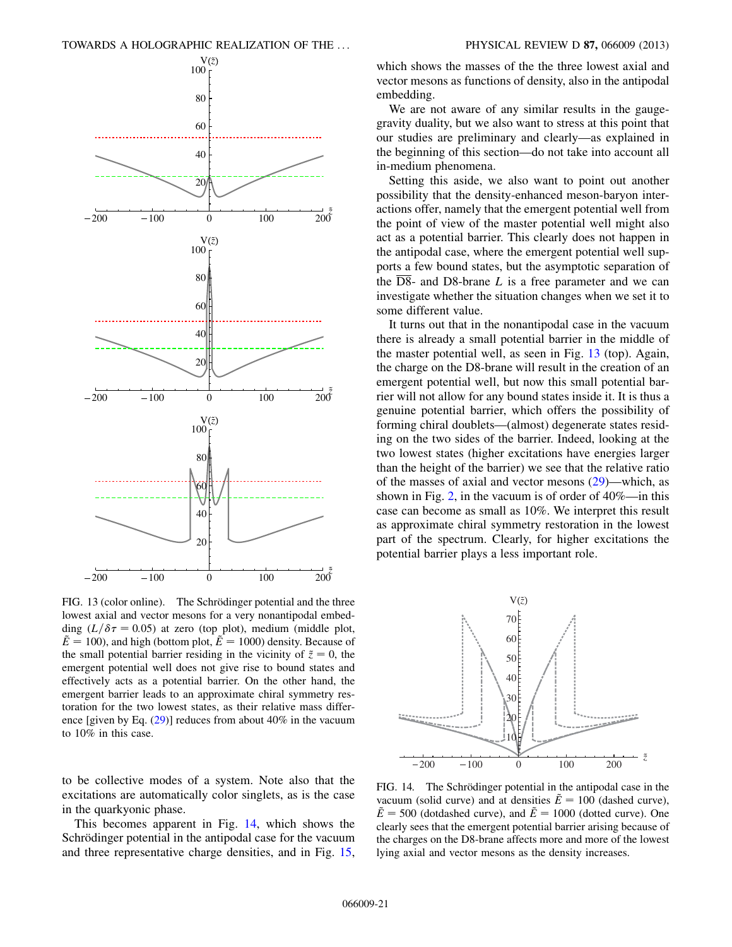<span id="page-21-1"></span>

FIG. 13 (color online). The Schrödinger potential and the three lowest axial and vector mesons for a very nonantipodal embedding  $(L/\delta \tau = 0.05)$  at zero (top plot), medium (middle plot,  $\tilde{E} = 100$ ), and high (bottom plot,  $\tilde{E} = 1000$ ) density. Because of the small potential barrier residing in the vicinity of  $\tilde{z} = 0$ , the emergent potential well does not give rise to bound states and effectively acts as a potential barrier. On the other hand, the emergent barrier leads to an approximate chiral symmetry restoration for the two lowest states, as their relative mass difference [given by Eq. [\(29](#page-6-3))] reduces from about 40% in the vacuum to 10% in this case.

to be collective modes of a system. Note also that the excitations are automatically color singlets, as is the case in the quarkyonic phase.

This becomes apparent in Fig. [14,](#page-21-0) which shows the Schrödinger potential in the antipodal case for the vacuum and three representative charge densities, and in Fig. [15](#page-22-0), which shows the masses of the the three lowest axial and vector mesons as functions of density, also in the antipodal embedding.

We are not aware of any similar results in the gaugegravity duality, but we also want to stress at this point that our studies are preliminary and clearly—as explained in the beginning of this section—do not take into account all in-medium phenomena.

Setting this aside, we also want to point out another possibility that the density-enhanced meson-baryon interactions offer, namely that the emergent potential well from the point of view of the master potential well might also act as a potential barrier. This clearly does not happen in the antipodal case, where the emergent potential well supports a few bound states, but the asymptotic separation of the  $\overline{D8}$ - and  $D8$ -brane L is a free parameter and we can investigate whether the situation changes when we set it to some different value.

It turns out that in the nonantipodal case in the vacuum there is already a small potential barrier in the middle of the master potential well, as seen in Fig. [13](#page-21-1) (top). Again, the charge on the D8-brane will result in the creation of an emergent potential well, but now this small potential barrier will not allow for any bound states inside it. It is thus a genuine potential barrier, which offers the possibility of forming chiral doublets—(almost) degenerate states residing on the two sides of the barrier. Indeed, looking at the two lowest states (higher excitations have energies larger than the height of the barrier) we see that the relative ratio of the masses of axial and vector mesons ([29](#page-6-3))—which, as shown in Fig. [2](#page-7-0), in the vacuum is of order of  $40\%$ —in this case can become as small as 10%. We interpret this result as approximate chiral symmetry restoration in the lowest part of the spectrum. Clearly, for higher excitations the potential barrier plays a less important role.

<span id="page-21-0"></span>

FIG. 14. The Schrödinger potential in the antipodal case in the vacuum (solid curve) and at densities  $\tilde{E} = 100$  (dashed curve),  $\tilde{E} = 500$  (dotdashed curve), and  $\tilde{E} = 1000$  (dotted curve). One clearly sees that the emergent potential barrier arising because of the charges on the D8-brane affects more and more of the lowest lying axial and vector mesons as the density increases.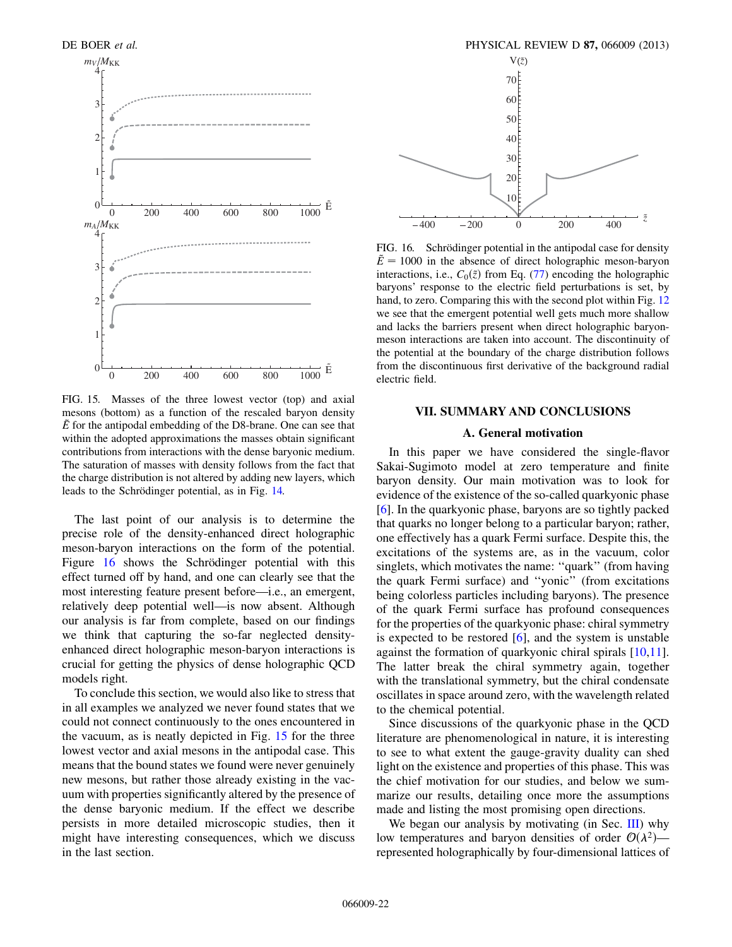<span id="page-22-0"></span>

0 200 400 600 800 1000 FIG. 15. Masses of the three lowest vector (top) and axial mesons (bottom) as a function of the rescaled baryon density  $\tilde{E}$  for the antipodal embedding of the D8-brane. One can see that within the adopted approximations the masses obtain significant contributions from interactions with the dense baryonic medium. The saturation of masses with density follows from the fact that

the charge distribution is not altered by adding new layers, which

leads to the Schrödinger potential, as in Fig. [14](#page-21-0).

The last point of our analysis is to determine the precise role of the density-enhanced direct holographic meson-baryon interactions on the form of the potential. Figure [16](#page-22-1) shows the Schrödinger potential with this effect turned off by hand, and one can clearly see that the most interesting feature present before—i.e., an emergent, relatively deep potential well—is now absent. Although our analysis is far from complete, based on our findings we think that capturing the so-far neglected densityenhanced direct holographic meson-baryon interactions is crucial for getting the physics of dense holographic QCD models right.

To conclude this section, we would also like to stress that in all examples we analyzed we never found states that we could not connect continuously to the ones encountered in the vacuum, as is neatly depicted in Fig. [15](#page-22-0) for the three lowest vector and axial mesons in the antipodal case. This means that the bound states we found were never genuinely new mesons, but rather those already existing in the vacuum with properties significantly altered by the presence of the dense baryonic medium. If the effect we describe persists in more detailed microscopic studies, then it might have interesting consequences, which we discuss in the last section.

<span id="page-22-1"></span>

FIG. 16. Schrödinger potential in the antipodal case for density  $\tilde{E} = 1000$  in the absence of direct holographic meson-baryon interactions, i.e.,  $C_0(\tilde{z})$  from Eq. [\(77\)](#page-19-0) encoding the holographic baryons' response to the electric field perturbations is set, by hand, to zero. Comparing this with the second plot within Fig. [12](#page-20-2) we see that the emergent potential well gets much more shallow and lacks the barriers present when direct holographic baryonmeson interactions are taken into account. The discontinuity of the potential at the boundary of the charge distribution follows from the discontinuous first derivative of the background radial electric field.

#### VII. SUMMARY AND CONCLUSIONS

#### A. General motivation

In this paper we have considered the single-flavor Sakai-Sugimoto model at zero temperature and finite baryon density. Our main motivation was to look for evidence of the existence of the so-called quarkyonic phase [\[6\]](#page-29-5). In the quarkyonic phase, baryons are so tightly packed that quarks no longer belong to a particular baryon; rather, one effectively has a quark Fermi surface. Despite this, the excitations of the systems are, as in the vacuum, color singlets, which motivates the name: ''quark'' (from having the quark Fermi surface) and ''yonic'' (from excitations being colorless particles including baryons). The presence of the quark Fermi surface has profound consequences for the properties of the quarkyonic phase: chiral symmetry is expected to be restored [\[6](#page-29-5)], and the system is unstable against the formation of quarkyonic chiral spirals [\[10,](#page-29-9)[11\]](#page-29-10). The latter break the chiral symmetry again, together with the translational symmetry, but the chiral condensate oscillates in space around zero, with the wavelength related to the chemical potential.

Since discussions of the quarkyonic phase in the QCD literature are phenomenological in nature, it is interesting to see to what extent the gauge-gravity duality can shed light on the existence and properties of this phase. This was the chief motivation for our studies, and below we summarize our results, detailing once more the assumptions made and listing the most promising open directions.

We began our analysis by motivating (in Sec. [III](#page-8-0)) why low temperatures and baryon densities of order  $\mathcal{O}(\lambda^2)$ —<br>represented holographically by four-dimensional lattices of represented holographically by four-dimensional lattices of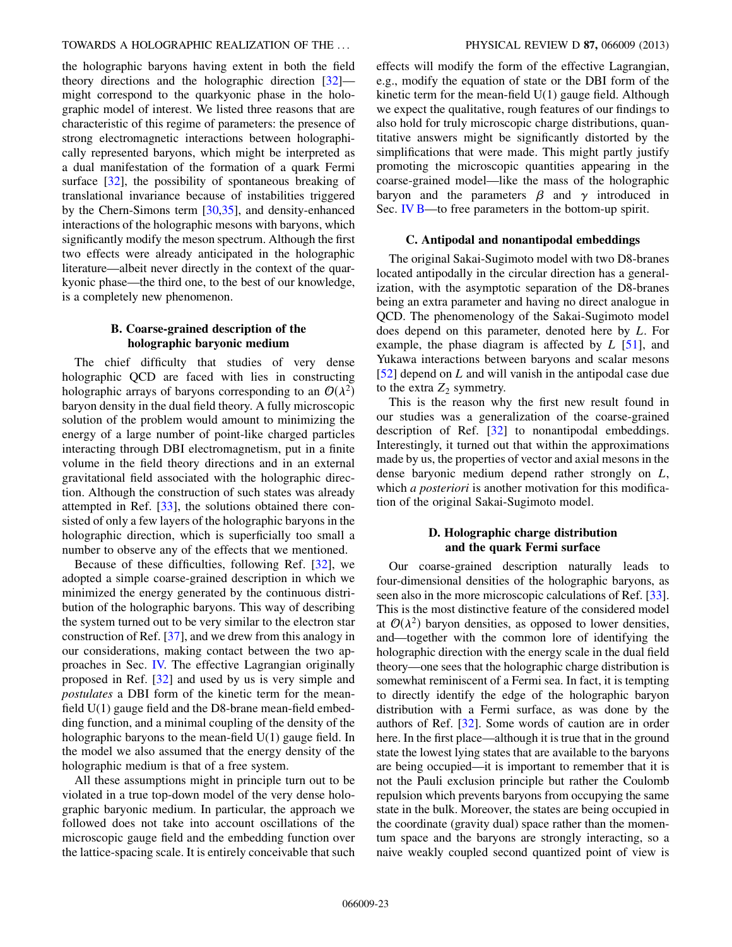the holographic baryons having extent in both the field theory directions and the holographic direction [[32](#page-29-29)] might correspond to the quarkyonic phase in the holographic model of interest. We listed three reasons that are characteristic of this regime of parameters: the presence of strong electromagnetic interactions between holographically represented baryons, which might be interpreted as a dual manifestation of the formation of a quark Fermi surface [\[32\]](#page-29-29), the possibility of spontaneous breaking of translational invariance because of instabilities triggered by the Chern-Simons term [[30](#page-29-35)[,35\]](#page-29-33), and density-enhanced interactions of the holographic mesons with baryons, which significantly modify the meson spectrum. Although the first two effects were already anticipated in the holographic literature—albeit never directly in the context of the quarkyonic phase—the third one, to the best of our knowledge, is a completely new phenomenon.

## B. Coarse-grained description of the holographic baryonic medium

The chief difficulty that studies of very dense holographic QCD are faced with lies in constructing holographic arrays of baryons corresponding to an  $\mathcal{O}(\lambda^2)$ <br>baryon density in the dual field theory. A fully microscopic  $\frac{1}{2}$  baryon density in the dual field theory. A fully microscopic solution of the problem would amount to minimizing the energy of a large number of point-like charged particles interacting through DBI electromagnetism, put in a finite volume in the field theory directions and in an external gravitational field associated with the holographic direction. Although the construction of such states was already attempted in Ref. [[33](#page-29-30)], the solutions obtained there consisted of only a few layers of the holographic baryons in the holographic direction, which is superficially too small a number to observe any of the effects that we mentioned.

Because of these difficulties, following Ref. [[32](#page-29-29)], we adopted a simple coarse-grained description in which we minimized the energy generated by the continuous distribution of the holographic baryons. This way of describing the system turned out to be very similar to the electron star construction of Ref. [\[37\]](#page-29-36), and we drew from this analogy in our considerations, making contact between the two approaches in Sec. [IV.](#page-9-0) The effective Lagrangian originally proposed in Ref. [[32](#page-29-29)] and used by us is very simple and postulates a DBI form of the kinetic term for the meanfield U(1) gauge field and the D8-brane mean-field embedding function, and a minimal coupling of the density of the holographic baryons to the mean-field U(1) gauge field. In the model we also assumed that the energy density of the holographic medium is that of a free system.

All these assumptions might in principle turn out to be violated in a true top-down model of the very dense holographic baryonic medium. In particular, the approach we followed does not take into account oscillations of the microscopic gauge field and the embedding function over the lattice-spacing scale. It is entirely conceivable that such effects will modify the form of the effective Lagrangian, e.g., modify the equation of state or the DBI form of the kinetic term for the mean-field U(1) gauge field. Although we expect the qualitative, rough features of our findings to also hold for truly microscopic charge distributions, quantitative answers might be significantly distorted by the simplifications that were made. This might partly justify promoting the microscopic quantities appearing in the coarse-grained model—like the mass of the holographic baryon and the parameters  $\beta$  and  $\gamma$  introduced in Sec. [IV B](#page-11-5)—to free parameters in the bottom-up spirit.

#### C. Antipodal and nonantipodal embeddings

The original Sakai-Sugimoto model with two D8-branes located antipodally in the circular direction has a generalization, with the asymptotic separation of the D8-branes being an extra parameter and having no direct analogue in QCD. The phenomenology of the Sakai-Sugimoto model does depend on this parameter, denoted here by L. For example, the phase diagram is affected by  $L$  [[51](#page-29-46)], and Yukawa interactions between baryons and scalar mesons [\[52\]](#page-29-47) depend on L and will vanish in the antipodal case due to the extra  $Z_2$  symmetry.

This is the reason why the first new result found in our studies was a generalization of the coarse-grained description of Ref. [[32](#page-29-29)] to nonantipodal embeddings. Interestingly, it turned out that within the approximations made by us, the properties of vector and axial mesons in the dense baryonic medium depend rather strongly on L, which *a posteriori* is another motivation for this modification of the original Sakai-Sugimoto model.

## D. Holographic charge distribution and the quark Fermi surface

Our coarse-grained description naturally leads to four-dimensional densities of the holographic baryons, as seen also in the more microscopic calculations of Ref. [[33](#page-29-30)]. This is the most distinctive feature of the considered model at  $\mathcal{O}(\lambda^2)$  baryon densities, as opposed to lower densities,<br>and together with the common lore of identifying the and—together with the common lore of identifying the holographic direction with the energy scale in the dual field theory—one sees that the holographic charge distribution is somewhat reminiscent of a Fermi sea. In fact, it is tempting to directly identify the edge of the holographic baryon distribution with a Fermi surface, as was done by the authors of Ref. [\[32\]](#page-29-29). Some words of caution are in order here. In the first place—although it is true that in the ground state the lowest lying states that are available to the baryons are being occupied—it is important to remember that it is not the Pauli exclusion principle but rather the Coulomb repulsion which prevents baryons from occupying the same state in the bulk. Moreover, the states are being occupied in the coordinate (gravity dual) space rather than the momentum space and the baryons are strongly interacting, so a naive weakly coupled second quantized point of view is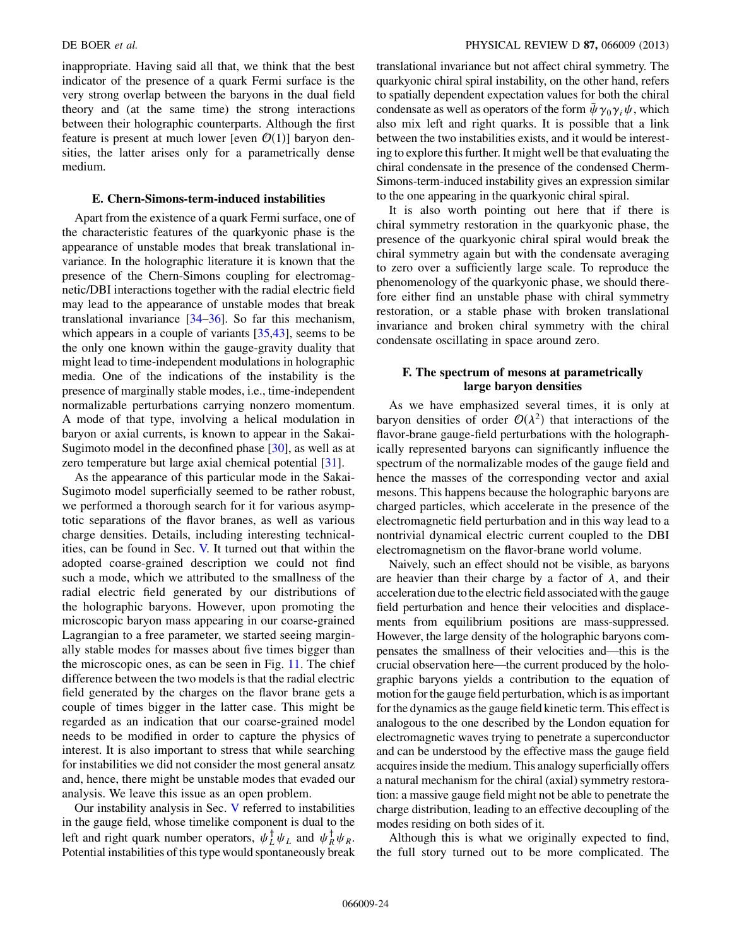inappropriate. Having said all that, we think that the best indicator of the presence of a quark Fermi surface is the very strong overlap between the baryons in the dual field theory and (at the same time) the strong interactions between their holographic counterparts. Although the first feature is present at much lower [even  $\mathcal{O}(1)$ ] baryon densities, the latter arises only for a parametrically dense medium.

#### E. Chern-Simons-term-induced instabilities

Apart from the existence of a quark Fermi surface, one of the characteristic features of the quarkyonic phase is the appearance of unstable modes that break translational invariance. In the holographic literature it is known that the presence of the Chern-Simons coupling for electromagnetic/DBI interactions together with the radial electric field may lead to the appearance of unstable modes that break translational invariance [[34](#page-29-32)[–36\]](#page-29-34). So far this mechanism, which appears in a couple of variants [\[35](#page-29-33)[,43\]](#page-29-42), seems to be the only one known within the gauge-gravity duality that might lead to time-independent modulations in holographic media. One of the indications of the instability is the presence of marginally stable modes, i.e., time-independent normalizable perturbations carrying nonzero momentum. A mode of that type, involving a helical modulation in baryon or axial currents, is known to appear in the Sakai-Sugimoto model in the deconfined phase [\[30\]](#page-29-35), as well as at zero temperature but large axial chemical potential [\[31](#page-29-28)].

As the appearance of this particular mode in the Sakai-Sugimoto model superficially seemed to be rather robust, we performed a thorough search for it for various asymptotic separations of the flavor branes, as well as various charge densities. Details, including interesting technicalities, can be found in Sec. [V.](#page-14-0) It turned out that within the adopted coarse-grained description we could not find such a mode, which we attributed to the smallness of the radial electric field generated by our distributions of the holographic baryons. However, upon promoting the microscopic baryon mass appearing in our coarse-grained Lagrangian to a free parameter, we started seeing marginally stable modes for masses about five times bigger than the microscopic ones, as can be seen in Fig. [11](#page-17-2). The chief difference between the two models is that the radial electric field generated by the charges on the flavor brane gets a couple of times bigger in the latter case. This might be regarded as an indication that our coarse-grained model needs to be modified in order to capture the physics of interest. It is also important to stress that while searching for instabilities we did not consider the most general ansatz and, hence, there might be unstable modes that evaded our analysis. We leave this issue as an open problem.

Our instability analysis in Sec. [V](#page-14-0) referred to instabilities in the gauge field, whose timelike component is dual to the left and right quark number operators,  $\psi_L^{\dagger} \psi_L$  and  $\psi_R^{\dagger} \psi_R$ . Potential instabilities of this type would spontaneously break translational invariance but not affect chiral symmetry. The quarkyonic chiral spiral instability, on the other hand, refers to spatially dependent expectation values for both the chiral condensate as well as operators of the form  $\psi \gamma_0 \gamma_i \psi$ , which also mix left and right quarks. It is possible that a link between the two instabilities exists, and it would be interesting to explore this further. It might well be that evaluating the chiral condensate in the presence of the condensed Cherm-Simons-term-induced instability gives an expression similar to the one appearing in the quarkyonic chiral spiral.

It is also worth pointing out here that if there is chiral symmetry restoration in the quarkyonic phase, the presence of the quarkyonic chiral spiral would break the chiral symmetry again but with the condensate averaging to zero over a sufficiently large scale. To reproduce the phenomenology of the quarkyonic phase, we should therefore either find an unstable phase with chiral symmetry restoration, or a stable phase with broken translational invariance and broken chiral symmetry with the chiral condensate oscillating in space around zero.

## F. The spectrum of mesons at parametrically large baryon densities

As we have emphasized several times, it is only at baryon densities of order  $\mathcal{O}(\lambda^2)$  that interactions of the<br>flavor-brane gauge-field perturbations with the holographflavor-brane gauge-field perturbations with the holographically represented baryons can significantly influence the spectrum of the normalizable modes of the gauge field and hence the masses of the corresponding vector and axial mesons. This happens because the holographic baryons are charged particles, which accelerate in the presence of the electromagnetic field perturbation and in this way lead to a nontrivial dynamical electric current coupled to the DBI electromagnetism on the flavor-brane world volume.

Naively, such an effect should not be visible, as baryons are heavier than their charge by a factor of  $\lambda$ , and their acceleration due to the electric field associated with the gauge field perturbation and hence their velocities and displacements from equilibrium positions are mass-suppressed. However, the large density of the holographic baryons compensates the smallness of their velocities and—this is the crucial observation here—the current produced by the holographic baryons yields a contribution to the equation of motion for the gauge field perturbation, which is as important for the dynamics as the gauge field kinetic term. This effect is analogous to the one described by the London equation for electromagnetic waves trying to penetrate a superconductor and can be understood by the effective mass the gauge field acquires inside the medium. This analogy superficially offers a natural mechanism for the chiral (axial) symmetry restoration: a massive gauge field might not be able to penetrate the charge distribution, leading to an effective decoupling of the modes residing on both sides of it.

Although this is what we originally expected to find, the full story turned out to be more complicated. The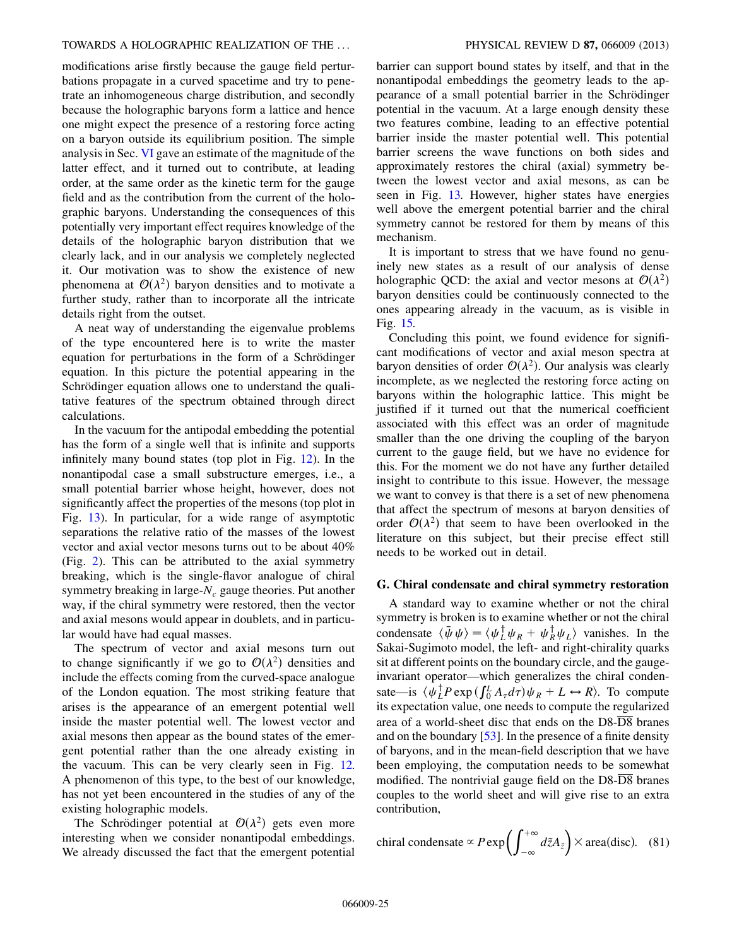#### TOWARDS A HOLOGRAPHIC REALIZATION OF THE ... PHYSICAL REVIEW D 87, 066009 (2013)

modifications arise firstly because the gauge field perturbations propagate in a curved spacetime and try to penetrate an inhomogeneous charge distribution, and secondly because the holographic baryons form a lattice and hence one might expect the presence of a restoring force acting on a baryon outside its equilibrium position. The simple analysis in Sec. [VI](#page-17-0) gave an estimate of the magnitude of the latter effect, and it turned out to contribute, at leading order, at the same order as the kinetic term for the gauge field and as the contribution from the current of the holographic baryons. Understanding the consequences of this potentially very important effect requires knowledge of the details of the holographic baryon distribution that we clearly lack, and in our analysis we completely neglected it. Our motivation was to show the existence of new phenomena at  $\mathcal{O}(\lambda^2)$  baryon densities and to motivate a<br>further study rather than to incorporate all the intricate further study, rather than to incorporate all the intricate details right from the outset.

A neat way of understanding the eigenvalue problems of the type encountered here is to write the master equation for perturbations in the form of a Schrödinger equation. In this picture the potential appearing in the Schrödinger equation allows one to understand the qualitative features of the spectrum obtained through direct calculations.

In the vacuum for the antipodal embedding the potential has the form of a single well that is infinite and supports infinitely many bound states (top plot in Fig. [12\)](#page-20-2). In the nonantipodal case a small substructure emerges, i.e., a small potential barrier whose height, however, does not significantly affect the properties of the mesons (top plot in Fig. [13](#page-21-1)). In particular, for a wide range of asymptotic separations the relative ratio of the masses of the lowest vector and axial vector mesons turns out to be about 40% (Fig. [2](#page-7-0)). This can be attributed to the axial symmetry breaking, which is the single-flavor analogue of chiral symmetry breaking in large- $N_c$  gauge theories. Put another way, if the chiral symmetry were restored, then the vector and axial mesons would appear in doublets, and in particular would have had equal masses.

The spectrum of vector and axial mesons turn out to change significantly if we go to  $\mathcal{O}(\lambda^2)$  densities and<br>include the effects coming from the curved-space analogue include the effects coming from the curved-space analogue of the London equation. The most striking feature that arises is the appearance of an emergent potential well inside the master potential well. The lowest vector and axial mesons then appear as the bound states of the emergent potential rather than the one already existing in the vacuum. This can be very clearly seen in Fig. [12.](#page-20-2) A phenomenon of this type, to the best of our knowledge, has not yet been encountered in the studies of any of the existing holographic models.

The Schrödinger potential at  $\mathcal{O}(\lambda^2)$  gets even more interesting when we consider nonantipodal embeddings. We already discussed the fact that the emergent potential barrier can support bound states by itself, and that in the nonantipodal embeddings the geometry leads to the appearance of a small potential barrier in the Schrödinger potential in the vacuum. At a large enough density these two features combine, leading to an effective potential barrier inside the master potential well. This potential barrier screens the wave functions on both sides and approximately restores the chiral (axial) symmetry between the lowest vector and axial mesons, as can be seen in Fig. [13.](#page-21-1) However, higher states have energies well above the emergent potential barrier and the chiral symmetry cannot be restored for them by means of this mechanism.

It is important to stress that we have found no genuinely new states as a result of our analysis of dense holographic QCD: the axial and vector mesons at  $\mathcal{O}(\lambda^2)$ <br>harvon densities could be continuously connected to the  $\text{baryon densities could be continuously connected to the}$ ones appearing already in the vacuum, as is visible in Fig. [15.](#page-22-0)

Concluding this point, we found evidence for significant modifications of vector and axial meson spectra at baryon densities of order  $\mathcal{O}(\lambda^2)$ . Our analysis was clearly incomplete as we neglected the restoring force acting on incomplete, as we neglected the restoring force acting on baryons within the holographic lattice. This might be justified if it turned out that the numerical coefficient associated with this effect was an order of magnitude smaller than the one driving the coupling of the baryon current to the gauge field, but we have no evidence for this. For the moment we do not have any further detailed insight to contribute to this issue. However, the message we want to convey is that there is a set of new phenomena that affect the spectrum of mesons at baryon densities of order  $\mathcal{O}(\lambda^2)$  that seem to have been overlooked in the<br>literature on this subject, but their precise effect still literature on this subject, but their precise effect still needs to be worked out in detail.

#### G. Chiral condensate and chiral symmetry restoration

A standard way to examine whether or not the chiral symmetry is broken is to examine whether or not the chiral condensate  $\langle \bar{\psi} \psi \rangle = \langle \psi_L^{\dagger} \psi_R + \psi_R^{\dagger} \psi_L \rangle$  vanishes. In the<br>Sakai-Sugimpto model the left- and right-chirality quarks Sakai-Sugimoto model, the left- and right-chirality quarks sit at different points on the boundary circle, and the gaugeinvariant operator—which generalizes the chiral condensate—is  $\langle \psi_L^{\dagger} P \exp \left( \int_0^L A_{\tau} d\tau \right) \psi_R + L \leftrightarrow R \rangle$ . To compute its expectation value, one needs to compute the regularized area of a world-sheet disc that ends on the D8-D8 branes and on the boundary [[53](#page-30-0)]. In the presence of a finite density of baryons, and in the mean-field description that we have been employing, the computation needs to be somewhat modified. The nontrivial gauge field on the D8-D8 branes couples to the world sheet and will give rise to an extra contribution,

chiral condensate 
$$
\propto P \exp\left(\int_{-\infty}^{+\infty} d\tilde{z} A_{\tilde{z}}\right) \times \text{area(disc)}.
$$
 (81)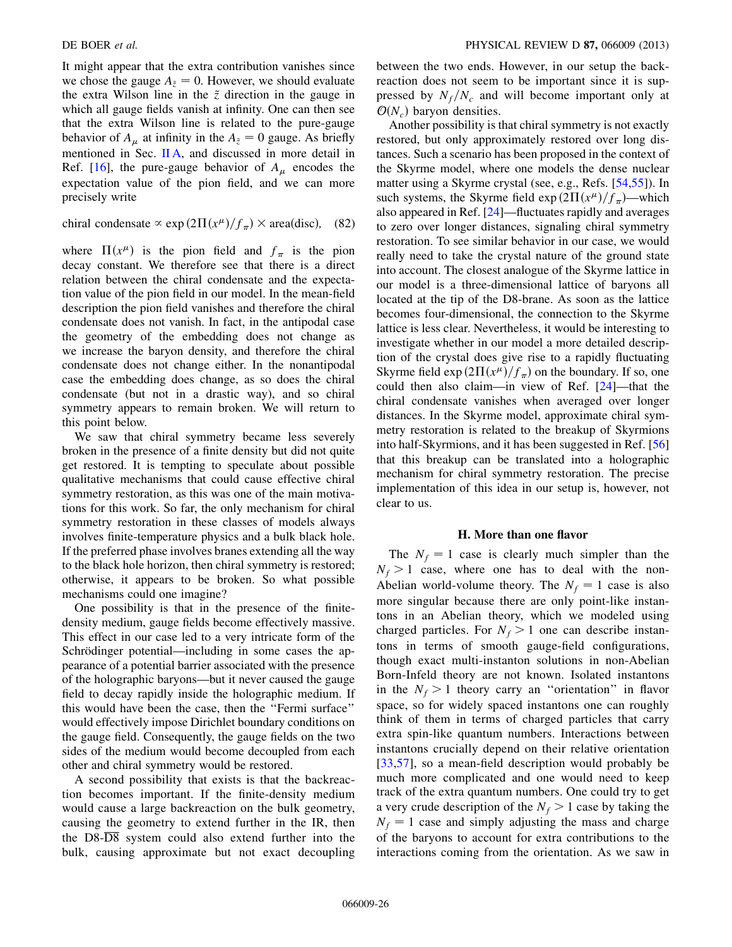It might appear that the extra contribution vanishes since we chose the gauge  $A_{\tilde{z}} = 0$ . However, we should evaluate the extra Wilson line in the  $\zeta$  direction in the gauge in which all gauge fields vanish at infinity. One can then see that the extra Wilson line is related to the pure-gauge behavior of  $A_{\mu}$  at infinity in the  $A_{\tilde{z}} = 0$  gauge. As briefly mentioned in Sec.  $\mathbf{II} \mathbf{A}$ , and discussed in more detail in Ref. [[16\]](#page-29-14), the pure-gauge behavior of  $A<sub>\mu</sub>$  encodes the expectation value of the pion field, and we can more precisely write

chiral condensate 
$$
\propto \exp(2\Pi(x^{\mu})/f_{\pi}) \times \text{area(disc)}
$$
, (82)

where  $\Pi(x^{\mu})$  is the pion field and  $f_{\pi}$  is the pion decay constant. We therefore see that there is a direct relation between the chiral condensate and the expectation value of the pion field in our model. In the mean-field description the pion field vanishes and therefore the chiral condensate does not vanish. In fact, in the antipodal case the geometry of the embedding does not change as we increase the baryon density, and therefore the chiral condensate does not change either. In the nonantipodal case the embedding does change, as so does the chiral condensate (but not in a drastic way), and so chiral symmetry appears to remain broken. We will return to this point below.

We saw that chiral symmetry became less severely broken in the presence of a finite density but did not quite get restored. It is tempting to speculate about possible qualitative mechanisms that could cause effective chiral symmetry restoration, as this was one of the main motivations for this work. So far, the only mechanism for chiral symmetry restoration in these classes of models always involves finite-temperature physics and a bulk black hole. If the preferred phase involves branes extending all the way to the black hole horizon, then chiral symmetry is restored; otherwise, it appears to be broken. So what possible mechanisms could one imagine?

One possibility is that in the presence of the finitedensity medium, gauge fields become effectively massive. This effect in our case led to a very intricate form of the Schrödinger potential—including in some cases the appearance of a potential barrier associated with the presence of the holographic baryons—but it never caused the gauge field to decay rapidly inside the holographic medium. If this would have been the case, then the ''Fermi surface'' would effectively impose Dirichlet boundary conditions on the gauge field. Consequently, the gauge fields on the two sides of the medium would become decoupled from each other and chiral symmetry would be restored.

A second possibility that exists is that the backreaction becomes important. If the finite-density medium would cause a large backreaction on the bulk geometry, causing the geometry to extend further in the IR, then the  $D8-\overline{D8}$  system could also extend further into the bulk, causing approximate but not exact decoupling between the two ends. However, in our setup the backreaction does not seem to be important since it is suppressed by  $N_f/N_c$  and will become important only at  $\mathcal{O}(N_c)$  baryon densities.

Another possibility is that chiral symmetry is not exactly restored, but only approximately restored over long distances. Such a scenario has been proposed in the context of the Skyrme model, where one models the dense nuclear matter using a Skyrme crystal (see, e.g., Refs. [\[54](#page-30-1)[,55\]](#page-30-2)). In such systems, the Skyrme field  $\exp(2\Pi(x^{\mu})/f_{\pi})$ —which also appeared in Ref. [[24](#page-29-21)]—fluctuates rapidly and averages to zero over longer distances, signaling chiral symmetry restoration. To see similar behavior in our case, we would really need to take the crystal nature of the ground state into account. The closest analogue of the Skyrme lattice in our model is a three-dimensional lattice of baryons all located at the tip of the D8-brane. As soon as the lattice becomes four-dimensional, the connection to the Skyrme lattice is less clear. Nevertheless, it would be interesting to investigate whether in our model a more detailed description of the crystal does give rise to a rapidly fluctuating Skyrme field  $\exp(2\Pi(x^{\mu})/f_{\pi})$  on the boundary. If so, one could then also claim—in view of Ref. [[24](#page-29-21)]—that the chiral condensate vanishes when averaged over longer distances. In the Skyrme model, approximate chiral symmetry restoration is related to the breakup of Skyrmions into half-Skyrmions, and it has been suggested in Ref. [\[56\]](#page-30-3) that this breakup can be translated into a holographic mechanism for chiral symmetry restoration. The precise implementation of this idea in our setup is, however, not clear to us.

#### H. More than one flavor

The  $N_f = 1$  case is clearly much simpler than the  $N_f > 1$  case, where one has to deal with the non-Abelian world-volume theory. The  $N_f = 1$  case is also more singular because there are only point-like instantons in an Abelian theory, which we modeled using charged particles. For  $N_f > 1$  one can describe instantons in terms of smooth gauge-field configurations, though exact multi-instanton solutions in non-Abelian Born-Infeld theory are not known. Isolated instantons in the  $N_f > 1$  theory carry an "orientation" in flavor space, so for widely spaced instantons one can roughly think of them in terms of charged particles that carry extra spin-like quantum numbers. Interactions between instantons crucially depend on their relative orientation [[33](#page-29-30),[57\]](#page-30-4), so a mean-field description would probably be much more complicated and one would need to keep track of the extra quantum numbers. One could try to get a very crude description of the  $N_f > 1$  case by taking the  $N_f = 1$  case and simply adjusting the mass and charge of the baryons to account for extra contributions to the interactions coming from the orientation. As we saw in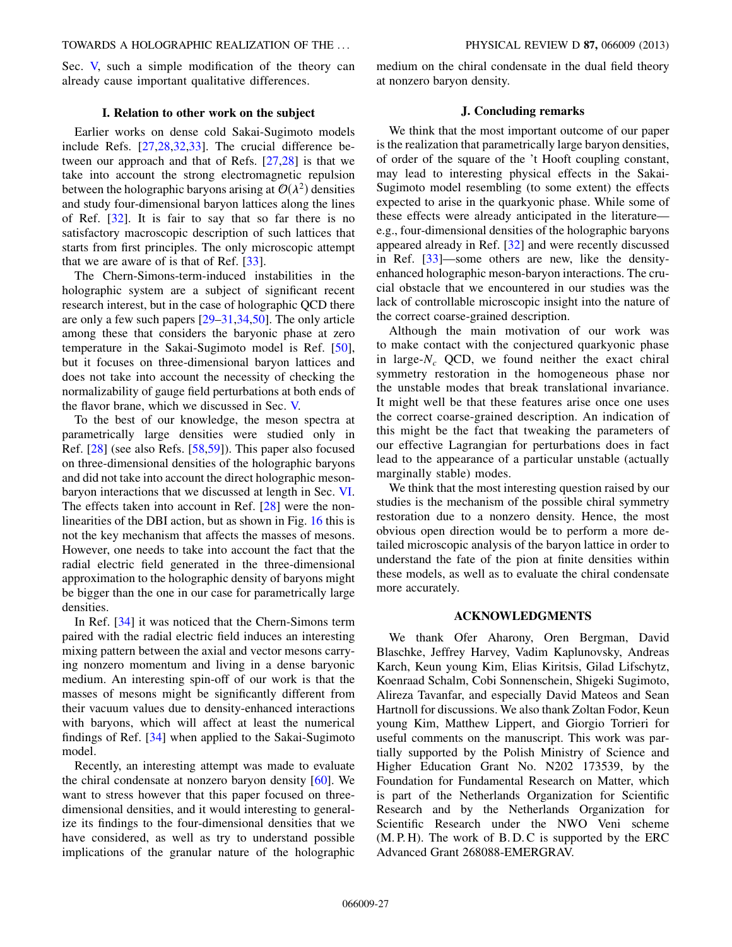Sec. [V,](#page-14-0) such a simple modification of the theory can already cause important qualitative differences.

#### I. Relation to other work on the subject

Earlier works on dense cold Sakai-Sugimoto models include Refs. [[27](#page-29-25),[28](#page-29-26)[,32,](#page-29-29)[33\]](#page-29-30). The crucial difference between our approach and that of Refs. [[27](#page-29-25),[28](#page-29-26)] is that we take into account the strong electromagnetic repulsion between the holographic baryons arising at  $\mathcal{O}(\lambda^2)$  densities<br>and study four-dimensional baryon lattices along the lines and study four-dimensional baryon lattices along the lines of Ref. [\[32\]](#page-29-29). It is fair to say that so far there is no satisfactory macroscopic description of such lattices that starts from first principles. The only microscopic attempt that we are aware of is that of Ref. [\[33\]](#page-29-30).

The Chern-Simons-term-induced instabilities in the holographic system are a subject of significant recent research interest, but in the case of holographic QCD there are only a few such papers [\[29](#page-29-27)[–31,](#page-29-28)[34,](#page-29-32)[50\]](#page-29-45). The only article among these that considers the baryonic phase at zero temperature in the Sakai-Sugimoto model is Ref. [\[50\]](#page-29-45), but it focuses on three-dimensional baryon lattices and does not take into account the necessity of checking the normalizability of gauge field perturbations at both ends of the flavor brane, which we discussed in Sec. [V.](#page-14-0)

To the best of our knowledge, the meson spectra at parametrically large densities were studied only in Ref. [\[28\]](#page-29-26) (see also Refs. [[58](#page-30-5),[59](#page-30-6)]). This paper also focused on three-dimensional densities of the holographic baryons and did not take into account the direct holographic mesonbaryon interactions that we discussed at length in Sec. [VI](#page-17-0). The effects taken into account in Ref. [[28](#page-29-26)] were the nonlinearities of the DBI action, but as shown in Fig. [16](#page-22-1) this is not the key mechanism that affects the masses of mesons. However, one needs to take into account the fact that the radial electric field generated in the three-dimensional approximation to the holographic density of baryons might be bigger than the one in our case for parametrically large densities.

In Ref. [[34](#page-29-32)] it was noticed that the Chern-Simons term paired with the radial electric field induces an interesting mixing pattern between the axial and vector mesons carrying nonzero momentum and living in a dense baryonic medium. An interesting spin-off of our work is that the masses of mesons might be significantly different from their vacuum values due to density-enhanced interactions with baryons, which will affect at least the numerical findings of Ref. [\[34\]](#page-29-32) when applied to the Sakai-Sugimoto model.

Recently, an interesting attempt was made to evaluate the chiral condensate at nonzero baryon density [\[60\]](#page-30-7). We want to stress however that this paper focused on threedimensional densities, and it would interesting to generalize its findings to the four-dimensional densities that we have considered, as well as try to understand possible implications of the granular nature of the holographic medium on the chiral condensate in the dual field theory at nonzero baryon density.

## J. Concluding remarks

We think that the most important outcome of our paper is the realization that parametrically large baryon densities, of order of the square of the 't Hooft coupling constant, may lead to interesting physical effects in the Sakai-Sugimoto model resembling (to some extent) the effects expected to arise in the quarkyonic phase. While some of these effects were already anticipated in the literature e.g., four-dimensional densities of the holographic baryons appeared already in Ref. [[32](#page-29-29)] and were recently discussed in Ref. [[33](#page-29-30)]—some others are new, like the densityenhanced holographic meson-baryon interactions. The crucial obstacle that we encountered in our studies was the lack of controllable microscopic insight into the nature of the correct coarse-grained description.

Although the main motivation of our work was to make contact with the conjectured quarkyonic phase in large- $N_c$  QCD, we found neither the exact chiral symmetry restoration in the homogeneous phase nor the unstable modes that break translational invariance. It might well be that these features arise once one uses the correct coarse-grained description. An indication of this might be the fact that tweaking the parameters of our effective Lagrangian for perturbations does in fact lead to the appearance of a particular unstable (actually marginally stable) modes.

We think that the most interesting question raised by our studies is the mechanism of the possible chiral symmetry restoration due to a nonzero density. Hence, the most obvious open direction would be to perform a more detailed microscopic analysis of the baryon lattice in order to understand the fate of the pion at finite densities within these models, as well as to evaluate the chiral condensate more accurately.

#### ACKNOWLEDGMENTS

We thank Ofer Aharony, Oren Bergman, David Blaschke, Jeffrey Harvey, Vadim Kaplunovsky, Andreas Karch, Keun young Kim, Elias Kiritsis, Gilad Lifschytz, Koenraad Schalm, Cobi Sonnenschein, Shigeki Sugimoto, Alireza Tavanfar, and especially David Mateos and Sean Hartnoll for discussions. We also thank Zoltan Fodor, Keun young Kim, Matthew Lippert, and Giorgio Torrieri for useful comments on the manuscript. This work was partially supported by the Polish Ministry of Science and Higher Education Grant No. N202 173539, by the Foundation for Fundamental Research on Matter, which is part of the Netherlands Organization for Scientific Research and by the Netherlands Organization for Scientific Research under the NWO Veni scheme (M. P. H). The work of B. D. C is supported by the ERC Advanced Grant 268088-EMERGRAV.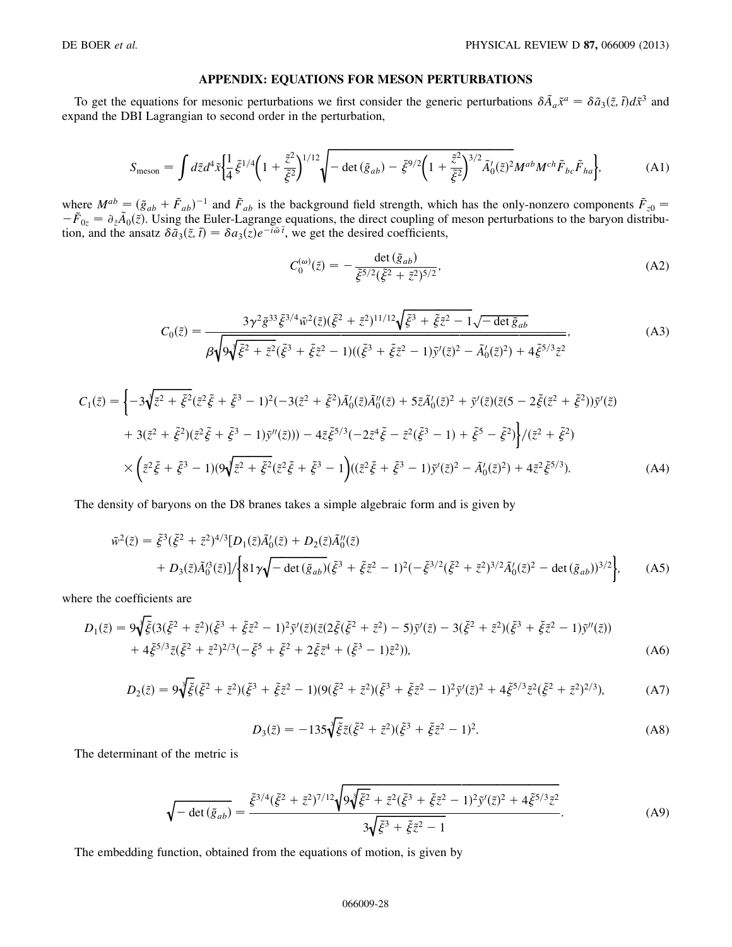## APPENDIX: EQUATIONS FOR MESON PERTURBATIONS

To get the equations for mesonic perturbations we first consider the generic perturbations  $\delta \tilde{A}_a \tilde{x}^a = \delta \tilde{a}_3(\tilde{z}, \tilde{t}) d\tilde{x}^3$  and expand the DBI Lagrangian to second order in the perturbation,

$$
S_{\text{meson}} = \int d\tilde{z} d^4 \tilde{x} \left\{ \frac{1}{4} \tilde{\xi}^{1/4} \left( 1 + \frac{\tilde{z}^2}{\tilde{\xi}^2} \right)^{1/12} \sqrt{-\det(\tilde{g}_{ab}) - \tilde{\xi}^{9/2} \left( 1 + \frac{\tilde{z}^2}{\tilde{\xi}^2} \right)^{3/2} \tilde{A}'_0(\tilde{z})^2 M^{ab} M^{ch} \tilde{F}_{bc} \tilde{F}_{ha} \right\}},
$$
(A1)

where  $M^{ab} = (\tilde{g}_{ab} + \tilde{F}_{ab})^{-1}$  and  $\tilde{F}_{ab}$  is the background field strength, which has the only-nonzero components  $\tilde{F}_{z0} = -\tilde{F}_{z0} = \partial_z \tilde{A}_0(\tilde{z})$ . Using the Fuler-L agrange equations the direct counling of  $-\tilde{F}_{0z} = \partial_{\tilde{z}} \tilde{A}_0(\tilde{z})$ . Using the Euler-Lagrange equations, the direct coupling of meson perturbations to the baryon distribu-<br>tion and the ansatz  $\delta \tilde{a}_0(\tilde{z}) = \delta a_0(z)e^{-i\tilde{\omega}\tilde{t}}$  we get the desired coef tion, and the ansatz  $\delta \tilde{a}_3(\tilde{z}, \tilde{t}) = \delta a_3(z)e^{-i\tilde{\omega}\tilde{t}}$ , we get the desired coefficients,

$$
C_0^{(\omega)}(\tilde{z}) = -\frac{\det\left(\tilde{g}_{ab}\right)}{\tilde{\xi}^{5/2}(\tilde{\xi}^2 + \tilde{z}^2)^{5/2}},\tag{A2}
$$

$$
C_0(\tilde{z}) = \frac{3\gamma^2 \tilde{g}^{33} \tilde{\xi}^{3/4} \tilde{w}^2 (\tilde{z}) (\tilde{\xi}^2 + \tilde{z}^2)^{11/12} \sqrt{\tilde{\xi}^3 + \tilde{\xi} \tilde{z}^2 - 1} \sqrt{-\det \tilde{g}_{ab}}}{\beta \sqrt{9 \sqrt{\tilde{\xi}^2 + \tilde{z}^2} (\tilde{\xi}^3 + \tilde{\xi} \tilde{z}^2 - 1) ((\tilde{\xi}^3 + \tilde{\xi} \tilde{z}^2 - 1) \tilde{y}' (\tilde{z})^2 - \tilde{A}'_0 (\tilde{z})^2) + 4 \tilde{\xi}^{5/3} \tilde{z}^2}},
$$
(A3)

$$
C_1(\tilde{z}) = \left\{-3\sqrt[3]{\tilde{z}^2 + \tilde{\xi}^2}(\tilde{z}^2\tilde{\xi} + \tilde{\xi}^3 - 1)^2(-3(\tilde{z}^2 + \tilde{\xi}^2)\tilde{A}_0'(\tilde{z})\tilde{A}_0''(\tilde{z}) + 5\tilde{z}\tilde{A}_0'(\tilde{z})^2 + \tilde{y}'(\tilde{z})(\tilde{z}(5 - 2\tilde{\xi}(\tilde{z}^2 + \tilde{\xi}^2))\tilde{y}'(\tilde{z})\right. \\ \left. + 3(\tilde{z}^2 + \tilde{\xi}^2)(\tilde{z}^2\tilde{\xi} + \tilde{\xi}^3 - 1)\tilde{y}''(\tilde{z})) - 4\tilde{z}\tilde{\xi}^{5/3}(-2\tilde{z}^4\tilde{\xi} - \tilde{z}^2(\tilde{\xi}^3 - 1) + \tilde{\xi}^5 - \tilde{\xi}^2)\right\}/(\tilde{z}^2 + \tilde{\xi}^2) \\ \times \left(\tilde{z}^2\tilde{\xi} + \tilde{\xi}^3 - 1)(9\sqrt[3]{\tilde{z}^2 + \tilde{\xi}^2}(\tilde{z}^2\tilde{\xi} + \tilde{\xi}^3 - 1)(\tilde{z}^2\tilde{\xi} + \tilde{\xi}^3 - 1)\tilde{y}'(\tilde{z})^2 - \tilde{A}_0'(\tilde{z})^2) + 4\tilde{z}^2\tilde{\xi}^{5/3}). \tag{A4}
$$

The density of baryons on the D8 branes takes a simple algebraic form and is given by

$$
\tilde{w}^{2}(\tilde{z}) = \tilde{\xi}^{3}(\tilde{\xi}^{2} + \tilde{z}^{2})^{4/3} [D_{1}(\tilde{z})\tilde{A}_{0}'(\tilde{z}) + D_{2}(\tilde{z})\tilde{A}_{0}''(\tilde{z})+ D_{3}(\tilde{z})\tilde{A}_{0}^{'3}(\tilde{z})]/\Big\{81\gamma\sqrt{-\det(\tilde{g}_{ab})(\tilde{\xi}^{3} + \tilde{\xi}\tilde{z}^{2} - 1)^{2}(-\tilde{\xi}^{3/2}(\tilde{\xi}^{2} + \tilde{z}^{2})^{3/2}\tilde{A}_{0}'(\tilde{z})^{2} - \det(\tilde{g}_{ab}))^{3/2}\Big\},
$$
 (A5)

where the coefficients are

$$
D_1(\tilde{z}) = 9\sqrt[3]{\tilde{\xi}}(3(\tilde{\xi}^2 + \tilde{z}^2)(\tilde{\xi}^3 + \tilde{\xi}\tilde{z}^2 - 1)^2\tilde{y}'(\tilde{z})(\tilde{z}(2\tilde{\xi}(\tilde{\xi}^2 + \tilde{z}^2) - 5)\tilde{y}'(\tilde{z}) - 3(\tilde{\xi}^2 + \tilde{z}^2)(\tilde{\xi}^3 + \tilde{\xi}\tilde{z}^2 - 1)\tilde{y}''(\tilde{z}))
$$
  
+  $4\tilde{\xi}^{5/3}\tilde{z}(\tilde{\xi}^2 + \tilde{z}^2)^{2/3}(-\tilde{\xi}^5 + \tilde{\xi}^2 + 2\tilde{\xi}\tilde{z}^4 + (\tilde{\xi}^3 - 1)\tilde{z}^2)),$  (A6)

$$
D_2(\tilde{z}) = 9\sqrt[3]{\tilde{\xi}}(\tilde{\xi}^2 + \tilde{z}^2)(\tilde{\xi}^3 + \tilde{\xi}\tilde{z}^2 - 1)(9(\tilde{\xi}^2 + \tilde{z}^2)(\tilde{\xi}^3 + \tilde{\xi}\tilde{z}^2 - 1)^2\tilde{y}'(\tilde{z})^2 + 4\tilde{\xi}^{5/3}\tilde{z}^2(\tilde{\xi}^2 + \tilde{z}^2)^{2/3}),
$$
 (A7)

$$
D_3(\tilde{z}) = -135\sqrt[3]{\tilde{\xi}}\tilde{z}(\tilde{\xi}^2 + \tilde{z}^2)(\tilde{\xi}^3 + \tilde{\xi}\tilde{z}^2 - 1)^2.
$$
 (A8)

The determinant of the metric is

$$
\sqrt{-\det(\tilde{g}_{ab})} = \frac{\tilde{\xi}^{3/4}(\tilde{\xi}^2 + \tilde{z}^2)^{7/12} \sqrt{9 \sqrt[3]{\tilde{\xi}^2} + \tilde{z}^2 (\tilde{\xi}^3 + \tilde{\xi} \tilde{z}^2 - 1)^2 \tilde{y}'(\tilde{z})^2 + 4 \tilde{\xi}^{5/3} \tilde{z}^2}}{3 \sqrt{\tilde{\xi}^3 + \tilde{\xi} \tilde{z}^2 - 1}}.
$$
(A9)

The embedding function, obtained from the equations of motion, is given by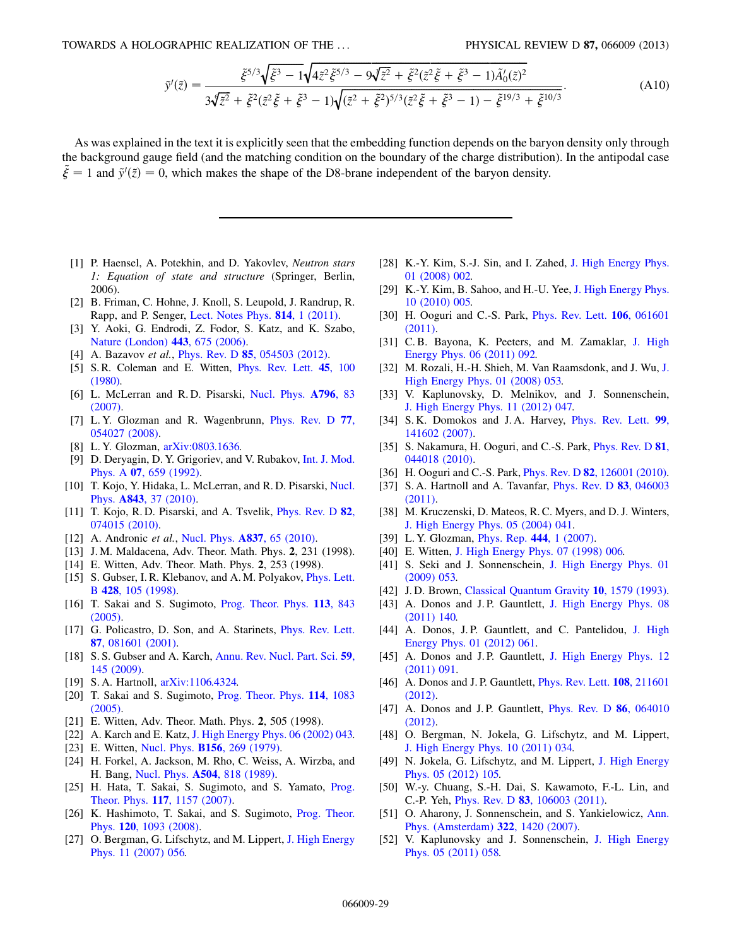TOWARDS A HOLOGRAPHIC REALIZATION OF THE ... PHYSICAL REVIEW D 87, 066009 (2013)

$$
\tilde{y}'(\tilde{z}) = \frac{\tilde{\xi}^{5/3}\sqrt{\tilde{\xi}^3 - 1}\sqrt{4\tilde{z}^2\tilde{\xi}^{5/3} - 9\sqrt[3]{\tilde{z}^2} + \tilde{\xi}^2(\tilde{z}^2\tilde{\xi} + \tilde{\xi}^3 - 1)\tilde{A}_0'(\tilde{z})^2}}{3\sqrt[4]{\tilde{z}^2} + \tilde{\xi}^2(\tilde{z}^2\tilde{\xi} + \tilde{\xi}^3 - 1)\sqrt{(\tilde{z}^2 + \tilde{\xi}^2)^{5/3}(\tilde{z}^2\tilde{\xi} + \tilde{\xi}^3 - 1) - \tilde{\xi}^{19/3} + \tilde{\xi}^{10/3}}}.
$$
\n(A10)

As was explained in the text it is explicitly seen that the embedding function depends on the baryon density only through the background gauge field (and the matching condition on the boundary of the charge distribution). In the antipodal case  $\zeta = 1$  and  $\tilde{y}'(\tilde{z}) = 0$ , which makes the shape of the D8-brane independent of the baryon density.

- <span id="page-29-1"></span><span id="page-29-0"></span>[1] P. Haensel, A. Potekhin, and D. Yakovlev, Neutron stars 1: Equation of state and structure (Springer, Berlin, 2006).
- <span id="page-29-2"></span>[2] B. Friman, C. Hohne, J. Knoll, S. Leupold, J. Randrup, R. Rapp, and P. Senger, [Lect. Notes Phys.](http://dx.doi.org/10.1007/978-3-642-13293-3) 814, 1 (2011).
- <span id="page-29-3"></span>[3] Y. Aoki, G. Endrodi, Z. Fodor, S. Katz, and K. Szabo, [Nature \(London\)](http://dx.doi.org/10.1038/nature05120) 443, 675 (2006).
- <span id="page-29-4"></span>[4] A. Bazavov et al., Phys. Rev. D 85[, 054503 \(2012\)](http://dx.doi.org/10.1103/PhysRevD.85.054503).
- <span id="page-29-5"></span>[5] S.R. Coleman and E. Witten, *[Phys. Rev. Lett.](http://dx.doi.org/10.1103/PhysRevLett.45.100)* **45**, 100 [\(1980\)](http://dx.doi.org/10.1103/PhysRevLett.45.100).
- <span id="page-29-6"></span>[6] L. McLerran and R. D. Pisarski, [Nucl. Phys.](http://dx.doi.org/10.1016/j.nuclphysa.2007.08.013) A796, 83 [\(2007\)](http://dx.doi.org/10.1016/j.nuclphysa.2007.08.013).
- <span id="page-29-7"></span>[7] L. Y. Glozman and R. Wagenbrunn, [Phys. Rev. D](http://dx.doi.org/10.1103/PhysRevD.77.054027) 77, [054027 \(2008\)](http://dx.doi.org/10.1103/PhysRevD.77.054027).
- <span id="page-29-8"></span>[8] L. Y. Glozman, [arXiv:0803.1636.](http://arXiv.org/abs/0803.1636)
- <span id="page-29-9"></span>[9] D. Deryagin, D. Y. Grigoriev, and V. Rubakov, [Int. J. Mod.](http://dx.doi.org/10.1142/S0217751X92000302) Phys. A 07[, 659 \(1992\).](http://dx.doi.org/10.1142/S0217751X92000302)
- <span id="page-29-10"></span>[10] T. Kojo, Y. Hidaka, L. McLerran, and R. D. Pisarski, [Nucl.](http://dx.doi.org/10.1016/j.nuclphysa.2010.05.053) Phys. A843[, 37 \(2010\).](http://dx.doi.org/10.1016/j.nuclphysa.2010.05.053)
- <span id="page-29-11"></span>[11] T. Kojo, R. D. Pisarski, and A. Tsvelik, [Phys. Rev. D](http://dx.doi.org/10.1103/PhysRevD.82.074015) 82, [074015 \(2010\)](http://dx.doi.org/10.1103/PhysRevD.82.074015).
- <span id="page-29-31"></span><span id="page-29-12"></span>[12] A. Andronic *et al.*, [Nucl. Phys.](http://dx.doi.org/10.1016/j.nuclphysa.2010.02.005) **A837**, 65 (2010).
- <span id="page-29-13"></span>[13] J. M. Maldacena, Adv. Theor. Math. Phys. 2, 231 (1998).
- [14] E. Witten, Adv. Theor. Math. Phys. 2, 253 (1998).
- <span id="page-29-14"></span>[15] S. Gubser, I. R. Klebanov, and A. M. Polyakov, *[Phys. Lett.](http://dx.doi.org/10.1016/S0370-2693(98)00377-3)* B 428[, 105 \(1998\)](http://dx.doi.org/10.1016/S0370-2693(98)00377-3).
- <span id="page-29-15"></span>[16] T. Sakai and S. Sugimoto, [Prog. Theor. Phys.](http://dx.doi.org/10.1143/PTP.113.843) 113, 843 [\(2005\)](http://dx.doi.org/10.1143/PTP.113.843).
- <span id="page-29-16"></span>[17] G. Policastro, D. Son, and A. Starinets, *[Phys. Rev. Lett.](http://dx.doi.org/10.1103/PhysRevLett.87.081601)* 87[, 081601 \(2001\)](http://dx.doi.org/10.1103/PhysRevLett.87.081601).
- <span id="page-29-24"></span>[18] S. S. Gubser and A. Karch, [Annu. Rev. Nucl. Part. Sci.](http://dx.doi.org/10.1146/annurev.nucl.010909.083602) 59, [145 \(2009\)](http://dx.doi.org/10.1146/annurev.nucl.010909.083602).
- <span id="page-29-17"></span>[19] S.A. Hartnoll, [arXiv:1106.4324.](http://arXiv.org/abs/1106.4324)
- <span id="page-29-18"></span>[20] T. Sakai and S. Sugimoto, [Prog. Theor. Phys.](http://dx.doi.org/10.1143/PTP.114.1083) 114, 1083 [\(2005\)](http://dx.doi.org/10.1143/PTP.114.1083).
- <span id="page-29-20"></span><span id="page-29-19"></span>[21] E. Witten, Adv. Theor. Math. Phys. 2, 505 (1998).
- <span id="page-29-21"></span>[22] A. Karch and E. Katz, [J. High Energy Phys. 06 \(2002\) 043.](http://dx.doi.org/10.1088/1126-6708/2002/06/043)
- [23] E. Witten, Nucl. Phys. **B156**[, 269 \(1979\)](http://dx.doi.org/10.1016/0550-3213(79)90031-2).
- <span id="page-29-22"></span>[24] H. Forkel, A. Jackson, M. Rho, C. Weiss, A. Wirzba, and H. Bang, Nucl. Phys. A504[, 818 \(1989\).](http://dx.doi.org/10.1016/0375-9474(89)90009-2)
- <span id="page-29-23"></span>[25] H. Hata, T. Sakai, S. Sugimoto, and S. Yamato, [Prog.](http://dx.doi.org/10.1143/PTP.117.1157) Theor. Phys. 117[, 1157 \(2007\).](http://dx.doi.org/10.1143/PTP.117.1157)
- <span id="page-29-25"></span>[26] K. Hashimoto, T. Sakai, and S. Sugimoto, [Prog. Theor.](http://dx.doi.org/10.1143/PTP.120.1093) Phys. 120[, 1093 \(2008\)](http://dx.doi.org/10.1143/PTP.120.1093).
- [27] O. Bergman, G. Lifschytz, and M. Lippert, [J. High Energy](http://dx.doi.org/10.1088/1126-6708/2007/11/056) [Phys. 11 \(2007\) 056.](http://dx.doi.org/10.1088/1126-6708/2007/11/056)
- <span id="page-29-27"></span><span id="page-29-26"></span>[28] K.-Y. Kim, S.-J. Sin, and I. Zahed, [J. High Energy Phys.](http://dx.doi.org/10.1088/1126-6708/2008/01/002) [01 \(2008\) 002.](http://dx.doi.org/10.1088/1126-6708/2008/01/002)
- <span id="page-29-35"></span>[29] K.-Y. Kim, B. Sahoo, and H.-U. Yee, [J. High Energy Phys.](http://dx.doi.org/10.1007/JHEP10(2010)005) [10 \(2010\) 005.](http://dx.doi.org/10.1007/JHEP10(2010)005)
- <span id="page-29-28"></span>[30] H. Ooguri and C.-S. Park, *[Phys. Rev. Lett.](http://dx.doi.org/10.1103/PhysRevLett.106.061601)* **106**, 061601 [\(2011\)](http://dx.doi.org/10.1103/PhysRevLett.106.061601).
- <span id="page-29-29"></span>[31] C.B. Bayona, K. Peeters, and M. Zamaklar, [J. High](http://dx.doi.org/10.1007/JHEP06(2011)092) [Energy Phys. 06 \(2011\) 092.](http://dx.doi.org/10.1007/JHEP06(2011)092)
- <span id="page-29-30"></span>[32] M. Rozali, H.-H. Shieh, M. Van Raamsdonk, and [J.](http://dx.doi.org/10.1088/1126-6708/2008/01/053) Wu, J. [High Energy Phys. 01 \(2008\) 053.](http://dx.doi.org/10.1088/1126-6708/2008/01/053)
- <span id="page-29-32"></span>[33] V. Kaplunovsky, D. Melnikov, and J. Sonnenschein, [J. High Energy Phys. 11 \(2012\) 047.](http://dx.doi.org/10.1007/JHEP11(2012)047)
- <span id="page-29-33"></span>[34] S.K. Domokos and J.A. Harvey, [Phys. Rev. Lett.](http://dx.doi.org/10.1103/PhysRevLett.99.141602) 99, [141602 \(2007\).](http://dx.doi.org/10.1103/PhysRevLett.99.141602)
- <span id="page-29-34"></span>[35] S. Nakamura, H. Ooguri, and C.-S. Park, *[Phys. Rev. D](http://dx.doi.org/10.1103/PhysRevD.81.044018)* 81, [044018 \(2010\).](http://dx.doi.org/10.1103/PhysRevD.81.044018)
- <span id="page-29-36"></span>[36] H. Ooguri and C.-S. Park, *Phys. Rev. D* **82**[, 126001 \(2010\).](http://dx.doi.org/10.1103/PhysRevD.82.126001)
- <span id="page-29-37"></span>[37] S. A. Hartnoll and A. Tavanfar, *[Phys. Rev. D](http://dx.doi.org/10.1103/PhysRevD.83.046003)* 83, 046003 [\(2011\)](http://dx.doi.org/10.1103/PhysRevD.83.046003).
- <span id="page-29-38"></span>[38] M. Kruczenski, D. Mateos, R. C. Myers, and D. J. Winters, [J. High Energy Phys. 05 \(2004\) 041.](http://dx.doi.org/10.1088/1126-6708/2004/05/041)
- <span id="page-29-40"></span><span id="page-29-39"></span>[39] L. Y. Glozman, *[Phys. Rep.](http://dx.doi.org/10.1016/j.physrep.2007.04.001)* **444**, 1 (2007).
- [40] E. Witten, [J. High Energy Phys. 07 \(1998\) 006.](http://dx.doi.org/10.1088/1126-6708/1998/07/006)
- <span id="page-29-41"></span>[41] S. Seki and J. Sonnenschein, [J. High Energy Phys. 01](http://dx.doi.org/10.1088/1126-6708/2009/01/053) [\(2009\) 053.](http://dx.doi.org/10.1088/1126-6708/2009/01/053)
- <span id="page-29-42"></span>[42] J.D. Brown, [Classical Quantum Gravity](http://dx.doi.org/10.1088/0264-9381/10/8/017) 10, 1579 (1993).
- <span id="page-29-43"></span>[43] A. Donos and J.P. Gauntlett, [J. High Energy Phys. 08](http://dx.doi.org/10.1007/JHEP08(2011)140) [\(2011\) 140.](http://dx.doi.org/10.1007/JHEP08(2011)140)
- [44] A. Donos, J.P. Gauntlett, and C. Pantelidou, [J. High](http://dx.doi.org/10.1007/JHEP01(2012)061) [Energy Phys. 01 \(2012\) 061.](http://dx.doi.org/10.1007/JHEP01(2012)061)
- [45] A. Donos and J.P. Gauntlett, [J. High Energy Phys. 12](http://dx.doi.org/10.1007/JHEP12(2011)091) [\(2011\) 091](http://dx.doi.org/10.1007/JHEP12(2011)091).
- [46] A. Donos and J. P. Gauntlett, *[Phys. Rev. Lett.](http://dx.doi.org/10.1103/PhysRevLett.108.211601)* **108**, 211601 [\(2012\)](http://dx.doi.org/10.1103/PhysRevLett.108.211601).
- [47] A. Donos and J.P. Gauntlett, *[Phys. Rev. D](http://dx.doi.org/10.1103/PhysRevD.86.064010)* 86, 064010 [\(2012\)](http://dx.doi.org/10.1103/PhysRevD.86.064010).
- <span id="page-29-44"></span>[48] O. Bergman, N. Jokela, G. Lifschytz, and M. Lippert, [J. High Energy Phys. 10 \(2011\) 034.](http://dx.doi.org/10.1007/JHEP10(2011)034)
- <span id="page-29-45"></span>[49] N. Jokela, G. Lifschytz, and M. Lippert, [J. High Energy](http://dx.doi.org/10.1007/JHEP05(2012)105) [Phys. 05 \(2012\) 105.](http://dx.doi.org/10.1007/JHEP05(2012)105)
- <span id="page-29-46"></span>[50] W.-y. Chuang, S.-H. Dai, S. Kawamoto, F.-L. Lin, and C.-P. Yeh, Phys. Rev. D 83[, 106003 \(2011\).](http://dx.doi.org/10.1103/PhysRevD.83.106003)
- <span id="page-29-47"></span>[51] O. Aharony, J. Sonnenschein, and S. Yankielowicz, [Ann.](http://dx.doi.org/10.1016/j.aop.2006.11.002) [Phys. \(Amsterdam\)](http://dx.doi.org/10.1016/j.aop.2006.11.002) 322, 1420 (2007).
- [52] V. Kaplunovsky and J. Sonnenschein, [J. High Energy](http://dx.doi.org/10.1007/JHEP05(2011)058) [Phys. 05 \(2011\) 058.](http://dx.doi.org/10.1007/JHEP05(2011)058)